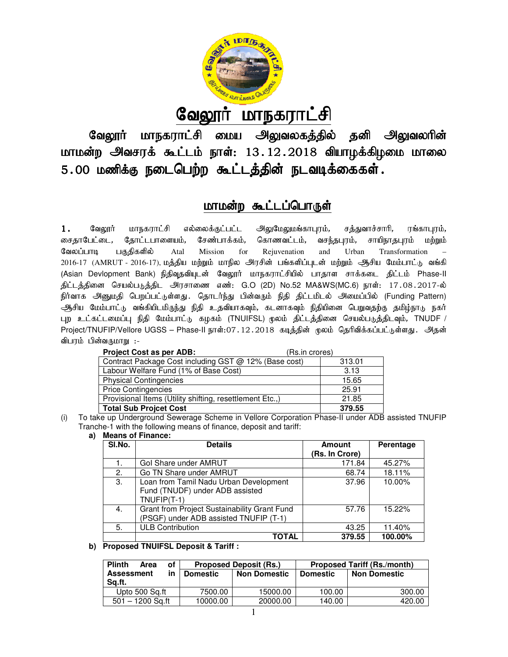

<u>வேலூர் மாநகராட்சி</u>

வேலூர் மாநகராட்சி மைய அலுவலகத்தில் தனி அலுவலரின் வேலூர் மாநகராட்ச் மைய அலுவலகத்தில் தன் அலுவலர்ன்<br>மாமன்ற அவசரக் கூட்டம் நாள்: 13.12.2018 வியாழக்கிழமை மாலை 5.00 மணிக்கு நடைபெற்ற கூட்டத்தின் நடவடிக்கைகள்.

# மாமன்ற கூட்டப்பொருள்

1. வேலூர் மாநகராட்சி எல்லைக்குட்பட்ட அலுமேலுமங்காபுரம், சத்த<br>சைகாபேட்டை, கோட்டபாளையம், சேண்பாக்கம், கொணவட்டம், வசந்தபுரம், கோட்டபாளையம், சேண்பாக்கம், கொணவட்டம், வசந்தபுரம், சாயிநாகபுரம் மற்றும் வேலப்பாடி பகுதிகளில் Atal Mission for Rejuvenation and Urban Transformation – சைதாபேட்டை, தோட்டபாளையம், சேண்பாக்கம், கொணவட்டம், வசந்தபுரம், சாயிநாதபுரம் மற்றும்<br>வேலப்பாடி பகுதிகளில் Atal Mission for Rejuvenation and Urban Transformation –<br>2016-17 (AMRUT -2016-17),மத்திய மற்றும் மாநில அரசின் (Asian Devlopment Bank) நிதிவுதவியுடன் வேலூர் மாநகராட்சியில் பாதாள சாக்கடை திட்டம் Phase-II திட்டத்தினை செயல்படுத்திட அரசாணை எண்: G.O (2D) No.52 MA&WS(MC.6) நாள்: 17.08.2017-ல் நிர்வாக அனுமதி பெறப்பட்டுள்ளது. தொடர்ந்து பின்வரும் நிதி திட்டமிடல் அமைப்பில் (Funding Pattern) ஆசிய மேம்பாட்டு வங்கியிடமிருந்து நிதி உதவியாகவும், கடனாகவும் நிதியினை பெறுவதற்கு தமிழ்நாடு நகா ஆசிய மேம்பாட்டு வங்கியிடமிருந்து நிதி உதவியாகவும், கடனாகவும் நிதியினை பெறுவதற்கு தமிழ்நாடு நகர்<br>புற உட்கட்டமைப்பு நிதி மேம்பாட்டு கழகம் (TNUIFSL) மூலம் திட்டத்தினை செயல்படுத்திடவும், TNUDF / Project/TNUFIP/Vellore UGSS – Phase-II நாள்:07. 12 . 2018 கடித்தின் மூலம் தெரிவிக்கப்பட்டுள்ளது . அதன் விபரம் பின்வருமாறு :-சத்துவாச்சாரி, ரங்காபுரம்,

| <b>Project Cost as per ADB:</b>                          | (Rs.in crores) |
|----------------------------------------------------------|----------------|
| Contract Package Cost including GST @ 12% (Base cost)    | 313.01         |
| Labour Welfare Fund (1% of Base Cost)                    | 3.13           |
| <b>Physical Contingencies</b>                            | 15.65          |
| <b>Price Contingencies</b>                               | 25.91          |
| Provisional Items (Utility shifting, resettlement Etc.,) | 21.85          |
| Total Sub Projcet Cost                                   | 379.55         |

(i) To take up Underground Sewerage Scheme in Vellore Corporation Phase-II under ADB assisted TNUFIP Tranche-1 with the following means of finance, deposit and tariff: 1

#### **a) Means of Finance:**

| SI.No. | <b>Details</b>                                                                             | <b>Amount</b>  | Perentage |
|--------|--------------------------------------------------------------------------------------------|----------------|-----------|
|        |                                                                                            | (Rs. In Crore) |           |
| 1.     | Gol Share under AMRUT                                                                      | 171.84         | 45.27%    |
| 2.     | Go TN Share under AMRUT                                                                    | 68.74          | 18.11%    |
| 3.     | Loan from Tamil Nadu Urban Development<br>Fund (TNUDF) under ADB assisted<br>$TNUFIP(T-1)$ | 37.96          | 10.00%    |
| 4.     | Grant from Project Sustainability Grant Fund<br>(PSGF) under ADB assisted TNUFIP (T-1)     | 57.76          | 15.22%    |
| 5.     | <b>ULB Contribution</b>                                                                    | 43.25          | 11.40%    |
|        | TOTAL                                                                                      | 379.55         | 100.00%   |

#### **b) Proposed TNUIFSL Deposit & Tariff :**

| <b>Plinth</b><br>οf<br>Area | <b>Proposed Deposit (Rs.)</b> |                     | <b>Proposed Tariff (Rs./month)</b> |                     |
|-----------------------------|-------------------------------|---------------------|------------------------------------|---------------------|
| <b>Assessment</b><br>in     | <b>Domestic</b>               | <b>Non Domestic</b> | <b>Domestic</b>                    | <b>Non Domestic</b> |
| Sa.ft.                      |                               |                     |                                    |                     |
| Upto 500 Sa.ft              | 7500.00                       | 15000.00            | 100.00                             | 300.00              |
| $501 - 1200$ Sa.ft          | 10000.00                      | 20000.00            | 140.00                             | 420.00              |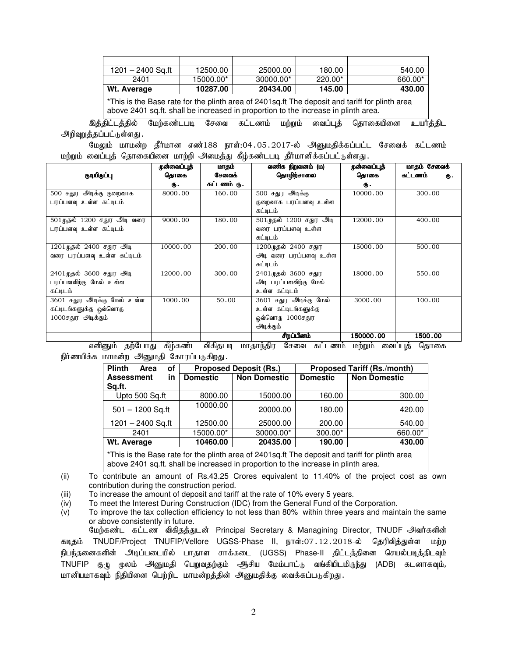| $1201 - 2400$ Sa.ft                                                                            | 12500.00  | 25000.00  | 180.00    | 540.00  |  |
|------------------------------------------------------------------------------------------------|-----------|-----------|-----------|---------|--|
| 2401                                                                                           | 15000.00* | 30000.00* | $220.00*$ | 660.00* |  |
| Wt. Average                                                                                    | 10287.00  | 20434.00  | 145.00    | 430.00  |  |
| *This is the Base rate for the plinth area of 2401sq.ft The deposit and tariff for plinth area |           |           |           |         |  |

above 2401 sq.ft. shall be increased in proportion to the increase in plinth area.

<u>இத்திட்டத்தில் மேற்கண்டபடி சேவை கட்டணம் மற்றும் வைப்புத் தொகையினை உயர்த்திட</u> அறிவுறுத்தப்பட்டுள்ளது.

மேலும் மாமன்ற தீர்மான எண்188 நாள்:04.05.2017-ல் அனுமதிக்கப்பட்ட சேவைக் கட்டணம் மற்றும் வைப்புத் தொகையினை மாற்றி அமைத்து கீழ்கண்டபடி தீர்மானிக்கப்பட்டுள்ளது.

|                             | முன்வைப்புத் | மாதம்       | வணிக நிறுவனம் (ம)       | ருன்வைப்புத் | மாதம் சேவைக்  |
|-----------------------------|--------------|-------------|-------------------------|--------------|---------------|
| குடியிருப்பு                | தொகை         | சேவைக்      | தொழிந்சாலை              | தொகை         | கட்டணம்<br>Ф. |
|                             | ரு.          | கட்டணம் ரு. |                         | ரு.          |               |
| 500 சதுர அடிக்கு குறைவாக    | 8000.00      | 160.00      | 500 சதுர அடிக்கு        | 10000.00     | 300.00        |
| பரப்பளவு உள்ள கட்டிடம்      |              |             | குறைவாக பரப்பளவு உள்ள   |              |               |
|                             |              |             | கட்டிடம்                |              |               |
| 501 முதல் 1200 சதுர அடி வரை | 9000.00      | 180.00      | 501 முதல் 1200 சதுர அடி | 12000.00     | 400.00        |
| பரப்பளவு உள்ள கட்டிடம்      |              |             | வரை பரப்பளவு உள்ள       |              |               |
|                             |              |             | கட்டிடம்                |              |               |
| 1201 முதல் 2400 சதுர அடி    | 10000.00     | 200.00      | 1200முதல் 2400 சதுர     | 15000.00     | 500.00        |
| வரை பரப்பளவு உள்ள கட்டிடம்  |              |             | அடி வரை பரப்பளவு உள்ள   |              |               |
|                             |              |             | கட்டிடம்                |              |               |
| 2401முதல் 3600 சதுர அடி     | 12000.00     | 300.00      | 2401முதல் 3600 சதுர     | 18000.00     | 550.00        |
| பரப்பளவிற்கு மேல் உள்ள      |              |             | அடி பரப்பளவிற்கு மேல்   |              |               |
| கட்டிடம்                    |              |             | உள்ள கட்டிடம்           |              |               |
| 3601 சதுர அடிக்கு மேல் உள்ள | 1000.00      | 50.00       | 3601 சதுர அடிக்கு மேல்  | 3000.00      | 100.00        |
| கட்டிடங்களுக்கு ஒவ்வொரு     |              |             | உள்ள கட்டிடங்களுக்கு    |              |               |
| 1000சதுர அடிக்கும்          |              |             | ஒவ்வொரு 1000சதுர        |              |               |
|                             |              |             | அடிக்கும்               |              |               |
|                             |              |             | சிறப்பினம்              | 150000.00    | 1500.00       |

எனினும் தற்போது கீழ்கண்ட விகிதபடி மாதாந்திர சேவை கட்டணம் மற்றும் வைப்புத் தொகை நிர்ணயிக்க மாமன்ற அனுமதி கோரப்படுகிறது.

| <b>Plinth</b><br>of<br>Area | <b>Proposed Tariff (Rs./month)</b><br><b>Proposed Deposit (Rs.)</b> |                     |                 |                     |
|-----------------------------|---------------------------------------------------------------------|---------------------|-----------------|---------------------|
| <b>Assessment</b><br>in     | <b>Domestic</b>                                                     | <b>Non Domestic</b> | <b>Domestic</b> | <b>Non Domestic</b> |
| Sq.ft.                      |                                                                     |                     |                 |                     |
| Upto 500 Sq.ft              | 8000.00                                                             | 15000.00            | 160.00          | 300.00              |
| $501 - 1200$ Sq.ft          | 10000.00                                                            | 20000.00            | 180.00          | 420.00              |
| $1201 - 2400$ Sq.ft         | 12500.00                                                            | 25000.00            | 200.00          | 540.00              |
| 2401                        | 15000.00*                                                           | 30000.00*           | $300.00*$       | 660.00*             |
| Wt. Average                 | 10460.00                                                            | 20435.00            | 190.00          | 430.00              |

\*This is the Base rate for the plinth area of 2401sq.ft The deposit and tariff for plinth area above 2401 sq.ft. shall be increased in proportion to the increase in plinth area.

(ii) To contribute an amount of Rs.43.25 Crores equivalent to 11.40% of the project cost as own contribution during the construction period.

(iii) To increase the amount of deposit and tariff at the rate of 10% every 5 years.

(iv) To meet the Interest During Construction (IDC) from the General Fund of the Corporation.

(v) To improve the tax collection efficiency to not less than 80% within three years and maintain the same or above consistently in future.

மேற்கண்ட கட்டண விகிதத்துடன் Principal Secretary & Managining Director, TNUDF அவர்களின் கடிதம் TNUDF/Project TNUFIP/Vellore UGSS-Phase II, நாள்:07.12.2018-ல் தெரிவித்துள்ள மற்ற நிபந்தனைகளின் அடிப்படையில் பாதாள சாக்கடை (UGSS) Phase-II திட்டத்தினை செயல்படித்திடவும் TNUFIP குழு மூலம் அனுமதி பெறுவதற்கும் ஆசிய மேம்பாட்டு வங்கியிடமிருந்து (ADB) கடனாகவும், மானியமாகவும் நிதியினை பெற்றிட மாமன்றத்தின் அனுமதிக்கு வைக்கப்படுகிறது.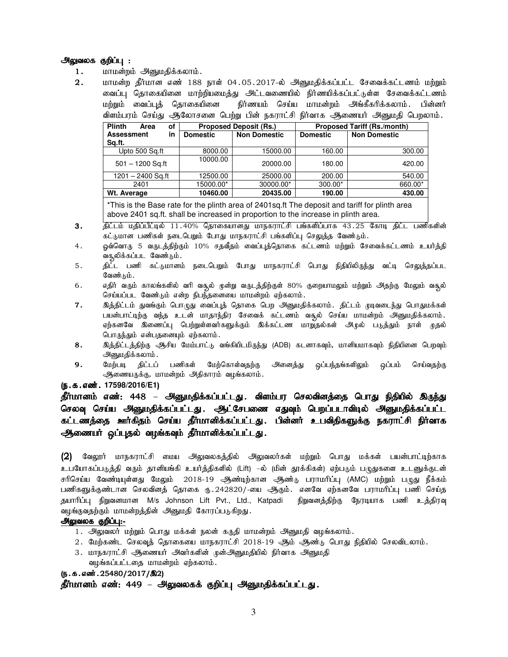#### <u>அலுவலக குறிப்பு :</u>

- 1. மாமன்றம் அனுமதிக்கலாம்.
- 2. மாமன்ற தீர்மான எண் 188 நாள் 04.05.2017-ல் அனுமதிக்கப்பட்ட சேவைக்கட்டணம் மற்றும் வைப்பு தொகையினை மாற்றியமைத்து அட்டவணையில் நிர்ணயிக்கப்பட்டுள்ள சேவைக்கட்டணம் மற்றும் வைப்புத் தொகையினை நிர்ணயம் செய்ய மாமன்றம் அங்கீகரிக்கலாம். பின்னர் விளம்பரம் செய்து ஆலோசனை பெற்று பின் நகராட்சி நிர்வாக ஆணையர் அனுமதி பெறலாம்.

| <b>Plinth</b><br>of<br>Area | <b>Proposed Deposit (Rs.)</b> |                     | <b>Proposed Tariff (Rs./month)</b> |                     |
|-----------------------------|-------------------------------|---------------------|------------------------------------|---------------------|
| <b>Assessment</b><br>in     | <b>Domestic</b>               | <b>Non Domestic</b> | <b>Domestic</b>                    | <b>Non Domestic</b> |
| Sq.ft.                      |                               |                     |                                    |                     |
| Upto 500 Sq.ft              | 8000.00                       | 15000.00            | 160.00                             | 300.00              |
| $501 - 1200$ Sq.ft          | 10000.00                      | 20000.00            | 180.00                             | 420.00              |
| 1201 - 2400 Sq.ft           | 12500.00                      | 25000.00            | 200.00                             | 540.00              |
| 2401                        | 15000.00*                     | 30000.00*           | $300.00*$                          | 660.00*             |
| Wt. Average                 | 10460.00                      | 20435.00            | 190.00                             | 430.00              |
|                             |                               |                     |                                    |                     |

\*This is the Base rate for the plinth area of 2401sq.ft The deposit and tariff for plinth area above 2401 sq.ft. shall be increased in proportion to the increase in plinth area.

- 3. திட்டம் மதிப்பீட்டில் 11.40% தொகையானது மாநகராட்சி பங்களிப்பாக 43.25 கோடி திட்ட பணிகளின் கட்டுமான பணிகள் நடைபெறும் போது மாநகராட்சி பங்களிப்பு செலுத்த வேண்டும்.
- 4. ஓவ்வொரு 5 வருடத்திற்கும் 10% சதவீதம் வைப்புத்தொகை கட்டணம் மற்றும் சேவைக்கட்டணம் உயர்த்தி வசூலிக்கப்பட வேண்டும்.
- 5. திட்ட பணி கட்டுமானம் நடைபெறும் போது மாநகராட்சி பொது நிதியிலிருந்து வட்டி செலுத்தப்பட வேண்டும்.
- 6. எதிர் வரும் காலங்களில் வரி வசூல் முன்று வருடத்திற்குள் 80% குறையாமலும் மற்றும் அதற்கு மேலும் வசூல் செய்யப்பட வேண்டும் என்ற நிபந்தனையை மாமன்றம் ஏற்கலாம்.
- 7. இத்திட்டம் துவங்கும் பொழுது வைப்புத் தொகை பெற அனுமதிக்கலாம். திட்டம் முடிவடைந்து பொதுமக்கள் பயன்பாட்டிற்கு வந்த உடன் மாதாந்திர சேவைக் கட்டணம் வசூல் செய்ய மாமன்றம் அனுமதிக்கலாம். ஏற்கனவே இணைப்பு பெற்றுள்ளவர்களுக்கும் இக்கட்டண மாறுதல்கள் அடில் படுத்தும் நாள் முதல் பொருந்தும் என்பதனையும் ஏற்கலாம்.
- 8. nj;jpl;lj;jpw;F Mrpa Bkk;ghl;L tA;fpaplkpUe;J (ADB) fldhft[k;, khdpakhft[k; epjpapid bgwt[k; அனுமதிக்கலாம்.<br>மேற்படி திட்டப் பணிகள்
- 9. மேற்படி திட்டப் பணிகள் மேற்கொள்வதற்கு அனைத்து ஒப்பந்தங்களிலும் ஒப்பம் செய்வதற்கு ஆணையருக்கு, மாமன்றம் அதிகாரம் வழங்கலாம்.

#### (**ந.க.எண். 17598/2016/E1**)

தீர்மானம் எண்: 448 – அனுமதிக்கப்பட்டது. விளம்பர செலவினத்தை பொது நிதியில் இருந்து செலவு செய்ய அனுமதிக்கப்பட்டது. ஆட்சேபணை எதுவும் பெறப்படாவிடில் அனுமதிக்கப்பட்ட கட்டணத்தை ஊர்கிதம் செய்ய தீர்மானிக்கப்பட்டது. பின்னர் உபவிதிகளுக்கு நகராட்சி நிர்வாக ஆணையர் ஒப்புதல் வழங்கவும் தீர்மானிக்கப்பட்டது.

 $(2)$  வேலூர் மாநகராட்சி மைய அலுவலகத்தில் அலுவலர்கள் மற்றும் பொது மக்கள் பயன்பாட்டிற்காக உபயோகப்படுத்தி வரும் தானியங்கி உயர்த்திகளில் (Lift) –ல் (மின் தூக்கிகள்) ஏற்படும் பமுதுகளை உடனுக்குடன் சரிசெய்ய வேண்டியுள்ளது மேலும் 2018-19 ஆண்டிற்கான ஆண்டு பராமரிப்பு (AMC) மற்றும் பழுது நீக்கம் பணிகளுக்குண்டான செலவினத் தொகை ரு. 242820/-யை ஆகும். எனவே ஏற்கனவே பராமரிப்பு பணி செய்த தயாரிப்பு நிறுவனமான M/s Johnson Lift Pvt., Ltd., Katpadi நிறுவனத்திற்கு நேரடியாக பணி உத்திரவு வழங்குவதற்கும் மாமன்றத்தின் அனுமதி கோரப்படுகிறது.

#### அலுவலக குறிப்பு:-

- 1. அலுவலர் மற்றும் பொது மக்கள் நலன் கருதி மாமன்றம் அனுமதி வழங்கலாம்.
- 2. மேற்கண்ட செலவுத் தொகையை மாநகராட்சி 2018-19 ஆம் ஆண்டு பொது நிதியில் செலவிடலாம்.
- 3. மாநகராட்சி ஆணையர் அவர்களின் முன்அனுமதியில் நிர்வாக அனுமதி வழங்கப்பட்டதை மாமன்றம் ஏற்கலாம்.

 $(5.5.5.5)$  (5.5.5.6 $\omega$ in  $(25480/2017/\omega)$ )

தீர்மானம் எண்: 449 – அலுவலகக் குறிப்பு அனுமதிக்கப்பட்டது.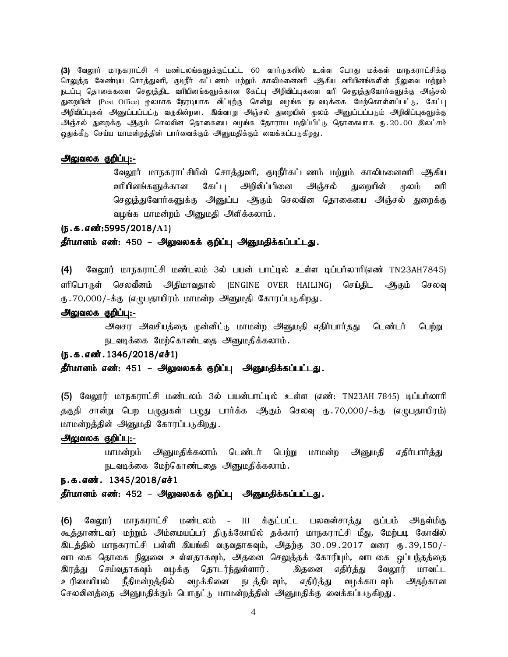(3) வேலூர் மாநகராட்சி 4 மண்டலங்களுக்குட்பட்ட 60 வார்டுகளில் உள்ள பொது மக்கள் மாநகராட்சிக்கு செலுத்த வேண்டிய சொத்துவரி, குடிநீர் கட்டணம் மற்றும் காலிமனைவரி ஆகிய வரியினங்களின் நிலுவை மற்றும் .<br>நடப்பு தொகைகளை செலுத்திட வரியினங்களுக்கான கேட்பு அறிவிப்புகளை வரி செலுத்துவோர்களுக்கு அஞ்சல் துறையின் (Post Office) மூலமாக நேரடியாக வீட்டிற்கு சென்று வழங்க நடவடிக்கை மேற்கொள்ளப்பட்டு, கேட்பு அறிவிப்புகள் அனுப்பப்பட்டு வருகின்றன. இவ்வாறு அஞ்சல் துறையின் முலம் அனுப்பப்படும் அறிவிப்புகளுக்கு அஞ்சல் துறைக்கு ஆகும் செலவின தொகையை வழங்க தோராய மதிப்பிட்டு தொகையாக ரு.20.00 இலட்சம் ஒதுக்கீடு செய்ய மாமன்றத்தின் பார்வைக்கும் அனுமதிக்கும் வைக்கப்படுகிறது.

#### அலுவலக குறிப்பு:-

வேலூர் மாநகராட்சியின் சொத்துவரி, குடிநீர்கட்டணம் மற்றும் காலிமனைவரி ஆகிய வரியினங்களுக்கான கேட்பு அறிவிப்பினை அஞ்சல் துறையின் முலம் வரி செலுத்துவோர்களுக்கு அனுப்ப அதம் செலவின தொகையை அஞ்சல் துறைக்கு வழங்க மாமன்றம் அனுமதி அளிக்கலாம்.

#### (ந.க.எண்:5995/2018/A1)

#### தீர்மானம் எண்: 450 – அலுவலகக் குறிப்பு அனுமதிக்கப்பட்டது.

(4) வேலூர் மாநகராட்சி மண்டலம் 3ல் பயன் பாட்டில் உள்ள டிப்பர்லாரி(எண் TN23AH7845) ளிபொருள் செலவீனம் அதிமாவதால் (ENGINE OVER HAILING) செய்திட ஆகும் செலவு ரு . 70,000/-க்கு (எழுபதாயிரம் மாமன்ற அனுமதி கோரப்படுகிறது .

#### அலுவலக குறிப்பு:-

அவசர அவசியத்தை முன்னிட்டு மாமன்ற அனுமதி எதிர்பார்தது டெண்டர் பெற்று நடவடிக்கை மேற்கொண்டதை அனுமதிக்கலாம்.

# $(5.5.5.5)$ ல்  $(1346/2018/51)$

தீர்மானம் எண்: 451 – அலுவலகக் குறிப்பு அனுமதிக்கப்பட்டது.

(5) வேலூர் மாநகராட்சி மண்டலம் 3ல் பயன்பாட்டில் உள்ள (எண்: TN23AH 7845) டிப்பர்லாரி தகுதி சான்று பெற பழுதுகள் பழுது பார்க்க ஆகும் செலவு ரு.70,000/-க்கு (எழுபதாயிரம்) மாமன்றத்தின் அனுமதி கோரப்படுகிறது.

#### அலுவலக குறிப்பு:-

மாமன்றம் அனுமதிக்கலாம் டெண்டர் பெற்று மாமன்ற அனுமதி எதிர்பார்த்து நடவடிக்கை மேற்கொண்டதை அனுமதிக்கலாம்.

#### ந.க.எண். 1345/2018/எச்1

#### தீர்மானம் எண்: 452 – அலுவலகக் குறிப்பு அனுமதிக்கப்பட்டது.

(6) வேலூர் மாநகராட்சி மண்டலம் - III க்குட்பட்ட பலவன்சாத்து குப்பம் அருள்மிகு கூத்தாண்டவர் மற்றும் அம்மையப்பர் திருக்கோயில் தக்கார் மாநகராட்சி மீது, மேற்படி கோவில் <u>இடத்தி</u>ல் மாநகராட்சி பள்ளி இயங்கி வருவதாகவும், அதற்கு 30.09.2017 வரை ரூ.39,150/-வாடகை தொகை நிலுவை உள்ளதாகவும், அதனை செலுத்தக் கோரியும், வாடகை ஒப்பந்தத்தை இரத்து செய்வதாகவும் வழக்கு தொடர்ந்துள்ளார். இதனை எதிர்த்து வேலூர் மாவட்ட உரிமையியல் நீதிமன்றத்தில் வழக்கினை நடத்திடவும், எதிர்த்து வழக்காடவும் அதற்கான செலவினத்தை அனுமதிக்கும் பொருட்டு மாமன்றத்தின் அனுமதிக்கு வைக்கப்படுகிறது.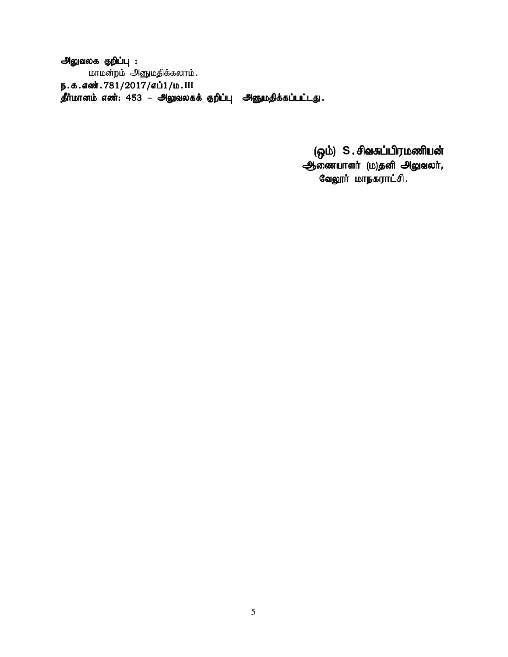அலுவலக குறிப்பு : மாமன்றம் அனுமதிக்கலாம். ந.க.எண்.781/2017/எப்1/ம.III , தீர்மானம் எண்: 453 – அலுவலகக் குறிப்பு அனுமதிக்கப்பட்டது.

> (ஓம்) S.சிவசுப்பிரமணியன் ஆணையாளர் (ம)தனி அலுவலர், வேலூர் மாநகராட்சி.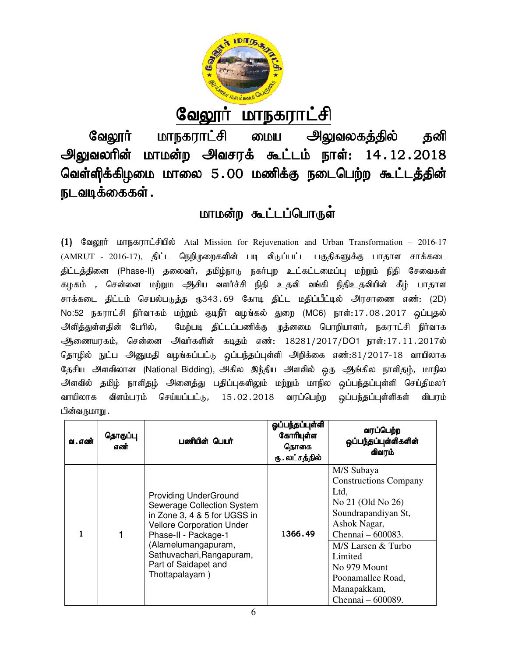

# <u>வேலூர் மாநகராட்சி</u>

வேலூர் மாநகராட்சி மைய அலுவலகத்தில் தனி வேலூர் மாநகராட்சி மைய அலுவலகத்தில் தனி<br>அலுவலரின் மாமன்ற அவசரக் கூட்டம் நாள்: 14.12.2018 வெள்ளிக்கிழமை மாலை 5.00 மணிக்கு நடைபெற்ற கூட்டத்தின் நடவடிக்கைகள் .

# <u>மாமன்ற கூட்டப்பொருள்</u>

(1) வேலூர் மாநகராட்சியில் Atal Mission for Rejuvenation and Urban Transformation – 2016-17 (AMRUT - 2016-17), திட்ட நெறிமுறைகளின் படி விடுப்பட்ட பகுதிகளுக்கு பாதாள சாக்கடை திட்டத்தினை (Phase-II) தலைவர், தமிழ்நாடு நகர்புற உட்கட்டமைப்பு மற்றும் நிதி சேவைகள் திட்டத்தினை (Phase-II) தலைவர், தமிழ்நாடு நகர்புற உட்கட்டமைப்பு மற்றும் நிதி சேவைகள்<br>கழகம் , சென்னை மற்றும ஆசிய வளர்ச்சி நிதி உதவி வங்கி நிதிஉதவியின் கீழ் பாதாள கழகம் , சென்னை மற்றும ஆசிய வளர்ச்சி நிதி உதவி வங்கி நிதிஉதவியின் கீழ் பாதாள<br>சாக்கடை திட்டம் செயல்படுத்த ரு343.69 கோடி திட்ட மதிப்பீட்டில் அரசாணை எண்: (2D) No:52 நகராட்சி நிர்வாகம் மற்றும் குடிநீர் வழங்கல் துறை (MC6) நாள்:17.08.2017 ஒப்புதல் அளித்துள்ளதின் பேரில், மேற்படி திட்டப்பணிக்கு முத்னமை பொறியாளர், நகராட்சி நிர்வாக ஆணையரகம், சென்னை அவர்களின் கடிதம் எண்: 18281/2017/DO1 நாள்:17.11.2017ல் அளித்துள்ளதின் பேரில், மேற்படி திட்டப்பணிக்கு முத்னமை பொறியாளர், நகராட்சி நிர்வாக<br>ஆணையரகம், சென்னை அவர்களின் கடிதம் எண்: 18281/2017/DO1 நாள்:17.11.2017ல்<br>தொழில் நுட்ப அனுமதி வழங்கப்பட்டு ஒப்பந்தப்புள்ளி அறிக்கை எண்:81/20 தேசிய அளவிலான (National Bidding), அகில இந்திய அளவில் ஒரு ஆங்கில நாளிதழ், மாநில அளவில் தமிழ் நாளிதழ் அனைத்து பதிப்புகளிலும் மற்றும் மாநில ஒப்பந்தப்புள்ளி செய்திமலா வாயிலாக விளம்பரம் செய்யப்பட்டு, 15.02.2018 வரப்பெற்ற ஒப்பந்தப்புள்ளிகள் பின்வருமாறு . விபரம் விலான (National Bidding), அகில இந்திய<br>மிழ் நாளிதழ் அனைத்து பதிப்புகளிலும் ம<br>விளம்பரம் செய்யப்பட்டு, 15.02.2018

| வ . எண் | தொகுப்பு<br>எண் | பணியின் பெயர்                                                                                                                                                                                                                                        | ஓப்பந்தப்புள்ளி<br>கோரியுள்ள<br>தொகை<br>ரு . லட்சத்தில் | வரப்பெற்ற<br>ஒப்பந்தப்புள்ளிகளின்<br>விவரம்                                                                                                                                                                                                   |
|---------|-----------------|------------------------------------------------------------------------------------------------------------------------------------------------------------------------------------------------------------------------------------------------------|---------------------------------------------------------|-----------------------------------------------------------------------------------------------------------------------------------------------------------------------------------------------------------------------------------------------|
|         |                 | <b>Providing UnderGround</b><br>Sewerage Collection System<br>in Zone 3, 4 & 5 for UGSS in<br><b>Vellore Corporation Under</b><br>Phase-II - Package-1<br>(Alamelumangapuram,<br>Sathuvachari, Rangapuram,<br>Part of Saidapet and<br>Thottapalayam) | 1366.49                                                 | M/S Subaya<br><b>Constructions Company</b><br>Ltd,<br>No 21 (Old No 26)<br>Soundrapandiyan St,<br>Ashok Nagar,<br>Chennai – 600083.<br>M/S Larsen & Turbo<br>Limited<br>No 979 Mount<br>Poonamallee Road,<br>Manapakkam,<br>Chennai - 600089. |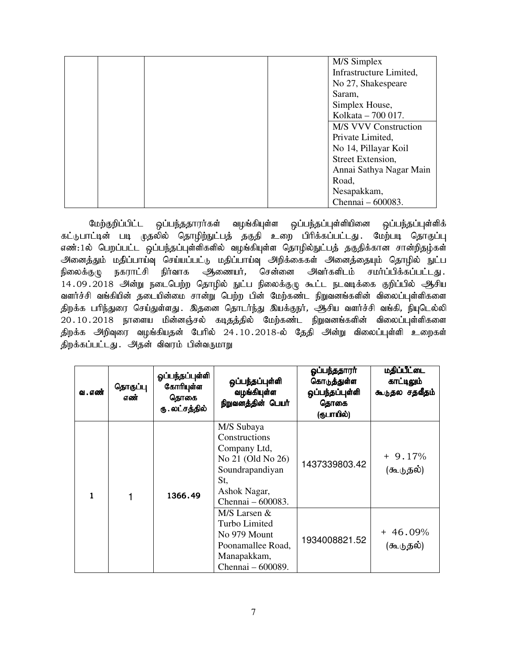|  |  | M/S Simplex                 |
|--|--|-----------------------------|
|  |  | Infrastructure Limited,     |
|  |  | No 27, Shakespeare          |
|  |  | Saram,                      |
|  |  | Simplex House,              |
|  |  | Kolkata - 700 017.          |
|  |  | <b>M/S VVV Construction</b> |
|  |  | Private Limited,            |
|  |  | No 14, Pillayar Koil        |
|  |  | Street Extension,           |
|  |  | Annai Sathya Nagar Main     |
|  |  | Road,                       |
|  |  | Nesapakkam,                 |
|  |  | Chennai - 600083.           |

மேற்குறிப்பிட்ட ஒப்பந்ததாரர்கள் வழங்கியுள்ள ஒப்பந்தப்புள்ளியினை ஒப்பந்தப்புள்ளிக் கட்டுபாட்டின் படி முதலில் தொழிற்நுட்பத் தகுதி உறை பிரிக்கப்பட்டது. மேற்படி தொகுப்பு எண்:1ல் பெறப்பட்ட ஒப்பந்தப்புள்ளிகளில் வழங்கியுள்ள தொழில்நுட்பத் தகுதிக்கான சான்றிதழ்கள் அனைத்தும் மதிப்பாய்வு செய்யப்பட்டு மதிப்பாய்வு அறிக்கைகள் அனைத்தையும் தொழில் நுட்ப<br>நிலைக்குழு நகராட்சி நிர்வாக ஆணையர், சென்னை அவர்களிடம் சமர்ப்பிக்கப்பட்டது . நிலைக்குழு நகராட்சி நிர்வாக <del>அ</del>ணையர், சென்னை அவர்களிடம் சமர்ப்பிக்கப்பட்டது. 14.09.2018 அன்று நடைபெற்ற தொழில் நுட்ப நிலைக்குழு கூட்ட நடவடிக்கை குறிப்பில் ஆசிய வளர்ச்சி வங்கியின் தடையின்மை சான்று பெற்ற பின் மேற்கண்ட நிறுவனங்களின் விலைப்புள்ளிகளை திறக்க பரிந்துரை செய்துள்ளது . இதனை தொடர்ந்து இயக்குநர், அசிய வளர்ச்சி வங்கி, நியுடெல்லி  $20.10.2018$  நாளைய மின்னஞ்சல் கடிதத்தில் மேற்கண்ட நிறுவனங்களின் விலைப்புள்ளிகளை திறக்க அிறிவுரை வழங்கியதன் பேரில் 24 $.10.2018$ -ல் தேதி அன்று விலைப்புள்ளி உறைகள் திறக்கப்பட்டது. அதன் விவரம் பின்வருமாறு

| வ . எண் | தொகுப்பு<br>எண் | ஓப்பந்தப்புள்ளி<br>கோரியுள்ள<br>தொகை<br>ரு . லட்சத்தில் | ஒப்பந்தப்புள்ளி<br>வழங்கியுள்ள<br>நிறுவனத்தின் பெயர்                                                                            | ஓப்பந்ததாரா்<br>கொடுத்துள்ள<br>ஒப்பந்தப்புள்ளி<br>தொகை<br>(ருபாயில்) | மதிப்பீட்டை<br>காட்டிலும்<br>கூடுதல சதவீதம் |
|---------|-----------------|---------------------------------------------------------|---------------------------------------------------------------------------------------------------------------------------------|----------------------------------------------------------------------|---------------------------------------------|
|         | 1               | 1366.49                                                 | M/S Subaya<br>Constructions<br>Company Ltd,<br>No 21 (Old No 26)<br>Soundrapandiyan<br>St,<br>Ashok Nagar,<br>Chennai - 600083. | 1437339803.42                                                        | $+9.17%$<br>(கூடுதல்)                       |
|         |                 |                                                         | M/S Larsen &<br>Turbo Limited<br>No 979 Mount<br>Poonamallee Road,<br>Manapakkam,<br>Chennai - 600089.                          | 1934008821.52                                                        | $+46.09%$<br>(கூடுதல்)                      |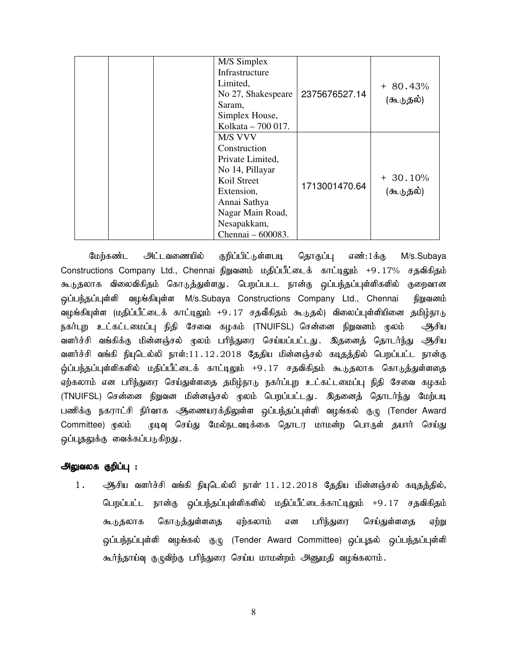| M/S Simplex<br>Infrastructure<br>Limited,<br>No 27, Shakespeare<br>Saram,<br>Simplex House,<br>Kolkata - 700 017.                                                          | 2375676527.14 | $+80.43%$<br>(கூடுதல்) |
|----------------------------------------------------------------------------------------------------------------------------------------------------------------------------|---------------|------------------------|
| <b>M/S VVV</b><br>Construction<br>Private Limited,<br>No 14, Pillayar<br>Koil Street<br>Extension,<br>Annai Sathya<br>Nagar Main Road,<br>Nesapakkam,<br>Chennai – 600083. | 1713001470.64 | $+30.10%$<br>(கூடுதல்) |

மேற்கண்ட <del>அ</del>ட்டவணையில் குறிப்பிட்டுள்ளபடி தொகுப்பு எண்:1க்கு M/s.Subaya Constructions Company Ltd., Chennai நிறுவனம் மதிப்பீட்டைக் காட்டிலும் +9.17% சதவிகிதம் கூடுதலாக விலைவிகிதம் கொடுத்துள்ளது .பெறப்படட நான்கு ஒப்பந்தப்புள்ளிகளில் குறைவான ஒப்பந்தப்புள்ளி வழங்கியுள்ள M/s.Subaya Constructions Company Ltd., Chennai நிறுவனம் வழங்கியுள்ள (மதிப்பீட்டைக் காட்டிலும் +9.17 சதவீகிதம் கூடுதல்) விலைப்புள்ளியினை தமிழ்நாடு நகர்புற உட்கட்டமைப்பு நிதி சேவை கழகம் (TNUIFSL) சென்னை நிறுவனம் மூலம் ஆசிய வளர்ச்சி வங்கிக்கு மின்னஞ்சல் மூலம் பரிந்துரை செய்யப்பட்டது. இதனைத் தொடர்ந்து ஆசிய வளர்ச்சி வங்கி நியுடெல்லி நாள்:11.12.2018 தேதிய மின்னஞ்சல் கடிதத்தில் பெறப்பட்ட நான்கு ஒ்ப்பந்தப்புள்ளிகளில் மதிப்பீட்டைக் காட்டிலும் +9.17 சதவிகிதம் கூடுதலாக கொடுத்துள்ளதை ஏற்கலாம் என பரிந்துரை செய்துள்ளதை தமிழ்நாடு நகர்ப்புற உட்கட்டமைப்பு நிதி சேவை கழகம் (TNUIFSL) சென்னை நிறுவன மின்னஞ்சல் முலம் பெறப்பட்டது. இதனைத் தொடர்ந்து மேற்படி பணிக்கு நகராட்சி நிர்வாக ஆணையரக்திலுள்ள ஒப்பந்தப்புள்ளி வழங்கல் குழு (Tender Award Committee) மூலம் முடிவு செய்து மேல்நடவடிக்கை தொடர மாமன்ற பொருள் தயார் செய்து ஒப்புதலுக்கு வைக்கப்படுகிறது.

# அலுவலக குறிப்பு :

1. ஆசிய வளர்ச்சி வங்கி நியுடெல்லி நாள்' 11.12.2018 தேதிய மின்னஞ்சல் கடிதத்தில், பெறப்பட்ட நான்கு ஒப்பந்தப்புள்ளிகளில் மதிப்பீட்டைக்காட்டிலும் +9.17 சதவிகிதம் கூடுதலாக கொடுத்துள்ளதை ஏற்கலாம் என பரிந்துரை செய்துள்ளதை ஏற்று ஒப்பந்நப்புள்ளி வழங்கல் குழு (Tender Award Committee) ஒப்புதல் ஒப்பந்தப்புள்ளி கூர்ந்தாய்வு குழுவிற்கு பரிந்துரை செய்ய மாமன்றம் அனுமதி வழங்கலாம்.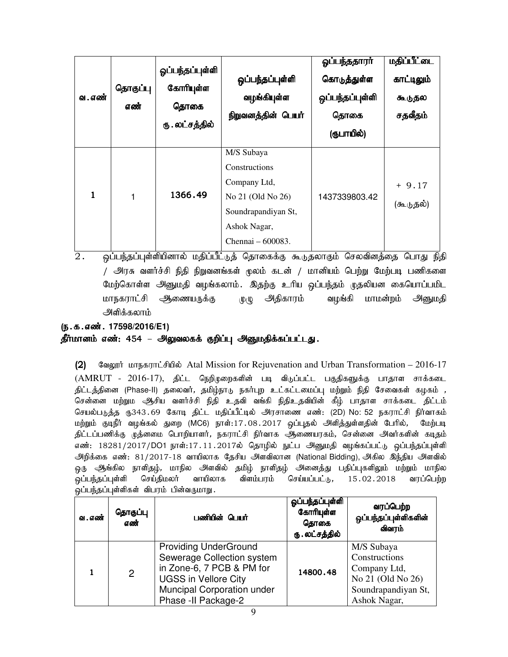| வ . எண்      | தொகுப்பு<br>எண் | ஓப்பந்தப்புள்ளி<br>கோரியுள்ள<br>தொகை<br>ரு . லட்சத்தில் | ஒப்பந்தப்புள்ளி<br>வழங்கியுள்ள<br>நிறுவனத்தின் பெயர்                                                                         | ஓப்பந்ததாரா்<br>கொடுத்துள்ள<br>ஒப்பந்தப்புள்ளி<br>தொகை<br>(ரூபாயில்) | <u>மதிப்பீட்டை</u><br>காட்டிலும்<br>கூடுதல<br>சதவீதம் |
|--------------|-----------------|---------------------------------------------------------|------------------------------------------------------------------------------------------------------------------------------|----------------------------------------------------------------------|-------------------------------------------------------|
| $\mathbf{1}$ |                 | 1366.49                                                 | M/S Subaya<br>Constructions<br>Company Ltd,<br>No 21 (Old No 26)<br>Soundrapandiyan St,<br>Ashok Nagar,<br>Chennai – 600083. | 1437339803.42                                                        | $+9.17$<br>(கூடுதல்)                                  |

 $\overline{2.}$  ஒப்பந்தப்புள்ளியினால் மதிப்பீட்டுத் தொகைக்கு கூடுதலாகும் செலவினத்தை பொது நிதி / அரசு வளர்ச்சி நிதி நிறுவனங்கள் மூலம் கடன் / மானியம் பெற்று மேற்படி பணிகளை மேற்கொள்ள அனுமதி வழங்கலாம். இதற்கு உரிய ஒப்பந்தம் முதலியன கையொப்பமிட மாநகராட்சி ஆணையருக்கு முழு அதிகாரம் வழங்கி மாமன்றம் அனுமதி அளிக்கலாம்

#### (ந.க.எண். 17598/2016/E1)

# தீர்மானம் எண்: 454 – அலுவலகக் குறிப்பு அனுமதிக்கப்பட்டது.

(2) Sagguit Long-Bonnic-Fulledia: Atal Mission for Rejuvenation and Urban Transformation – 2016-17  $(AMRUT - 2016-17)$ , திட்ட நெறிமுறைகளின் படி விடுப்பட்ட பகுதிகளுக்கு பாதாள சாக்கடை திட்டத்தினை (Phase-II) தலைவர், தமிழ்நாடு நகர்புற உட்கட்டமைப்பு மற்றும் நிதி சேவைகள் கழகம் *,* சென்னை மற்றும ஆசிய வளர்ச்சி நிதி உதவி வங்கி நிதிஉதவியின் கீழ் பாதாள சாக்கடை திட்டம் செயல்படுத்த ரு343.69 கோடி திட்ட மதிப்பீட்டில் அரசாணை எண்: (2D) No: 52 நகராட்சி நிர்வாகம் மற்றும் குடிநீர் வழங்கல் துறை (MC6) நாள்:17.08.2017 ஒப்புதல் அளித்துள்ளதின் பேரில், மேற்படி திட்டப்பணிக்கு முத்னமை பொறியாளர், நகராட்சி நிர்வாக ஆணையரகம், சென்னை அவர்களின் கடிதம் எண்: 18281/2017/DO1 நாள்:17.11.2017ல் தொழில் நுட்ப அனுமதி வழங்கப்பட்டு ஒப்பந்தப்புள்ளி அிறக்கை எண்: 81/2017-18 வாயிலாக தேசிய அளவிலான (National Bidding), அகில இந்திய அளவில் ஒரு ஆங்கில நாளிதழ், மாநில அளவில் தமிழ் நாளிதழ் அனைத்து பதிப்புகளிலும் மற்றும் மாநில .<br>ஒப்பந்தப்புள்ளி செய்திமலர் வாயிலாக விளம்பரம் செய்யப்பட்டு, 15.02.2018 வரப்பெற்ற ஒப்பந்தப்புள்ளிகள் விபரம் பின்வருமாறு.

| வ . எண் | தொகுப்பு<br>எண் | பணியின் பெயர்                                                                                                                                                                | ஓப்பந்தப்புள்ளி<br>கோரியுள்ள<br>தொகை<br>ரு . லட்சத்தில் | வரப்பெற்ற<br>ஒப்பந்தப்புள்ளிகளின்<br>விவரம்                                                             |
|---------|-----------------|------------------------------------------------------------------------------------------------------------------------------------------------------------------------------|---------------------------------------------------------|---------------------------------------------------------------------------------------------------------|
|         | $\overline{2}$  | <b>Providing UnderGround</b><br>Sewerage Collection system<br>in Zone-6, 7 PCB & PM for<br><b>UGSS in Vellore City</b><br>Muncipal Corporation under<br>Phase - Il Package-2 | 14800.48                                                | M/S Subaya<br>Constructions<br>Company Ltd,<br>No 21 (Old No 26)<br>Soundrapandiyan St,<br>Ashok Nagar, |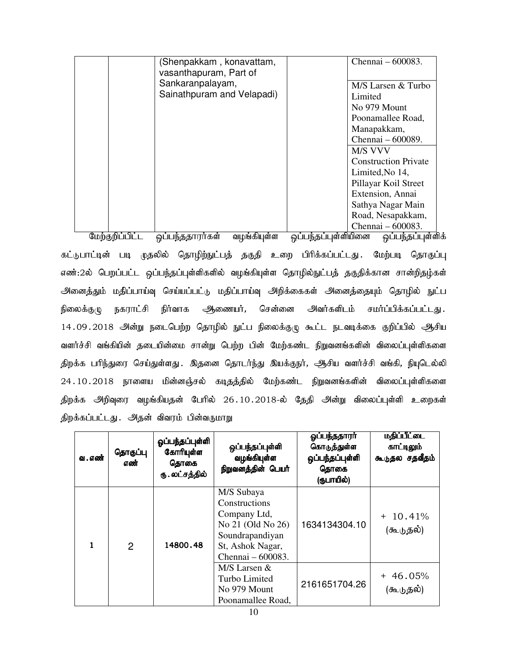| (Shenpakkam, konavattam,   | Chennai $-600083$ .         |
|----------------------------|-----------------------------|
| vasanthapuram, Part of     |                             |
| Sankaranpalayam,           | M/S Larsen & Turbo          |
| Sainathpuram and Velapadi) | Limited                     |
|                            | No 979 Mount                |
|                            | Poonamallee Road,           |
|                            | Manapakkam,                 |
|                            | Chennai – 600089.           |
|                            | M/S VVV                     |
|                            | <b>Construction Private</b> |
|                            | Limited, No 14,             |
|                            | Pillayar Koil Street        |
|                            | Extension, Annai            |
|                            | Sathya Nagar Main           |
|                            | Road, Nesapakkam,           |
|                            | Chennai – 600083.           |

மேற்குறிப்பிட்ட ஒப்பந்ததாராகள் வழங்கியுள்ள ஒப்பந்தப்புள்ளியினை ஒப்பந்தப்புள்ளிக் கட்டுபாட்டின் படி முதலில் தொழிற்நுட்பத் தகுதி உறை பிரிக்கப்பட்டது. மேற்படி தொகுப்பு எண்:2ல் பெறப்பட்ட ஒப்பந்தப்புள்ளிகளில் வழங்கியுள்ள தொழில்நுட்பத் தகுதிக்கான சான்றிதழ்கள் அனைத்தும் மதிப்பாய்வு செய்யப்பட்டு மதிப்பாய்வு அறிக்கைகள் அனைத்தையும் தொழில் நுட்ப நிலைக்குழு நகராட்சி நிர்வாக ஆணையர், சென்னை அவர்களிடம் சமர்ப்பிக்கப்பட்டது. 14.09.2018 அின்று நடைபெற்ற தொழில் நுட்ப நிலைக்குழு கூட்ட நடவடிக்கை குறிப்பில் ஆசிய வளர்ச்சி வங்கியின் தடையின்மை சான்று பெற்ற பின் மேற்கண்ட நிறுவனங்களின் விலைப்புள்ளிகளை திறக்க பரிந்துரை செய்துள்ளது . இதனை தொடர்ந்து இயக்குநர், ஆசிய வளர்ச்சி வங்கி, நியுடெல்லி  $24.10.2018$  நாளைய மின்னஞ்சல் கடிதத்தில் மேற்கண்ட நிறுவனங்களின் விலைப்புள்ளிகளை திறக்க அிறிவுரை வழங்கியதன் பேரில் 26.10.2018-ல் தேதி அன்று விலைப்புள்ளி உறைகள் திறக்கப்பட்டது. அதன் விவரம் பின்வருமாறு

| வ . எண் | தொகுப்பு<br>எண் | ஓப்பந்தப்புள்ளி<br>கோரியுள்ள<br>தொகை<br>ரு . லட்சத்தில் | ஒப்பந்தப்புள்ளி<br>வழங்கியுள்ள<br>நிறுவனத்தின் பெயர்                                                                         | ஓப்பந்ததாரா்<br>கொடுத்துள்ள<br>ஒப்பந்தப்புள்ளி<br>தொகை<br>(ருபாயில்) | <b>மதிப்பீட்டை</b><br>காட்டிலும்<br>கூடுதல சதவீதம் |
|---------|-----------------|---------------------------------------------------------|------------------------------------------------------------------------------------------------------------------------------|----------------------------------------------------------------------|----------------------------------------------------|
|         | $\overline{2}$  | 14800.48                                                | M/S Subaya<br>Constructions<br>Company Ltd,<br>No 21 (Old No 26)<br>Soundrapandiyan<br>St, Ashok Nagar,<br>Chennai – 600083. | 1634134304.10                                                        | $+ 10.41%$<br>(கூடுதல்)                            |
|         |                 |                                                         | $M/S$ Larsen $&$<br>Turbo Limited<br>No 979 Mount<br>Poonamallee Road,                                                       | 2161651704.26                                                        | $+46.05%$<br>(கூடுதல்)                             |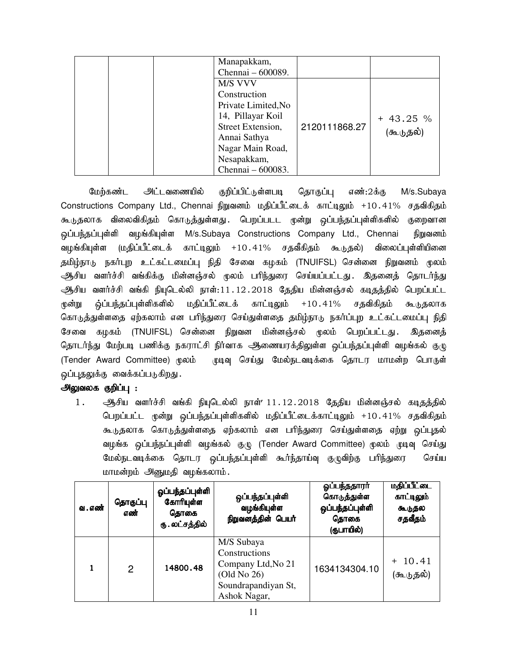| Manapakkam,<br>Chennai - 600089.                                                                                                                                 |               |                        |
|------------------------------------------------------------------------------------------------------------------------------------------------------------------|---------------|------------------------|
| M/S VVV<br>Construction<br>Private Limited, No<br>14, Pillayar Koil<br>Street Extension,<br>Annai Sathya<br>Nagar Main Road,<br>Nesapakkam,<br>Chennai - 600083. | 2120111868.27 | $+43.25%$<br>(கூடுதல்) |

மேற்கண்ட அட்டவணையில் குறிப்பிட்டுள்ளபடி தொகுப்பு எண்:2க்கு M/s.Subaya Constructions Company Ltd., Chennai நிறுவனம் மதிப்பீட்டைக் காட்டிலும் +10.41% சதவிகிதம் கூடுதலாக விலைவிகிதம் கொடுத்துள்ளது .பெறப்படட முன்று ஒப்பந்தப்புள்ளிகளில் குறைவான ஒப்பந்தப்புள்ளி வழங்கியுள்ள M/s.Subaya Constructions Company Ltd., Chennai நிறுவனம் வழங்கியுள்ள (மதிப்பீட்டைக் காட்டிலும் +10.41% சதவீகிதம் கூடுதல்) விலைப்புள்ளியினை தமிழ்நாடு நகர்புற உட்கட்டமைப்பு நிதி சேவை கழகம் (TNUIFSL) சென்னை நிறுவனம் மூலம் ஆசிய வளர்ச்சி வங்கிக்கு மின்னஞ்சல் மூலம் பரிந்துரை செய்யப்பட்டது**. இதனைத் தொடர்ந்து** ஆசிய வளர்ச்சி வங்கி நியுடெல்லி நாள்:11.12.2018 தேதிய மின்னஞ்சல் கடிதத்தில் பெறப்பட்ட மூன்று ஒ்ப்பந்தப்புள்ளிகளில் மதிப்பீட்டைக் காட்டிலும் +10.41% சதவிகிதம் கூடுதலாக கொடுத்துள்ளதை ஏற்கலாம் என பரிந்துரை செய்துள்ளதை தமிழ்நாடு நகர்ப்புற உட்கட்டமைப்பு நிதி சேவை கழகம் (TNUIFSL) சென்னை நிறுவன மின்னஞ்சல் முலம் பெறப்பட்டது. இதனைத் தொடர்ந்து மேற்படி பணிக்கு நகராட்சி நிர்வாக ஆணையரக்திலுள்ள ஒப்பந்தப்புள்ளி வழங்கல் குழு (Tender Award Committee) மூலம் முடிவு செய்து மேல்நடவடிக்கை தொடர மாமன்ற பொருள் ஒப்புதலுக்கு வைக்கப்படுகிறது.

# அலுவலக குறிப்பு :

 $1.$  ஆசிய வளர்ச்சி வங்கி நியுடெல்லி நாள்'  $11.12.2018$  தேதிய மின்னஞ்சல் கடிதத்தில் <u>பெறப்பட்ட முன்று ஒப்பந்தப்பு</u>ள்ளிகளில் மதிப்பீட்டைக்காட்டிலும் +10.41% சதவிகிதம் கூடுதலாக கொடுத்துள்ளதை ஏற்கலாம் என பரிந்துரை செய்துள்ளதை ஏற்று ஒப்புதல் வழங்க ஒப்பந்நப்புள்ளி வழங்கல் குழு (Tender Award Committee) மூலம் முடிவு செய்து மேல்நடவடிக்கை தொடர ஒப்பந்தப்புள்ளி கூர்ந்தாய்வு குழுவிற்கு பரிந்துரை செய்ய மாமன்றம் அனுமதி வழங்கலாம்.

| வ . எண் | தொகுப்பு<br>எண் | ஓப்பந்தப்புள்ளி<br>கோரியுள்ள<br>தொகை<br>ரு . லட்சத்தில் | ஒப்பந்தப்புள்ளி<br>வழங்கியுள்ள<br>நிறுவனத்தின் பெயர்                                                    | ஓப்பந்ததாரா்<br>கொடுத்துள்ள<br>ஒப்பந்தப்புள்ளி<br>தொகை<br>(ருபாயில்) | <u>மதிப்பீட்டை</u><br>காட்டிலும்<br>கூடுதல<br>சதவீதம் |
|---------|-----------------|---------------------------------------------------------|---------------------------------------------------------------------------------------------------------|----------------------------------------------------------------------|-------------------------------------------------------|
|         | $\mathcal{P}$   | 14800.48                                                | M/S Subaya<br>Constructions<br>Company Ltd, No 21<br>(Old No 26)<br>Soundrapandiyan St,<br>Ashok Nagar, | 1634134304.10                                                        | $+10.41$<br>(கூடுதல்)                                 |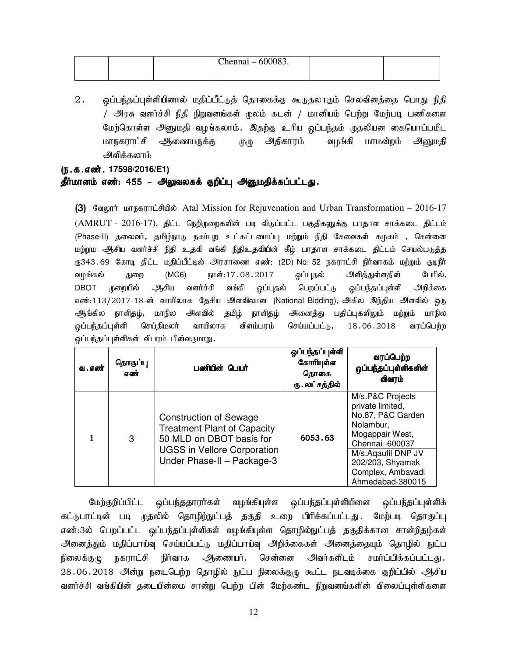|  | $Chennai - 600083.$ |  |
|--|---------------------|--|
|  |                     |  |

2. ஒப்பந்தப்புள்ளியினால் மதிப்பீட்டுத் தொகைக்கு கூடுதலாகும் செலவினத்தை பொது நிதி / அரசு வளர்ச்சி நிதி நிறுவனங்கள் மூலம் கடன் / மானியம் பெற்று மேற்படி பணிகளை மேற்கொள்ள அனுமதி வழங்கலாம். இதற்கு உரிய ஒப்பந்தம் முதலியன கையொப்பமிட மாநகராட்சி ஆணையருக்கு முழு அதிகாரம் வழங்கி மாமன்றம் அனுமதி அளிக்கலாம்

# (ந.க.எண். 17598/2016/E1)

தீர்மானம் எண்: 455 – அலுவலகக் குறிப்பு அனுமதிக்கப்பட்டது.

(3) கேலூர் மாநகராட்சியில் Atal Mission for Rejuvenation and Urban Transformation – 2016-17 (AMRUT - 2016-17), திட்ட நெறிமுறைகளின் படி விடுப்பட்ட பகுதிகளுக்கு பாதாள சாக்கடை திட்டம் (Phase-II) தலைவர், தமிழ்நாடு நகர்புற உட்கட்டமைப்பு மற்றும் நிதி சேவைகள் கழகம் , சென்னை மற்றும ஆசிய வளர்ச்சி நிதி உதவி வங்கி நிதிஉதவியின் கீழ் பாதாள சாக்கடை திட்டம் செயல்படுத்த ரூ343.69 கோடி திட்ட மதிப்பீட்டில் அரசாணை எண்: (2D) No: 52 நகராட்சி நிர்வாகம் மற்றும் குடிநீர் வழங்கல் துறை (MC6) நாள்:17 $.08.2017$  ஒப்புதல் அிித்துள்ளதின் பேரில், DBOT முறையில் ஆசிய வளர்ச்சி வங்கி ஒப்புதல் பெறப்பட்டு ஒப்பந்தப்புள்ளி அறிக்கை எண்:113/2017-18-ன் வாயிலாக தேசிய அளவிலான (National Bidding), அகில இந்திய அளவில் ஒரு அநங்கில நாளிதழ், மாநில அளவில் தமிழ் நாளிதழ் அனைத்து பதிப்புகளிலும் மற்றும் மாநில <u>ஒப்பந்த</u>ப்புள்ளி செய்திமலர் வாயிலாக விளம்பரம் செய்யப்பட்டு,, 18.06.2018 வரப்பெற்ற ஒப்பந்தப்புள்ளிகள் விபரம் பின்வருமாறு.

| வ. எண் | தொகுப்பு<br>எண் | பணியின் பெயர்                                                                                                                                                       | ஓப்பந்தப்புள்ளி<br>கோரியுள்ள<br>தொகை<br>ரு . லட்சத்தில் | வரப்பெற்ற<br>ஒப்பந்தப்புள்ளிகளின்<br>விவரம்                                                                                                                                                     |
|--------|-----------------|---------------------------------------------------------------------------------------------------------------------------------------------------------------------|---------------------------------------------------------|-------------------------------------------------------------------------------------------------------------------------------------------------------------------------------------------------|
|        | 3               | <b>Construction of Sewage</b><br><b>Treatment Plant of Capacity</b><br>50 MLD on DBOT basis for<br><b>UGSS in Vellore Corporation</b><br>Under Phase-II - Package-3 | 6053.63                                                 | M/s.P&C Projects<br>private limited,<br>No.87, P&C Garden<br>Nolambur,<br>Mogappair West,<br>Chennai -600037<br>M/s.Aqaufil DNP JV<br>202/203, Shyamak<br>Complex, Ambavadi<br>Ahmedabad-380015 |

மேற்குறிப்பிட்ட ஒப்பந்ததாரர்கள் வழங்கியுள்ள ஒப்பந்தப்புள்ளியினை ஒப்பந்தப்புள்ளிக் கட்டுபாட்டின் படி முதலில் தொழிற்நுட்பத் தகுதி உறை பிரிக்கப்பட்டது. மேற்படி தொகுப்பு எண்:3ல் பெறப்பட்ட ஒப்பந்தப்புள்ளிகள் வழங்கியுள்ள தொழில்நுட்பத் தகுதிக்கான சான்றிதழ்கள் அனைத்தும் மதிப்பாய்வு செய்யப்பட்டு மதிப்பாய்வு அறிக்கைகள் அனைத்தையும் தொழில் நுட்ப நிலைக்குழு நகராட்சி நிர்வாக ஆணையர், சென்னை அவர்களிடம் சமர்ப்பிக்கப்பட்டது. 28.06.2018 அன்று நடைபெற்ற தொழில் நுட்ப நிலைக்குழு கூட்ட நடவடிக்கை குறிப்பில் ஆசிய வளர்ச்சி வங்கியின் தடையின்மை சான்று பெற்ற பின் மேற்கண்ட நிறுவனங்களின் விலைப்புள்ளிகளை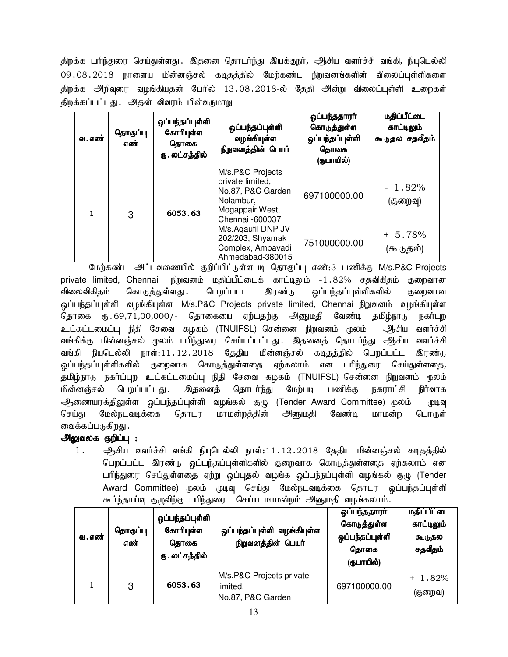திறக்க பரிந்துரை செய்துள்ளது . இதனை தொடர்ந்து இயக்குநர், ஆசிய வளர்ச்சி வங்கி, நியுடெல்லி 09 . 08 . 2018 நாளைய மின்னஞ்சல் கடிதத்தில் மேற்கண்ட நிறுவனங்களின் விலைப்புள்ளிகளை திறக்க அிறிவுரை வழங்கியதன் பேரில் 13.08.2018-ல் தேதி அன்று விலைப்புள்ளி உறைகள் திறக்கப்பட்டது. அதன் விவரம் பின்வருமாறு

| வ . எண் | தொகுப்பு<br>எண் | ஓப்பந்தப்புள்ளி<br>கோரியுள்ள<br>தொகை<br>ரு . லட்சத்தில் | ஒப்பந்தப்புள்ளி<br>வழங்கியுள்ள<br>நிறுவனத்தின் பெயர்                                                         | ஓப்பந்ததாரா்<br>கொடுத்துள்ள<br>ஒப்பந்தப்புள்ளி<br>தொகை<br>(ருபாயில்) | <u>மதிப்பீட்டை</u><br>காட்டிலும்<br>கூடுதல சதவீதம் |
|---------|-----------------|---------------------------------------------------------|--------------------------------------------------------------------------------------------------------------|----------------------------------------------------------------------|----------------------------------------------------|
|         | 3               | 6053.63                                                 | M/s.P&C Projects<br>private limited,<br>No.87, P&C Garden<br>Nolambur,<br>Mogappair West,<br>Chennai -600037 | 697100000.00                                                         | $-1.82%$<br>(குறைவு)                               |
|         |                 |                                                         | M/s. Agaufil DNP JV<br>202/203, Shyamak<br>Complex, Ambavadi<br>Ahmedabad-380015                             | 751000000.00                                                         | $+ 5.78%$<br>(கூடுதல்)                             |

மேற்கண்ட அட்டவணையில் குறிப்பிட்டுள்ளபடி தொகுப்பு எண்:3 பணிக்கு M/s.P&C Projects private limited, Chennai நிறுவனம் மதிப்பீட்டைக் காட்டிலும் -1.82% சதவிகிதம் குறைவான விலைவிகிதம் கொடுத்துள்ளது .பெறப்படட இரண்டு ஒப்பந்தப்புள்ளிகளில் குறைவான ஒப்பந்தப்புள்ளி வழங்கியுள்ள M/s.P&C Projects private limited, Chennai நிறுவனம் வழங்கியுள்ள தொகை ரு.69,71,00,000/- தொகையை ஏற்பதற்கு அனுமதி வேண்டி தமிழ்நாடு நகர்புற உட்கட்டமைப்பு நிதி சேவை கழகம் (TNUIFSL) சென்னை நிறுவனம் மூலம் ஆசிய வளர்ச்சி வங்கிக்கு மின்னஞ்சல் முலம் பரிந்துரை செய்யப்பட்டது. இதனைத் தொடர்ந்து அூசிய வளர்ச்சி வங்கி நியுடெல்லி நாள்:11.12.2018 தேதிய மின்னஞ்சல் கடிதத்தில் பெறப்பட்ட இரண்டு ஒப்பந்தப்புள்ளிகளில் குறைவாக கொடுத்துள்ளதை ஏற்கலாம் என பரிந்துரை செய்துள்ளதை, தமிழ்நாடு நகர்ப்புற உட்கட்டமைப்பு நிதி சேவை கழகம் (TNUIFSL) சென்னை நிறுவனம் மூலம் மின்னஞ்சல் பெறப்பட்டது. இதனைத் தொடர்ந்து மேற்படி பணிக்கு நகராட்சி நிர்வாக ஆணையரக்திலுள்ள ஒப்பந்தப்புள்ளி வழங்கல் குழு (Tender Award Committee) மூலம் முடிவு செய்து மேல்நடவடிக்கை தொடர மாமன்றத்தின் அனுமதி வேண்டி மாமன்ற பொருள் வைக்கப்படுகிறது .

# அலுவலக குறிப்பு :

 $1.$   $\bigoplus$ சிய வளர்ச்சி வங்கி நியுடெல்லி நாள்:11.12.2018 தேதிய மின்னஞ்சல் கடிதத்தில் பெறப்பட்ட இரண்டு ஒப்பந்தப்புள்ளிகளில் குறைவாக கொடுத்துள்ளதை ஏற்கலாம் என பரிந்துரை செய்துள்ளதை ஏற்று ஒப்புதல் வழங்க ஒப்பந்நப்புள்ளி வழங்கல் குழு (Tender Award Committee) மூலம் முடிவு செய்து மேல்நடவடிக்கை தொடர ஒப்பந்தப்புள்ளி கூர்ந்தாய்வு குழுவிற்கு பரிந்துரை செய்ய மாமன்றம் அனுமதி வழங்கலாம்.

| வ . எண் | தொகுப்பு<br>எண் | ஓப்பந்தப்புள்ளி<br>கோரியுள்ள<br>தொகை<br>ரு . லட்சத்தில் | ஒப்பந்தப்புள்ளி வழங்கியுள்ள<br>நிறுவனத்தின் பெயர்         | ஓப்பந்ததாரா்<br>கொடுத்துள்ள<br>ஒப்பந்தப்புள்ளி<br>தொகை<br>(ருபாயில்) | <u>மதிப்பீட்டை</u><br>காட்டிலும்<br>கூடுதல<br>சதவீதம் |
|---------|-----------------|---------------------------------------------------------|-----------------------------------------------------------|----------------------------------------------------------------------|-------------------------------------------------------|
|         | 3               | 6053.63                                                 | M/s.P&C Projects private<br>limited,<br>No.87, P&C Garden | 697100000.00                                                         | $+1.82%$<br>(குறைவு)                                  |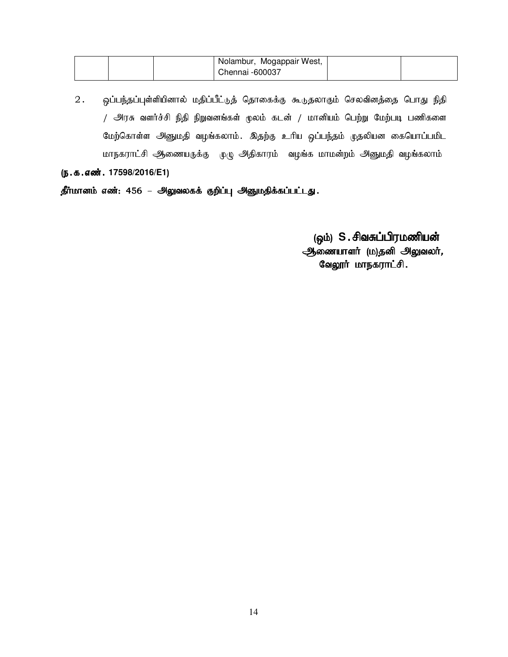|  | Nolambur, Mogappair West, |  |
|--|---------------------------|--|
|  | Chennai -600037           |  |

2. ஒப்பந்தப்புள்ளியினால் மதிப்பீட்டுத் தொகைக்கு கூடுதலாகும் செலவினத்தை பொது நிதி  $/$  அரசு வளர்ச்சி நிதி நிறுவனங்கள் மூலம் கடன் / மானியம் பெற்று மேற்படி பணிகளை மேற்கொள்ள அனுமதி வழங்கலாம். இதற்கு உரிய ஒப்பந்தம் முதலியன கையொப்பமிட மாநகராட்சி ஆணையருக்கு முழு அதிகாரம் வழங்க மாமன்றம் அனுமதி வழங்கலாம்

(ந.க.எண். 17598/2016/E1)

தீர்மானம் எண்: 456 – அலுவலகக் குறிப்பு அனுமதிக்கப்பட்டது.

(ஒம்) S.சிவசுப்பிரமணியன்  $\tilde{\mathcal{A}}$ தை வையாளா் (ம)தனி அலுவலா், வேலூர் மாநகராட்சி.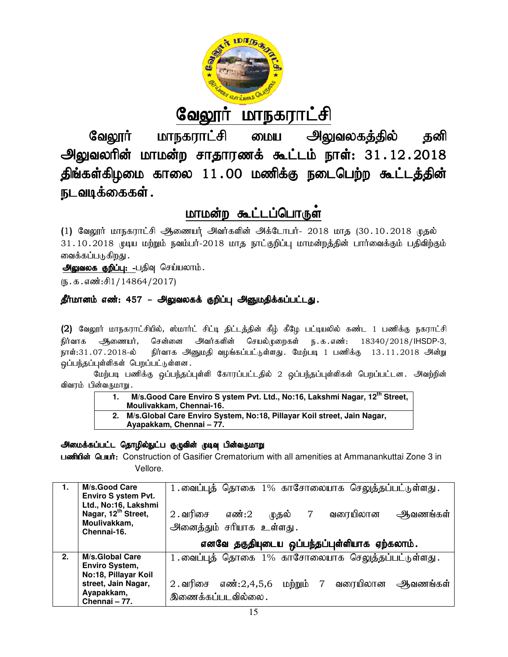

<u>வேலூர் மாநகராட்சி</u>

வேலூர் மாநகராட்சி மைய அலுவலகத்தில் தனி அலுவலரின் மாமன்ற சாதாரணக் கூட்டம் நாள்: 31 திங்கள்கிழமை காலை 11.00 மணிக்கு நடைபெற்ற கூட்டத்தின் நடவடிக்கைகள் .

# <u>மாமன்ற கூட்டப்பொருள</u>்

# தீர்மானம் எண்: 457 – அலுவலகக் குறிப்பு அனுமதிக்கப்பட்டது.

- 1. M/s. Good Care Enviro S ystem Pvt. Ltd., No:16, Lakshmi Nagar, 12<sup>th</sup> Street, **Moulivakkam, Chennai Chennai-16.**
- **2. M/s.Global Care Enviro System, No:18, Pillayar Koil street, Jain Nagar, street, 77.**  Ayapakkam, Chennai - 77.

# அமைக்கப்பட்ட தொழில்நுட்ப குழுவின் முடிவு பின்வருமாறு

|                                                                                                                                                                                                                                                                                                                                                                                                                                                                                                                                                                                                                                                                                                                                                                                                                                                                                                                                      |                                                  |           | வேலூர் மாநகராட்சி மைய அலுவலகத்தில்                                                                                               | தனி               |  |
|--------------------------------------------------------------------------------------------------------------------------------------------------------------------------------------------------------------------------------------------------------------------------------------------------------------------------------------------------------------------------------------------------------------------------------------------------------------------------------------------------------------------------------------------------------------------------------------------------------------------------------------------------------------------------------------------------------------------------------------------------------------------------------------------------------------------------------------------------------------------------------------------------------------------------------------|--------------------------------------------------|-----------|----------------------------------------------------------------------------------------------------------------------------------|-------------------|--|
| அலுவலரின் மாமன்ற சாதாரணக் கூட்டம் நாள்: 31.12.2018                                                                                                                                                                                                                                                                                                                                                                                                                                                                                                                                                                                                                                                                                                                                                                                                                                                                                   |                                                  |           |                                                                                                                                  |                   |  |
| திங்கள்கிழமை காலை 11.00 மணிக்கு நடைபெற்ற கூட்டத்தின்                                                                                                                                                                                                                                                                                                                                                                                                                                                                                                                                                                                                                                                                                                                                                                                                                                                                                 |                                                  |           |                                                                                                                                  |                   |  |
| நடவடிக்கைகள் .                                                                                                                                                                                                                                                                                                                                                                                                                                                                                                                                                                                                                                                                                                                                                                                                                                                                                                                       |                                                  |           |                                                                                                                                  |                   |  |
|                                                                                                                                                                                                                                                                                                                                                                                                                                                                                                                                                                                                                                                                                                                                                                                                                                                                                                                                      | மாமன்ற கூட்டப்பொருள்                             |           |                                                                                                                                  |                   |  |
| (1) வேலூர் மாநகராட்சி ஆணையர் அவர்களின் அக்டோபர்- 2018 மாத (30.10.2018 முதல்<br>31.10.2018 முடிய மற்றும் நவம்பர்-2018 மாத நாட்குறிப்பு மாமன்றத்தின் பார்வைக்கும் பதிவிற்கும்<br>வைக்கப்படுகிறது .<br><u>அலுவலக குறிப்பு: -</u> பதிவு செய்யலாம்.<br>$(D.5.5.5\text{})$                                                                                                                                                                                                                                                                                                                                                                                                                                                                                                                                                                                                                                                                 |                                                  |           |                                                                                                                                  |                   |  |
|                                                                                                                                                                                                                                                                                                                                                                                                                                                                                                                                                                                                                                                                                                                                                                                                                                                                                                                                      |                                                  |           |                                                                                                                                  |                   |  |
| தீர்மானம் எண்: 457 – அலுவலகக் குறிப்பு அனுமதிக்கப்பட்டது.<br>(2) வேலூர் மாநகராட்சியில், ஸ்மார்ட் சிட்டி திட்டத்தின் கீழ் கீழே பட்டியலில் கண்ட 1 பணிக்கு நகராட்சி<br>அவர்களின் செயல்முறைகள் ந.க.எண்: 18340/2018/IHSDP-3,<br><del>ஆ</del> ணையர், சென்னை<br>நிர்வாக<br>நாள்:31.07.2018-ல் நிர்வாக அனுமதி வழங்கப்பட்டுள்ளது. மேற்படி 1 பணிக்கு 13.11.2018 அன்று<br>ஒப்பந்தப்புள்ளிகள் பெறப்பட்டுள்ளன.<br>மேற்படி பணிக்கு ஒப்பந்தப்புள்ளி கோரப்பட்டதில் 2 ஒப்பந்தப்புள்ளிகள் பெறப்பட்டன. அவற்றின்<br>விவரம் பின்வருமாறு.<br>M/s. Good Care Enviro S ystem Pvt. Ltd., No:16, Lakshmi Nagar, 12 <sup>th</sup> Street,<br>1.<br>Moulivakkam, Chennai-16.<br>2. M/s. Global Care Enviro System, No:18, Pillayar Koil street, Jain Nagar,<br>Ayapakkam, Chennai - 77.<br>அமைக்கப்பட்ட தொழில்நுட்ப குழுவின் முடிவு பின்வருமாறு<br>பணியின் பெயர்: Construction of Gasifier Crematorium with all amenities at Ammanankuttai Zone 3 in<br>Vellore. |                                                  |           |                                                                                                                                  |                   |  |
| M/s.Good Care<br>1.<br><b>Enviro S ystem Pvt.</b><br>Ltd., No:16, Lakshmi<br>Nagar, 12 <sup>th</sup> Street,<br>Moulivakkam,<br>Chennai-16.                                                                                                                                                                                                                                                                                                                                                                                                                                                                                                                                                                                                                                                                                                                                                                                          | $2$ . வரிசை<br>எண்:2<br>அனைத்தும் சரியாக உள்ளது. | முதல்     | 1.வைப்புத் தொகை 1% காசோலையாக செலுத்தப்பட்டுள்ளது.<br>வரையிலான<br>$7\overline{ }$<br>எனவே தகுதியுடைய ஒப்பந்தப்புள்ளியாக ஏற்கலாம். | <u>ஆவணங்கள்</u>   |  |
| 2.<br>M/s.Global Care<br>Enviro System,<br>No:18, Pillayar Koil<br>street, Jain Nagar,<br>Ayapakkam,<br>Chennai - 77.                                                                                                                                                                                                                                                                                                                                                                                                                                                                                                                                                                                                                                                                                                                                                                                                                | $2.$ வரிசை எண்: $2,4,5,6$<br>இணைக்கப்படவில்லை.   | மற்றும் 7 | 1.வைப்புத் தொகை 1% காசோலையாக செலுத்தப்பட்டுள்ளது.                                                                                | வரையிலான ஆவணங்கள் |  |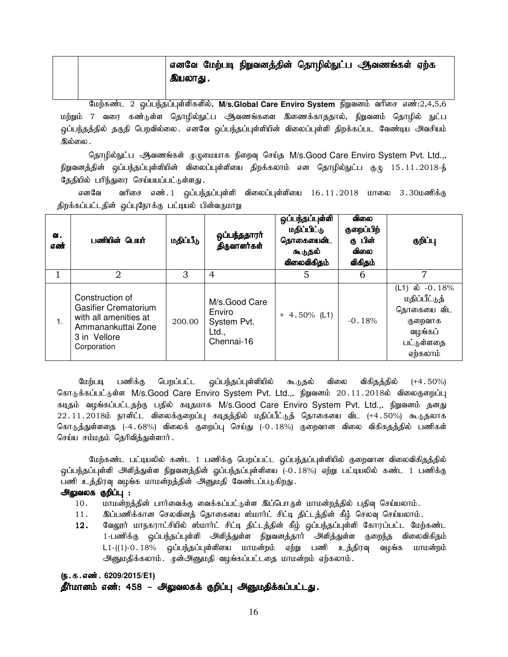|  |         |  | எனவே மேற்படி நிறுவனத்தின் தொழில்நுட்ப ஆவணங்கள் ஏற்க |  |
|--|---------|--|-----------------------------------------------------|--|
|  | இயலாது. |  |                                                     |  |

மேற்கண்ட 2 ஒப்பந்தப்புள்ளிகளில், M/s.Global Care Enviro System நிறுவனம் வரிசை எண்:2,4,5,6 மற்றும் 7 வரை கண்டுள்ள தொழில்நுட்ப ஆவணங்களை இணைக்காததால், நிறுவனம் தொழில் நுட்ப ஒப்பந்தத்தில் தகுதி பெறவில்லை. எனவே ஒப்பந்தப்புள்ளியின் விலைப்புள்ளி திறக்கப்பட வேண்டிய அவசியம் இல்லை .

தொழில்நுட்ப ஆவணங்கள் <sub>(</sub>டிருமையாக நிறைவு செய்த M/s.Good Care Enviro System Pvt. Ltd.,. நிறுவனத்தின் ஒப்பந்தப்புள்ளியின் விலைப்புள்ளியை திறக்கலாம் என தொழில்நுட்ப குழு 15.11.2018-ந் தேதியில் பரிந்துரை செய்யயப்பட்டுள்ளது.

எனவே வரிசை எண். 1 ஒப்பந்தப்புள்ளி விலைப்புள்ளியை 16.11.2018 மாலை 3.30மணிக்கு திறக்கப்பட்டதின் ஒப்புநோக்கு பட்டியல் பின்வருமாறு

| வ.<br>எண் | பணியின் பெயர்                                                                                                                | மதிப்பீடு | ஒப்பந்ததாரா்<br>திருவாளர்கள்                                  | ஒப்பந்தப்புள்ளி<br>மதிப்பிட்டு<br>தொகையைவிட<br>கூடுதல்<br>விலைவிகிதம் | விலை<br>குறைப்பிற்<br>கு பின்<br>ഖിഞഓ<br>விகிதம் | குறிப்பு                                                                                        |
|-----------|------------------------------------------------------------------------------------------------------------------------------|-----------|---------------------------------------------------------------|-----------------------------------------------------------------------|--------------------------------------------------|-------------------------------------------------------------------------------------------------|
|           | 2                                                                                                                            | 3         | 4                                                             | 5                                                                     | 6                                                | 7                                                                                               |
| 1.        | Construction of<br><b>Gasifier Crematorium</b><br>with all amenities at<br>Ammanankuttai Zone<br>3 in Vellore<br>Corporation | 200.00    | M/s.Good Care<br>Enviro<br>System Pvt.<br>Ltd.,<br>Chennai-16 | $+ 4.50\%$ (L1)                                                       | $-0.18%$                                         | (L1) ல் $-0.18%$<br>மதிப்பீட்டுத்<br>தொகையை விட<br>குறைவாக<br>வழங்கப்<br>பட்டுள்ளதை<br>ஏற்கலாம் |

மேற்படி பணிக்கு பெறப்பட்ட ஒப்பந்தப்புள்ளியில் கூடுதல் விலை விகிதத்தில் (+4.50%) கொடுக்கப்பட்டுள்ள M/s.Good Care Enviro System Pvt. Ltd.,. நிறுவனம் 20.11.2018ல் விலைகுறைப்பு கடிதம் வழங்கப்பட்டதற்கு பதில் கடிதமாக M/s.Good Care Enviro System Pvt. Ltd.,. நிறுவனம் தனது  $22.11.2018$ ம் நாளிட்ட விலைக்குறைப்பு கடிதத்தில் மதிப்பீட்டுத் தொகையை விட (+4.50%) கூடுதலாக கொடுத்துள்ளதை (-4.68%) விலைக் குறைப்பு செய்து (-0.18%) குறைவான விலை விகிகதத்தில் பணிகள் செய்ய சம்மதம் தெரிவித்துள்ளார்.

மேற்கண்ட பட்டியலில் கண்ட 1 பணிக்கு பெறப்பட்ட ஒப்பந்தப்புள்ளியில் குறைவான விலைவிகிதத்தில் <u>ஒ</u>ப்பந்தப்புள்ளி அளித்துள்ள நிறுவனத்தின் ஓப்பந்தப்புள்ளியை (-0.18%) ஏற்று பட்டியலில் கண்ட 1 பணிக்கு பணி உத்திரவு வழங்க மாமன்றத்தின் அனுமதி வேண்டப்படுகிறது.

#### அலுவலக குறிப்பு :

- 10. khrin மன்றத்தின் பார்வைக்கு வைக்கப்பட்டுள்ள இப்பொருள் மாமன்றத்தில் பதிவு செய்யலாம்.
- 11. இப்பணிக்கான செலவினத் தொகையை ஸ்மார்ட் சிட்டி திட்டத்தின் கீழ் செலவு செய்யலாம்.
- 12. வேலூர் மாநகராட்சியில் ஸ்மார்ட் சிட்டி திட்டத்தின் கீழ் ஒப்பந்தப்புள்ளி கோரப்பட்ட மேற்கண்ட 1-பணிக்கு ஒப்பந்தப்புள்ளி அளித்துள்ள நிறுவனத்தார் அளித்துள்ள குறைந்த விலைவிகிதம்  $L1-((1)-0.18\%$  ஒப்பந்தப்புள்ளியை மாமன்றம் ஏற்று பணி உத்திரவு வழங்க மாமன்றம் அனுமதிக்கலாம். முன்அனுமதி வழங்கப்பட்டதை மாமன்றம் ஏற்கலாம்.

# (ந.க.எண். 6209/2015/E1)

தீர்மானம் எண்: 458 – அலுவலகக் குறிப்பு அனுமதிக்கப்பட்டது.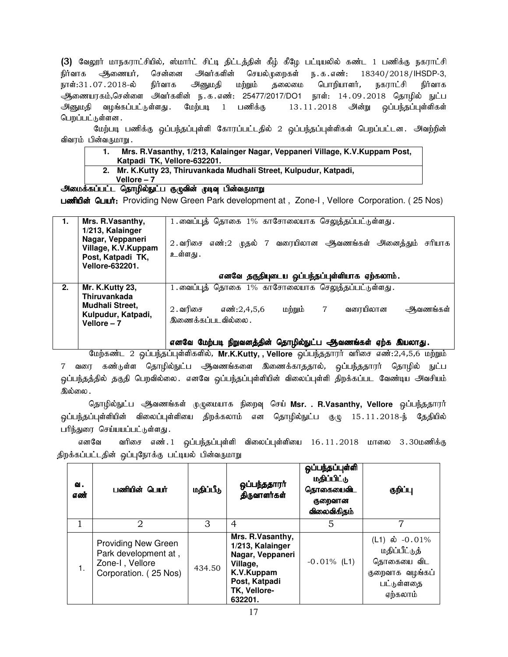(3) வேலூர் மாநகராட்சியில், ஸ்மார்ட் சிட்டி திட்டத்தின் கீழ் கீழே பட்டியலில் கண்ட 1 பணிக்கு நகராட்சி நிர்வாக ஆணையர், சென்னை அவர்களின் செயல்முறைகள் ந.க.எண்: 18340/2018/IHSDP-3, நாள்:31.07.2018-ல் நிர்வாக அனுமதி மற்றும் தலைமை பொறியாளர், நகராட்சி நிர்வாக ஆணையரகம்,சென்ளை அவர்களின் ந.க.எண்: 25477/2017/DO1 நாள்: 14.09.2018 தொழில் நுட்ப அனுமதி வழங்கப்பட்டுள்ளது .மேற்படி 1 பணிக்கு 13.11.2018 அன்று ஒப்பந்தப்புள்ளிகள் பெறப்பட்டுள்ளன .

மேற்படி பணிக்கு ஒப்பந்தப்புள்ளி கோரப்பட்டதில் 2 ஒப்பந்தப்புள்ளிகள் பெறப்பட்டன. அவற்றின் விவரம் பின்வருமாறு.

- **1. Mrs. R.Vasanthy, 1/213, Kalainger Nagar, Veppaneri Village, K.V.Kuppam Post,**
- **Katpadi TK, Vellore-632201.**
- **2. Mr. K.Kutty 23, Thiruvankada Mudhali Street, Kulpudur, Katpadi, Vellore – 7**

# அமைக்கப்பட்ட தொழில்நுட்ப குழுவின் முடிவு பின்வருமாறு

Laming Guuit: Providing New Green Park development at , Zone-I, Vellore Corporation. (25 Nos)

|    | Mrs. R.Vasanthy,<br>1/213, Kalainger<br>Nagar, Veppaneri<br>Village, K.V.Kuppam<br>Post, Katpadi TK,<br><b>Vellore-632201.</b> | 1.வைப்புத் தொகை 1% காசோலையாக செலுத்தப்பட்டுள்ளது.<br>எண்:2 முதல் 7 வரையிலான அவணங்கள் அனைத்தும்<br>சரியாக<br>$2.$ வரிசை<br>உள்ளது . |
|----|--------------------------------------------------------------------------------------------------------------------------------|------------------------------------------------------------------------------------------------------------------------------------|
|    |                                                                                                                                | எனவே தகுதியுடைய ஒப்பந்தப்புள்ளியாக ஏற்கலாம்.                                                                                       |
| 2. | Mr. K.Kutty 23,<br><b>Thiruvankada</b>                                                                                         | 1.வைப்புத் தொகை 1% காசோலையாக செலுத்தப்பட்டுள்ளது.                                                                                  |
|    | Mudhali Street,<br>Kulpudur, Katpadi,<br>Vellore - 7                                                                           | மற்றும்<br>$\overline{7}$<br>வரையிலான<br>$2.$ வரிசை<br>எண்:2.4.5.6<br>ஆவணங்கள்<br>இணைக்கப்படவில்லை .                               |
|    |                                                                                                                                | எனவே மேற்படி நிறுவனத்தின் தொழில்நுட்ப ஆவணங்கள் ஏற்க இயலாது.                                                                        |

மேற்கண்ட 2 ஒப்பந்தப்புள்ளிகளில், Mr.K.Kutty, , Vellore ஒப்பந்ததாரர் வரிசை எண்:2,4,5,6 மற்றும் 7 வரை கண்டுள்ள தொழில்நுட்ப ஆவணங்களை இணைக்காததால், ஒப்பந்ததாரர் தொழில் நுட்ப ஒப்பந்தத்தில் தகுதி பெறவில்லை. எனவே ஒப்பந்தப்புள்ளியின் விலைப்புள்ளி திறக்கப்பட வேண்டிய அவசியம் இல்லை .

தொழில்நுட்ப <del>அ</del>வணங்கள் முழுமையாக நிறைவு செய் **Msr. . R.Vasanthy, Vellore** ஒப்பந்ததாரா <u>ஒ</u>ப்பந்தப்புள்ளியின் விலைப்புள்ளியை திறக்கலாம் என தொழில்நுட்ப குழு 15.11.2018-ந் தேதியில் பரிந்துரை செய்யயப்பட்டுள்ளது.

எனவே வரிசை எண்.1 ஒப்பந்தப்புள்ளி விலைப்புள்ளியை 16.11.2018 மாலை 3.30மணிக்கு திறக்கப்பட்டதின் ஒப்புநோக்கு பட்டியல் பின்வருமாறு

| ഖ.<br>எண் | பணியின் பெயர்                                                                                  | மதிப்பீடு | ஒப்பந்ததாரா்<br>திருவாளர்கள்                                                                                                   | ஒப்பந்தப்புள்ளி<br>மதிப்பிட்டு<br>தொகையைவிட<br>குறைவான<br>விலைவிகிதம் | குறிப்பு                                                                                      |
|-----------|------------------------------------------------------------------------------------------------|-----------|--------------------------------------------------------------------------------------------------------------------------------|-----------------------------------------------------------------------|-----------------------------------------------------------------------------------------------|
| 1         | 2                                                                                              | З         | 4                                                                                                                              | 5                                                                     |                                                                                               |
| 1.        | <b>Providing New Green</b><br>Park development at,<br>Zone-I, Vellore<br>Corporation. (25 Nos) | 434.50    | Mrs. R.Vasanthy,<br>1/213, Kalainger<br>Nagar, Veppaneri<br>Village,<br>K.V.Kuppam<br>Post, Katpadi<br>TK, Vellore-<br>632201. | $-0.01\%$ (L1)                                                        | (L1) ல் $-0.01\%$<br>மதிப்பீட்டுத்<br>தொகையை விட<br>குறைவாக வழங்கப்<br>பட்டுள்ளதை<br>ஏற்கலாம் |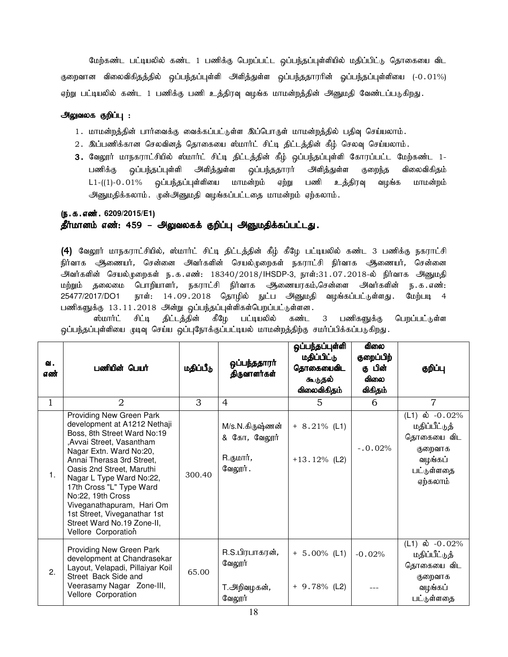மேற்கண்ட பட்டியலில் கண்ட 1 பணிக்கு பெறப்பட்ட ஒப்பந்தப்புள்ளியில் மதிப்பிட்டு தொகையை விட குறைவான விலைவிகிதத்தில் ஒப்பந்தப்புள்ளி அளித்துள்ள ஒப்பந்ததாரரின் ஓப்பந்தப்புள்ளியை (-0.01%) ஏற்று பட்டியலில் கண்ட 1 பணிக்கு பணி உத்திரவு வழங்க மாமன்றத்தின் அனுமதி வேண்டப்படுகிறது.

#### அலுவலக குறிப்பு :

- 1. மாமன்றத்தின் பார்வைக்கு வைக்கப்பட்டுள்ள இப்பொருள் மாமன்றத்தில் பதிவு செய்யலாம்.
- 2. இப்பணிக்கான செலவினத் தொகையை ஸ்மார்ட் சிட்டி திட்டத்தின் கீழ் செலவு செய்யலாம்.
- 3. வேலூர் மாநகராட்சியில் ஸ்மார்ட் சிட்டி திட்டத்தின் கீழ் ஒப்பந்தப்புள்ளி கோரப்பட்ட மேற்கண்ட 1-பணிக்கு ஒப்பந்தப்புள்ளி அளித்துள்ள ஒப்பந்ததாரர் அளித்துள்ள குறைந்த விலைவிகிதம்  $L1-(1)-0.01%$  ஒப்பந்தப்புள்ளியை மாமன்றம் ஏற்று பணி உத்திரவு வழங்க மாமன்றம் அனுமதிக்கலாம். முன்அனுமதி வழங்கப்பட்டதை மாமன்றம் ஏற்கலாம்.

#### (ந.க.எண். 6209/2015/E1)

#### தீர்மானம் எண்: 459 – அலுவலகக் குறிப்பு அனுமதிக்கப்பட்டது.

(4) வேலூர் மாநகராட்சியில், ஸ்மார்ட் சிட்டி திட்டத்தின் கீழ் கீழே பட்டியலில் கண்ட 3 பணிக்கு நகராட்சி நிர்வாக ஆணையர், சென்னை அவர்களின் செயல்முறைகள் நகராட்சி நிர்வாக ஆணையர், சென்னை அவர்களின் செயல்முறைகள் ந.க.எண்: 18340/2018/IHSDP-3, நாள்:31.07.2018-ல் நிர்வாக அனுமதி மற்றும் தலைமை பொறியாளர், நகராட்சி நிர்வாக ஆணையரகம்,சென்ளை அவர்களின் ந.க.எண்: 25477/2017/DO1 நாள்: 14.09.2018 தொழில் நுட்ப அனுமதி வழங்கப்பட்டுள்ளது. மேற்படி 4 பணிகளுக்கு 13.11.2018 அன்று ஒப்பந்தப்புள்ளிகள்பெறப்பட்டுள்ளன.

ஸ்மார்ட் சிட்டி திட்டத்தின் கீழே பட்டியலில் கண்ட 3 பணிகளுக்கு பெறப்பட்டுள்ள ஒப்பந்தப்புள்ளியை முடிவு செய்ய ஒப்புநோக்குப்பட்டியல் மாமன்றத்திற்கு சமர்ப்பிக்கப்படுகிறது.

| வ.<br>எண்    | பணியின் பெயர்                                                                                                                                                                                                                                                                                                                                                                                            | மதிப்பீடு | ஒப்பந்ததாரா்<br>திருவாளர்கள்                                    | ஒப்பந்தப்புள்ளி<br>மதிப்பிட்டு<br>தொகையைவிட<br>கூடுதல்<br>விலைவிகிதம் | ഖിഞഓ<br>குறைப்பிற்<br>கு பின்<br>விலை<br>விகிதம் | குறிப்பு                                                                                         |
|--------------|----------------------------------------------------------------------------------------------------------------------------------------------------------------------------------------------------------------------------------------------------------------------------------------------------------------------------------------------------------------------------------------------------------|-----------|-----------------------------------------------------------------|-----------------------------------------------------------------------|--------------------------------------------------|--------------------------------------------------------------------------------------------------|
| $\mathbf{1}$ | 2                                                                                                                                                                                                                                                                                                                                                                                                        | 3         | $\overline{4}$                                                  | 5                                                                     | 6                                                | $\overline{7}$                                                                                   |
| 1.           | Providing New Green Park<br>development at A1212 Nethaji<br>Boss, 8th Street Ward No:19<br>, Avvai Street, Vasantham<br>Nagar Extn. Ward No:20,<br>Annai Therasa 3rd Street,<br>Oasis 2nd Street, Maruthi<br>Nagar L Type Ward No:22,<br>17th Cross "L" Type Ward<br>No:22, 19th Cross<br>Viveganathapuram, Hari Om<br>1st Street, Viveganathar 1st<br>Street Ward No.19 Zone-II,<br>Vellore Corporation | 300.40    | M/s.N.கிருஷ்ணன்<br>& கோ, வேலூர்<br>R.குமார் <i>,</i><br>வேலூர். | $+ 8.21\%$ (L1)<br>$+13.12\%$ (L2)                                    | $-.0.02%$                                        | (L1) ல் $-0.02\%$<br>மதிப்பீட்டுத்<br>தொகையை விட<br>குறைவாக<br>வழங்கப்<br>பட்டுள்ளதை<br>ஏற்கலாம் |
| 2.           | Providing New Green Park<br>development at Chandrasekar<br>Layout, Velapadi, Pillaiyar Koil<br>Street Back Side and<br>Veerasamy Nagar Zone-III,<br>Vellore Corporation                                                                                                                                                                                                                                  | 65.00     | R.S.பிரபாகரன்,<br>வேலூர்<br>T.அறிவழகன் <i>,</i><br>வேலூர்       | $+ 5.00\%$ (L1)<br>$+ 9.78%$ (L2)                                     | $-0.02%$                                         | (L1) ல் $-0.02\%$<br>மதிப்பீட்டுத்<br>தொகையை விட<br>குறைவாக<br>வழங்கப்<br>பட்டுள்ளதை             |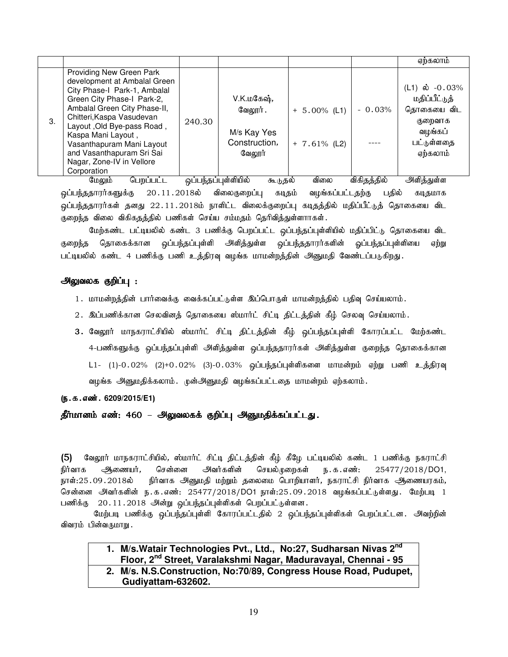|    |                                                                                                                                                                                                                                                                                                                                               |        |                                                                  |                                    |          | ஏற்கலாம்                                                                                         |
|----|-----------------------------------------------------------------------------------------------------------------------------------------------------------------------------------------------------------------------------------------------------------------------------------------------------------------------------------------------|--------|------------------------------------------------------------------|------------------------------------|----------|--------------------------------------------------------------------------------------------------|
| 3. | Providing New Green Park<br>development at Ambalal Green<br>City Phase-I Park-1, Ambalal<br>Green City Phase-I Park-2,<br>Ambalal Green City Phase-II,<br>Chitteri, Kaspa Vasudevan<br>Layout, Old Bye-pass Road,<br>Kaspa Mani Layout,<br>Vasanthapuram Mani Layout<br>and Vasanthapuram Sri Sai<br>Nagar, Zone-IV in Vellore<br>Corporation | 240.30 | V.K.மகேஷ்,<br>வேலூர் .<br>M/s Kay Yes<br>Construction,<br>வேலூர் | $+ 5.00\%$ (L1)<br>$+ 7.61\%$ (L2) | $-0.03%$ | (L1) ல் $-0.03\%$<br>மதிப்பீட்டுத்<br>தொகையை விட<br>குறைவாக<br>வழங்கப்<br>பட்டுள்ளதை<br>ஏற்கலாம் |

மேலும் பெறப்பட்ட ஒப்பந்தப்புள்ளியில் கூடுதல் விலை விகிதத்தில் அிளித்துள்ள <u>ஒ</u>ப்பந்ததாரர்களுக்கு 20.11.2018ல் விலைகுறைப்பு கடிதம் வழங்கப்பட்டதற்கு பதில் கடிதமாக .<br>ஒப்பந்ததாரர்கள் தனது 22.11.2018ம் நாளிட்ட விலைக்குறைப்பு கடிதத்தில் மதிப்பீட்டுத் தொகையை விட குறைந்த விலை விகிகதத்தில் பணிகள் செய்ய சம்மதம் தெரிவித்துள்ளாாகள்.

மேற்கண்ட பட்டியலில் கண்ட 3 பணிக்கு பெறப்பட்ட <u>ஒ</u>ப்பந்தப்புள்ளியில் மதிப்பிட்டு தொகையை விட குறைந்த தொகைக்கான ஒப்பந்தப்புள்ளி அளித்துள்ள ஒப்பந்ததாரர்களின் ஓப்பந்தப்புள்ளியை ஏற்று பட்டியலில் கண்ட 4 பணிக்கு பணி உத்திரவு வழங்க மாமன்றத்தின் அ<u>னு</u>மதி வேண்டப்படுகிறது.

# அலுவலக குறிப்பு :

- 1. மாமன்றத்தின் பார்வைக்கு வைக்கப்பட்டுள்ள இப்பொருள் மாமன்றத்தில் பதிவு செய்யலாம்.
- 2. இப்பணிக்கான செலவினத் தொகையை ஸ்மார்ட் சிட்டி திட்டத்தின் கீழ் செலவு செய்யலாம்.
- 3. வேலூர் மாநகராட்சியில் ஸ்மார்ட் சிட்டி திட்டத்தின் கீழ் ஒப்பந்தப்புள்ளி கோரப்பட்ட மேற்கண்ட 4-பணிகளுக்கு ஒப்பந்தப்புள்ளி அளித்துள்ள ஒப்பந்ததாரர்கள் அளித்துள்ள குறைந்த தொகைக்கான  $L1-$  (1)-0.02% (2)+0.02% (3)-0.03% ஒப்பந்தப்புள்ளிகளை மாமன்றம் ஏற்று பணி உத்திரவு வழங்க அனுமதிக்கலாம். முன்அனுமதி வழங்கப்பட்டதை மாமன்றம் ஏற்கலாம்.

#### (ந.க.எண். 6209/2015/E1)

தீர்மானம் எண்: 460 – அலுவலகக் குறிப்பு அனுமதிக்கப்பட்டது.

(5) வேலூர் மாநகராட்சியில், ஸ்மார்ட் சிட்டி திட்டத்தின் கீழ் கீழே பட்டியலில் கண்ட 1 பணிக்கு நகராட்சி நிர்வாக அிணையர், சென்னை அவர்களின் செயல்முறைகள் ந.க.எண்: 25477/2018/DO1, நாள்:25.09.2018ல் நிர்வாக அனுமதி மற்றும் தலைமை பொறியாளர், நகராட்சி நிர்வாக ஆணையரகம், சென்னை அவர்களின் ந.க.எண்: 25477/2018/DO1 நாள்:25.09.2018 வழங்கப்பட்டுள்ளது. மேற்படி 1 பணிக்கு 20.11.2018 அன்று ஒப்பந்தப்புள்ளிகள் பெறப்பட்டுள்ளன.

மேற்படி பணிக்கு ஒப்பந்தப்புள்ளி கோரப்பட்டதில் 2 ஒப்பந்தப்புள்ளிகள் பெறப்பட்டன. அவற்றின் விவரம் பின்வருமாறு.

# **1. M/s.Watair Technologies Pvt., Ltd., No:27, Sudharsan Nivas 2nd Floor, 2nd Street, Varalakshmi Nagar, Maduravayal, Chennai - 95 2. M/s. N.S.Construction, No:70/89, Congress House Road, Pudupet, Gudiyattam-632602.**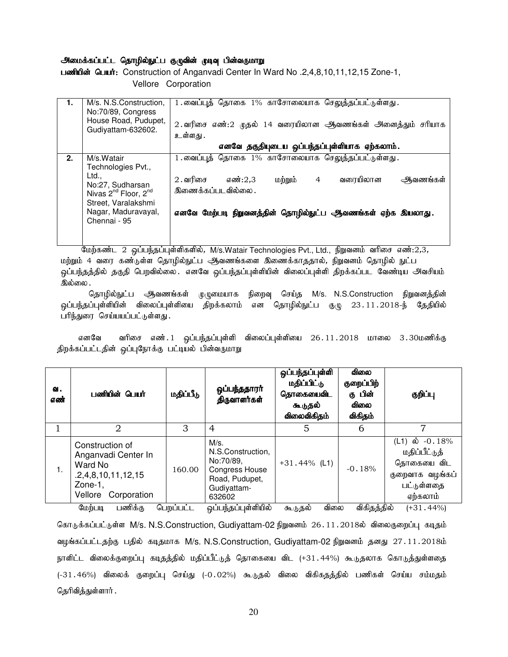#### அமைக்கப்பட்ட தொழில்நுட்ப குழுவின் முடிவு பின்வருமாறு

ussiulusing Culturit: Construction of Anganvadi Center In Ward No .2,4,8,10,11,12,15 Zone-1, Vellore Corporation

|    | M/s. N.S.Construction,<br>No:70/89, Congress<br>House Road, Pudupet,<br>Gudiyattam-632602.                                                                                  | 1.வைப்புத் தொகை 1% காசோலையாக செலுத்தப்பட்டுள்ளது.<br>2. வரிசை எண்:2 முதல் 14 வரையிலான ஆவணங்கள் அனைத்தும் சரியாக<br>உள்ளது .                                                                                               |
|----|-----------------------------------------------------------------------------------------------------------------------------------------------------------------------------|---------------------------------------------------------------------------------------------------------------------------------------------------------------------------------------------------------------------------|
|    |                                                                                                                                                                             | எனவே தகுதியுடைய ஒப்பந்தப்புள்ளியாக ஏற்கலாம்.                                                                                                                                                                              |
| 2. | M/s.Watair<br>Technologies Pvt.,<br>Ltd.,<br>No:27, Sudharsan<br>Nivas 2 <sup>nd</sup> Floor, 2 <sup>nd</sup><br>Street, Varalakshmi<br>Nagar, Maduravayal,<br>Chennai - 95 | $\overline{1}$ . வைப்புத் தொகை $1\%$ காசோலையாக செலுத்தப்பட்டுள்ளது.<br>$2.$ வரிசை<br>மற்றும்<br>வரையிலான<br>எண்:2.3<br>ஆவணங்கள்<br>4<br>இணைக்கப்படவில்லை .<br>எனவே மேற்படி நிறுவனத்தின் தொழில்நுட்ப ஆவணங்கள் ஏற்க இயலாது. |

மேற்கண்ட 2 ஒப்பந்தப்புள்ளிகளில், M/s.Watair Technologies Pvt., Ltd., நிறுவனம் வரிசை எண்:2,3, மற்றும் 4 வரை கண்டுள்ள தொழில்நுட்ப ஆவணங்களை இணைக்காததால், நிறுவனம் தொழில் நுட்ப ஒப்பந்தத்தில் தகுதி பெறவில்லை. எனவே ஒப்பந்தப்புள்ளியின் விலைப்புள்ளி திறக்கப்பட வேண்டிய அவசியம் இல்லை .

தொழில்நுட்ப ஆவணங்கள் முழுமையாக நிறைவு செய்த M/s. N.S.Construction நிறுவனத்தின் <u>ஒ</u>ப்பந்தப்புள்ளியின் விலைப்புள்ளியை திறக்கலாம் என தொழில்நுட்ப குழு 23.11.2018-ந் தேதியில் பரிந்துரை செய்யயப்பட்டுள்ளது.

எனவே வரிசை எண்.1 ஒப்பந்தப்புள்ளி விலைப்புள்ளியை 26.11.2018 மாலை 3.30மணிக்கு திறக்கப்பட்டதின் ஒப்புநோக்கு பட்டியல் பின்வருமாறு

|                                                | பணியின் பெயர்<br>2                                                                     | மதிப்பீடு<br>3      | ஒப்பந்ததாரா்<br>திருவாளர்கள்<br>4                                                                                                 | தொகையைவிட<br>கூடுதல்<br>விலைவிகிதம்<br>5 | கு பின்<br>ഖിതல<br>விகிதம்<br>6 | குறிப்பு<br>7                                                                                  |
|------------------------------------------------|----------------------------------------------------------------------------------------|---------------------|-----------------------------------------------------------------------------------------------------------------------------------|------------------------------------------|---------------------------------|------------------------------------------------------------------------------------------------|
| Ward No<br>1.<br>Zone-1,<br>Vellore<br>மேற்படி | Construction of<br>Anganvadi Center In<br>.2,4,8,10,11,12,15<br>Corporation<br>பணிக்கு | 160.00<br>பெறப்பட்ட | M/s.<br>N.S.Construction,<br>No:70/89.<br><b>Congress House</b><br>Road, Pudupet,<br>Gudiyattam-<br>632602<br>ஒப்பந்தப்புள்ளியில் | $+31.44\%$ (L1)<br>விலை                  | $-0.18%$<br>விகிதத்தில்         | $(L1)$ ல் $-0.18%$<br>மதிப்பீட்டுத்<br>தொகையை விட<br>குறைவாக வழங்கப்<br>பட்டுள்ளதை<br>ஏற்கலாம் |

கொடுக்கப்பட்டுள்ள M/s. N.S.Construction, Gudiyattam-02 நிறுவனம் 26.11.2018ல் விலைகுறைப்பு கடிதம் வழங்கப்பட்டதற்கு பதில் கடிதமாக M/s. N.S.Construction, Gudiyattam-02 நிறுவனம் தனது 27.11.2018ம் நாளிட்ட விலைக்குறைப்பு கடிதத்தில் மதிப்பீட்டுத் தொகையை விட (+31.44%) கூடுதலாக கொடுத்துள்ளதை (-31.46%) விலைக் குறைப்பு செய்து (-0.02%) கூடுதல் விலை விகிகதத்தில் பணிகள் செய்ய சம்மதம் தெரிவித்துள்ளார் .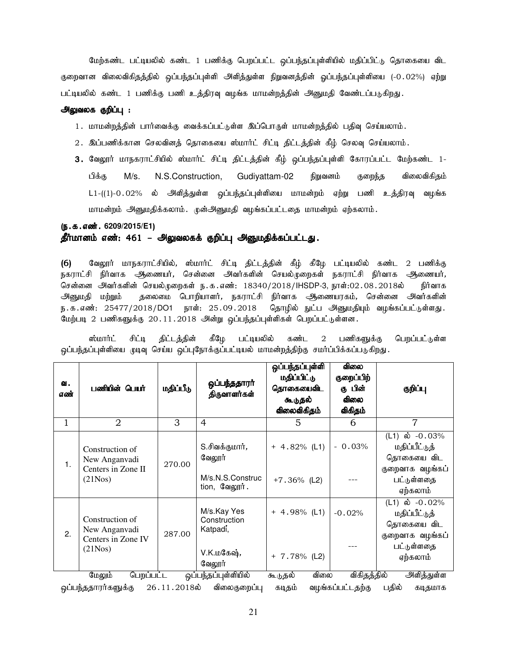மேற்கண்ட பட்டியலில் கண்ட 1 பணிக்கு பெறப்பட்ட ஒப்பந்தப்புள்ளியில் மதிப்பிட்டு தொகையை விட குறைவான விலைவிகிதத்தில் ஒப்பந்தப்புள்ளி அளித்துள்ள நிறுவனத்தின் ஓப்பந்தப்புள்ளியை (-0.02%) ஏற்று பட்டியலில் கண்ட 1 பணிக்கு பணி உத்திரவு வழங்க மாமன்றத்தின் அனுமதி வேண்டப்படுகிறது.

#### அலுவலக குறிப்பு :

- 1. மாமன்றத்தின் பார்வைக்கு வைக்கப்பட்டுள்ள இப்பொருள் மாமன்றத்தில் பதிவு செய்யலாம்.
- 2. இப்பணிக்கான செலவினத் தொகையை ஸ்மார்ட் சிட்டி திட்டத்தின் கீழ் செலவு செய்யலாம்.
- 3. வேலூர் மாநகராட்சியில் ஸ்மார்ட் சிட்டி திட்டத்தின் கீழ் ஒப்பந்தப்புள்ளி கோரப்பட்ட மேற்கண்ட 1-பிக்கு M/s. N.S.Construction, Gudiyattam-02 நிறுவனம் குறைந்த விலைவிகிதம் L1-((1)-0.02% ல் அிளித்துள்ள ஒப்பந்தப்புள்ளியை மாமன்றம் ஏற்று பணி உத்திரவு வழங்க மாமன்றம் அனுமதிக்கலாம். முன்அனுமதி வழங்கப்பட்டதை மாமன்றம் ஏற்கலாம்.

#### (ந.க.எண். 6209/2015/E1) தீர்மானம் எண்: 461 – அலுவலகக் குறிப்பு அனுமதிக்கப்பட்டது.

(6) வேலூர் மாநகராட்சியில், ஸ்மார்ட் சிட்டி திட்டத்தின் கீழ் கீழே பட்டியலில் கண்ட 2 பணிக்கு நகராட்சி நிர்வாக அிணையர், சென்னை அவர்களின் செயல்முறைகள் நகராட்சி நிர்வாக அணையர், சென்னை அவர்களின் செயல்முறைகள் ந.க.எண்: 18340/2018/IHSDP-3, நாள்:02.08.2018ல் நிர்வாக அனுமதி மற்றும் தலைமை பொறியாளர், நகராட்சி நிர்வாக ஆணையரகம், சென்னை அவர்களின் ந.க.எண்: 25477/2018/DO1 நாள்: 25.09.2018 தொழில் நுட்ப அனுமதியும் வழங்கப்பட்டுள்ளது. மேற்படி 2 பணிகளுக்கு 20.11.2018 அன்று ஒப்பந்தப்புள்ளிகள் பெறப்பட்டுள்ளன.

ஸ்மார்ட் சிட்டி திட்டத்தின் கீழே பட்டியலில் கண்ட 2 பணிகளுக்கு பெறப்பட்டுள்ள ஒப்பந்தப்புள்ளியை முடிவு செய்ய ஒப்புநோக்குப்பட்டியல் மாமன்றத்திற்கு சமா்ப்பிக்கப்படுகிறது.

| வ.<br>எண் | பணியின் பெயர்                                          | மதிப்பீடு       | ஒப்பந்ததாரா்<br>திருவாளர்கள்            | ஒப்பந்தப்புள்ளி<br>மதிப்பிட்டு<br>தொகையைவிட<br>கூடுதல்<br>விலைவிகிதம் | விலை<br>குறைப்பிற்<br>கு பின்<br><b>விலை</b><br>விகிதம் | குறிப்பு                                                            |
|-----------|--------------------------------------------------------|-----------------|-----------------------------------------|-----------------------------------------------------------------------|---------------------------------------------------------|---------------------------------------------------------------------|
| 1         | $\overline{2}$                                         | 3               | $\overline{4}$                          | 5                                                                     | 6                                                       | $\overline{7}$                                                      |
| 1.        | Construction of<br>New Anganvadi                       | 270.00          | S.சிவக்குமார் <i>,</i><br>வேலூர்        | $+ 4.82%$ (L1)                                                        | $-0.03%$                                                | (L1) ல் $-0.03%$<br>மதிப்பீட்டுத்<br>தொகையை விட                     |
|           | Centers in Zone II<br>(21Nos)                          |                 | M/s.N.S.Construc<br>tion, வேலூர்.       | $+7.36\%$ (L2)                                                        |                                                         | குறைவாக வழங்கப்<br>பட்டுள்ளதை<br>ஏற்கலாம்                           |
| 2.        | Construction of<br>New Anganvadi<br>Centers in Zone IV | 287.00          | M/s.Kay Yes<br>Construction<br>Katpadi, | $+ 4.98\%$ (L1)                                                       | $-0.02%$                                                | (L1) ல் $-0.02\%$<br>மதிப்பீட்டுத்<br>தொகையை விட<br>குறைவாக வழங்கப் |
|           | (21Nos)                                                |                 | V.K.மகேஷ்,<br>வேலூர்                    | $+ 7.78\%$ (L2)                                                       |                                                         | பட்டுள்ளதை<br>ஏற்கலாம்                                              |
|           | பெறப்பட்ட<br>மேலும்                                    |                 | ஒப்பந்தப்புள்ளியில்                     | விலை<br>கூடுதல்                                                       | விகிதத்தில்                                             | அளித்துள்ள                                                          |
|           | ஒப்பந்ததாரர்களுக்கு                                    | $26.11.2018$ ல் | விலைகுறைப்பு                            | கடிதம்                                                                | வழங்கப்பட்டதற்கு                                        | பதில்<br>கடிதமாக                                                    |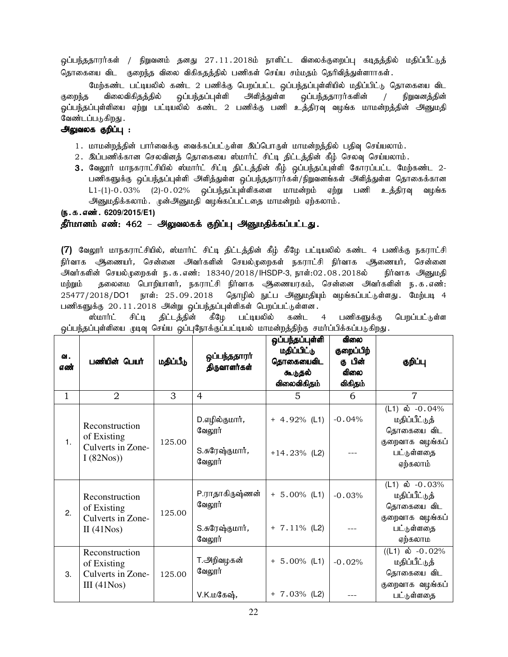<u>ஒ</u>ப்பந்ததாரர்கள் / நிறுவனம் தனது 27.11.2018ம் நாளிட்ட விலைக்குறைப்பு கடிதத்தில் மதிப்பீட்டுத் தொகையை விட குறைந்த விலை விகிகதத்தில் பணிகள் செய்ய சம்மதம் தெரிவித்துள்ளாாகள்.

மேற்கண்ட பட்டியலில் கண்ட 2 பணிக்கு பெறப்பட்ட <u>ஒ</u>ப்பந்தப்புள்ளியில் மதிப்பிட்டு தொகையை விட குறைந்த விலைவிகிதத்தில் ஒப்பந்தப்புள்ளி அளித்துள்ள ஒப்பந்ததாரர்களின் / நிறுவனத்தின் <u>ஓ</u>ப்பந்தப்புள்ளியை ஏற்று பட்டியலில் கண்ட 2 பணிக்கு பணி உத்திரவு வழங்க மாமன்றத்தின் அனுமதி வேண்டப்படுகிறது .

#### அலுவலக குறிப்பு :

- 1. மாமன்றத்தின் பார்வைக்கு வைக்கப்பட்டுள்ள இப்பொருள் மாமன்றத்தில் பதிவு செய்யலாம்.
- 2. இப்பணிக்கான செலவினத் தொகையை ஸ்மார்ட் சிட்டி திட்டத்தின் கீழ் செலவு செய்யலாம்.
- 3. வேலூர் மாநகராட்சியில் ஸ்மார்ட் சிட்டி திட்டத்தின் கீழ் ஒப்பந்தப்புள்ளி கோரப்பட்ட மேற்கண்ட 2-பணிகளுக்கு ஒப்பந்தப்புள்ளி அளித்துள்ள ஒப்பந்ததாரர்கள்/நிறுவனங்கள் அளித்துள்ள தொகைக்கான  $L1-(1)-0.03\%$  (2)- $0.02\%$  ஒப்பந்தப்புள்ளிகளை மாமன்றம் ஏற்று பணி உத்திரவு வழங்க அனுமதிக்கலாம். முன்அனுமதி வழங்கப்பட்டதை மாமன்றம் ஏற்கலாம்.

(ந.க.எண். 6209/2015/E1)

#### தீர்மானம் எண்: 462 – அலுவலகக் குறிப்பு அனுமதிக்கப்பட்டது.

 $(7)$  வேலூர் மாநகராட்சியில், ஸ்மார்ட் சிட்டி திட்டத்தின் கீழ் கீழே பட்டியலில் கண்ட 4 பணிக்கு நகராட்சி நிர்வாக ஆணையர், சென்னை அவர்களின் செயல்முறைகள் நகராட்சி நிர்வாக ஆணையர், சென்னை அவர்களின் செயல்முறைகள் ந.க.எண்: 18340/2018/IHSDP-3, நாள்:02.08.2018ல் நிர்வாக அனுமதி மற்றும் தலைமை பொறியாளர், நகராட்சி நிர்வாக ஆணையரகம், சென்னை அவர்களின் ந. க . எண்: 25477/2018/DO1 நாள்: 25.09.2018 தொழில் நுட்ப அனுமதியும் வழங்கப்பட்டுள்ளது. மேற்படி 4 பணிகளுக்கு 20.11.2018 அன்று ஒப்பந்தப்புள்ளிகள் பெறப்பட்டுள்ளன.

ஸ்மார்ட் சிட்டி திட்டத்தின் கீழே பட்டியலில் கண்ட 4 பணிகளுக்கு பெறப்பட்டுள்ள ஒப்பந்தப்புள்ளியை முடிவு செய்ய ஒப்புநோக்குப்பட்டியல் மாமன்றத்திற்கு சமர்ப்பிக்கப்படுகிறது.

| வ.<br>எண் | பணியின் பெயர்                                                      | மதிப்பீடு | ஒப்பந்ததாரா்<br>திருவாளர்கள்                                   | ஒப்பந்தப்புள்ளி<br>மதிப்பிட்டு<br>தொகையைவிட<br>கூடுதல்<br>விலைவிகிதம் | விலை<br>குறைப்பிற்<br>கு பின்<br><b>விலை</b><br>விகிதம் | குறிப்பு                                                                                                     |
|-----------|--------------------------------------------------------------------|-----------|----------------------------------------------------------------|-----------------------------------------------------------------------|---------------------------------------------------------|--------------------------------------------------------------------------------------------------------------|
| 1         | $\overline{2}$                                                     | 3         | 4                                                              | 5                                                                     | 6                                                       | $\overline{7}$                                                                                               |
| 1.        | Reconstruction<br>of Existing<br>Culverts in Zone-<br>I(82Nos)     | 125.00    | D.எழில்குமார்,<br>வேலூர்<br>S.சுரேஷ்குமார்,<br>வேலூர்          | $+ 4.92\%$ (L1)<br>$+14.23\%$ (L2)                                    | $-0.04%$                                                | (L1) ல் $-0.04\%$<br>மதிப்பீட்டுத்<br>தொகையை விட<br>குறைவாக வழங்கப்<br>பட்டுள்ளதை<br>ஏற்கலாம்                |
| 2.        | Reconstruction<br>of Existing<br>Culverts in Zone-<br>II $(41Nos)$ | 125.00    | P.ராதாகிருஷ்ணன்<br>வேலூர்<br>S.சுரேஷ்குமார் <i>,</i><br>வேலூர் | $+ 5.00\%$ (L1)<br>$+ 7.11\%$ (L2)                                    | $-0.03%$                                                | (L1) ல் $-0.03%$<br>மதிப்பீட்டுத்<br>தொகையை விட<br>குறைவாக வழங்கப்<br>பட்டுள்ளதை<br>ஏற்கலாம                  |
| 3.        | Reconstruction<br>of Existing<br>Culverts in Zone-<br>III(41Nos)   | 125.00    | T.அறிவழகன்<br>வேலூர்<br>V.K.மகேஷ்,                             | $+ 5.00\%$ (L1)<br>$+ 7.03\%$ (L2)                                    | $-0.02%$                                                | $((L1) \; \mathbf{\dot{\omega}} \; -0.02\%)$<br>மதிப்பீட்டுத்<br>தொகையை விட<br>குறைவாக வழங்கப்<br>பட்டுள்ளதை |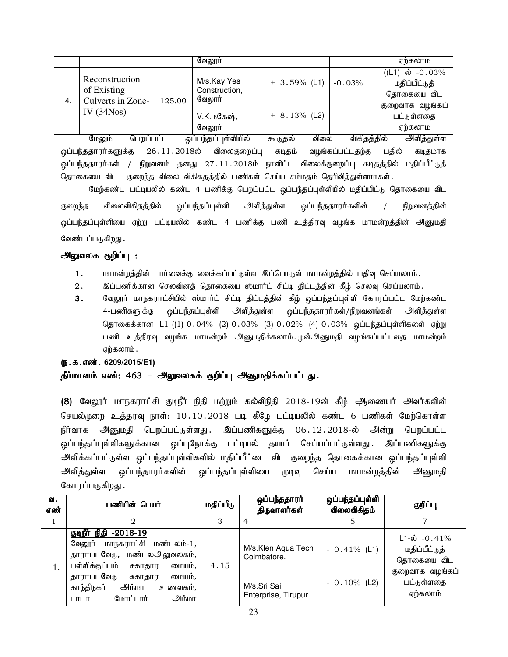|    |                                   |        | வேலூர்                                 |                 |      |             | ஏற்கலாம                                                                     |
|----|-----------------------------------|--------|----------------------------------------|-----------------|------|-------------|-----------------------------------------------------------------------------|
|    | Reconstruction<br>of Existing     |        | M/s.Kay Yes<br>Construction,<br>வேலூர் | $+3.59\%$ (L1)  |      | $-0.03%$    | $((L1) \; \mathbf{\dot{\omega}} \; -0.03\%)$<br>மதிப்பீட்டுத்<br>தொகையை விட |
| 4. | Culverts in Zone-<br>IV $(34Nos)$ | 125.00 | V.K.மகேஷ்,<br>வேலூர்                   | $+ 8.13\%$ (L2) |      |             | குறைவாக வழங்கப்<br>பட்டுள்ளதை<br>ஏற்கலாம                                    |
|    | பெறப்பட்ட<br>மேலும்               |        | ஒப்பந்தப்புள்ளியில்                    | கூடுதல்         | விலை | விகிதத்தில் | அளிக்குள்ள                                                                  |

<mark>ஒப்பந்ததாரர்களுக்கு</mark> 26.11.2018ல் விலைகுறைப்பு கடிதம் வழங்கப்பட்டதற்கு பதில் கடிதமாக .<br>ஒப்பந்ததாரர்கள் / நிறுவனம் தனது 27.11.2018ம் நாளிட்ட விலைக்குறைப்பு கடிதத்தில் மதிப்பீட்டுத் தொகையை விட குறைந்த விலை விகிகதத்தில் பணிகள் செய்ய சம்மதம் தெரிவித்துள்ளாாகள்.

மேற்கண்ட பட்டியலில் கண்ட 4 பணிக்கு பெறப்பட்ட ஒப்பந்தப்புள்ளியில் மதிப்பிட்டு தொகையை விட குறைந்த விலைவிகிதத்தில் ஒப்பந்தப்புள்ளி அளித்துள்ள ஒப்பந்ததாரர்களின் / நிறுவனத்தின் .<br>ஓப்பந்தப்புள்ளியை ஏற்று பட்டியலில் கண்ட 4 பணிக்கு பணி உத்திரவு வழங்க மாமன்றத்தின் அனுமதி வேண்டப்படுகிறது .

# அலுவலக குறிப்பு :

- 1. மாமன்றத்தின் பார்வைக்கு வைக்கப்பட்டுள்ள இப்பொருள் மாமன்றத்தில் பதிவு செய்யலாம்.
- 2. இப்பணிக்கான செலவினத் தொகையை ஸ்மார்ட் சிட்டி திட்டத்தின் கீழ் செலவு செய்யலாம்.
- 3. வேலூர் மாநகராட்சியில் ஸ்மார்ட் சிட்டி திட்டத்தின் கீழ் ஒப்பந்தப்புள்ளி கோரப்பட்ட மேற்கண்ட 4-பணிகளுக்கு ஒப்பந்தப்புள்ளி அளித்துள்ள ஒப்பந்ததாரர்கள்/நிறுவனங்கள் அளித்துள்ள தொகைக்கான L1-((1)-0.04% (2)-0.03% (3)-0.02% (4)-0.03% ஒப்பந்தப்புள்ளிகளை ஏற்று பணி உத்திரவு வழங்க மாமன்றம் அனுமதிக்கலாம்.முன்அனுமதி வழங்கப்பட்டதை மாமன்றம் ஏற்கலாம்.

#### (**ந.க.எண். 6209/2015/E1**)

#### தீர்மானம் எண்: 463 – அலுவலகக் குறிப்பு அனுமதிக்கப்பட்டது.

(8) வேலூர் மாநகராட்சி குடிநீர் நிதி மற்றும் கல்விநிதி 2018-19ன் கீழ் ஆணையர் அவர்களின் செயல்முறை உத்தரவு நாள்: 10.10.2018 படி கீழே பட்டியலில் கண்ட 6 பணிகள் மேற்கொள்ள நிர்வாக அனுமதி பெறப்பட்டுள்ளது . இப்பணிகளுக்கு 06.12.2018-ல் அன்று பெறப்பட்ட ஒப்பந்தப்புள்ளிகளுக்கான ஒப்புநோக்கு பட்டியல் தயார் செய்யப்பட்டுள்ளது . இப்பணிகளுக்கு அளிக்கப்பட்டுள்ள ஒப்பந்தப்புள்ளிகளில் மதிப்பீட்டை விட குறைந்த தொகைக்கான ஒப்பந்தப்புள்ளி அளித்துள்ள ஒப்பந்தாரர்களின் ஒப்பந்தப்புள்ளியை முடிவு செய்ய மாமன்றத்தின் அனுமதி கோரப்படுகிறது .

| ഖ.<br>எண் | பணியின் பெ <b>யா்</b>                                                                                                                                                                                                                                         | மதிப்பீடு | ஒப்பந்ததாரா்<br>திருவாளர்கள்                                             | ஒப்பந்தப்புள்ளி<br>விலைவிகிதம்   | குறிப்பு                                                                                                |
|-----------|---------------------------------------------------------------------------------------------------------------------------------------------------------------------------------------------------------------------------------------------------------------|-----------|--------------------------------------------------------------------------|----------------------------------|---------------------------------------------------------------------------------------------------------|
|           |                                                                                                                                                                                                                                                               | 3         | 4                                                                        |                                  | 7                                                                                                       |
| Ι.        | குடிநீர் நிதி<br>$-2018-19$<br>மாநகராட்சி<br>மண்டலம்-1,<br>வேலூர்<br>மண்டலஅலுவலகம்,<br>தாராபடவேடு,<br>பள்ளிக்குப்பம்<br>மையம்,<br>சுகாதார<br>தாராபடவேடு<br>மையம்,<br>சுகாகார<br>காந்திநகர்<br>ிய்யிட்<br>உணவகம்,<br><u>அம்மா</u><br>மோட்டார்<br><b>LITLIT</b> | 4.15      | M/s.Klen Aqua Tech<br>Coimbatore.<br>M/s.Sri Sai<br>Enterprise, Tirupur. | $-0.41\%$ (L1)<br>$-0.10\%$ (L2) | $L1 - \dot{\omega}$ - 0.41%<br>மதிப்பீட்டுத்<br>தொகையை விட<br>குறைவாக வழங்கப்<br>பட்டுள்ளதை<br>ஏற்கலாம் |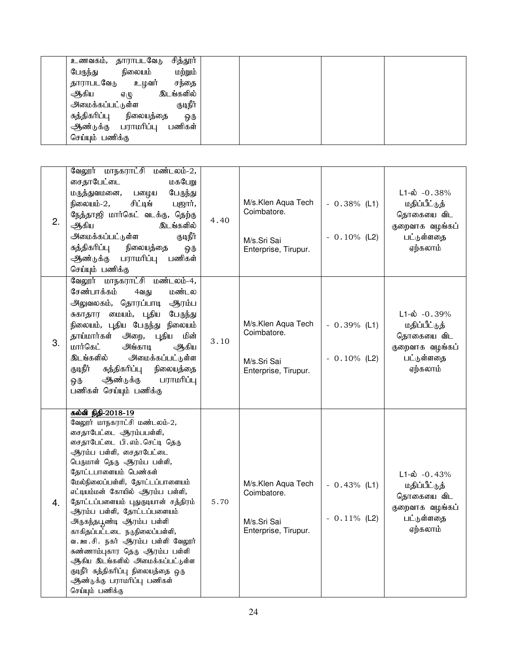| சித்தூர்<br>உணவகம், தாராபடவேடு                     |  |
|----------------------------------------------------|--|
| மற்றும்<br>நிலையம்<br>பேருந்து                     |  |
| உழவர்<br>சந்தை<br>தாராபடவேடு                       |  |
| இடங்களில்<br>ஆிகிய<br>$\mathfrak{g}(\mathfrak{t})$ |  |
| குடிநீர்<br>அமைக்கப்பட்டுள்ள                       |  |
| சுத்திகரிப்பு<br>நிலையத்தை<br>ஒரு                  |  |
| ஆண்டுக்கு பராமரிப்பு<br>பணிகள்                     |  |
| செய்யும் பணிக்கு                                   |  |

| $\overline{2}$ . | வேலூர் மாநகராட்சி மண்டலம்-2,<br>சைதாபேட்டை<br>மகபேறு<br>மருத்துவமனை,<br>பழைய<br>பேருந்து<br>சிட்டிங்<br>நிலையம்-2,<br>பஜார்,<br>நேத்தாஜி மார்கெட் வடக்கு, தெற்கு<br>இடங்களில்<br>ஆகிய<br>அமைக்கப்பட்டுள்ள<br>குடிநீர்<br>நிலையத்தை<br>சுத்திகரிப்பு<br>ஒரு<br>பணிகள்<br>பராமரிப்பு<br>ஆண்டுக்கு<br>செய்யும் பணிக்கு                                                                                                                                                                                                                                                                                                          | 4.40 | M/s.Klen Aqua Tech<br>Coimbatore.<br>M/s.Sri Sai<br>Enterprise, Tirupur. | $-0.38\%$ (L1)<br>$-0.10\%$ (L2) | $L1-\dot{\omega}$ -0.38%<br>மதிப்பீட்டுத்<br>தொகையை விட<br>குறைவாக வழங்கப்<br>பட்டுள்ளதை<br>ஏற்கலாம்  |
|------------------|------------------------------------------------------------------------------------------------------------------------------------------------------------------------------------------------------------------------------------------------------------------------------------------------------------------------------------------------------------------------------------------------------------------------------------------------------------------------------------------------------------------------------------------------------------------------------------------------------------------------------|------|--------------------------------------------------------------------------|----------------------------------|-------------------------------------------------------------------------------------------------------|
| 3.               | வேலூர் மாநகராட்சி மண்டலம்-4,<br>சேண்பாக்கம்<br>மண்டல<br>4வது<br>அலுவலகம், தொரப்பாடி<br>ஆரம்ப<br>சுகாதார மையம், புதிய<br>பேருந்து<br>நிலையம், புதிய பேருந்து<br>நிலையம்<br>தாய்மார்கள் அறை, புதிய<br>மின்<br>மார்கெட்<br>அங்காடி<br>ஆகிய<br>இடங்களில்<br>அமைக்கப்பட்டுள்ள<br>குடிநீர்<br>சுத்திகரிப்பு<br>நிலையத்தை<br>ஆண்டுக்கு<br>பராமரிப்பு<br>ஒரு<br>பணிகள் செய்யும் பணிக்கு                                                                                                                                                                                                                                              | 3.10 | M/s.Klen Aqua Tech<br>Coimbatore.<br>M/s.Sri Sai<br>Enterprise, Tirupur. | $-0.39\%$ (L1)<br>$-0.10\%$ (L2) | $L1-\dot{\omega}$ -0.39%<br>மதிப்பீட்டுத்<br>தொகையை விட<br>குறைவாக வழங்கப்<br>பட்டுள்ளதை<br>ஏற்கலாம்  |
| $\overline{4}$ . | கல்வி நிதி-2018-19<br>வேலூர் மாநகராட்சி மண்டலம்-2,<br>சைதாபேட்டை ஆரம்பபள்ளி,<br>சைதாபேட்டை பி. எம். செட்டி தெரு<br>ஆரம்ப பள்ளி, சைதாபேட்டை<br>பெருமாள் தெரு ஆரம்ப பள்ளி,<br>தோட்டபாளையம் பெண்கள்<br>மேல்நிலைப்பள்ளி, தோட்டப்பாளையம்<br>எட்டியம்மன் கோயில் ஆரம்ப பள்ளி,<br>தோட்டப்பளையம் புதுகுடியான் சத்திரம்<br>ஆரம்ப பள்ளி, தோட்டப்பளையம்<br>அருகந்தபூண்டி ஆரம்ப ப <mark>ள்</mark> ளி<br>காகிதப்பட்டடை நடுநிலைப்பள்ளி,<br>வ. ஊ.சி. நகர் ஆரம்ப பள்ளி வேலூர்<br>சுண்ணாம்புகார தெரு ஆரம்ப பள்ளி<br>ஆகிய இடங்களில் அமைக்கப்பட்டுள்ள<br>குடிநீர் சுத்திகரிப்பு நிலையத்தை ஒரு<br>ஆண்டுக்கு பராமரிப்பு பணிகள்<br>செய்யும் பணிக்கு | 5.70 | M/s.Klen Aqua Tech<br>Coimbatore.<br>M/s.Sri Sai<br>Enterprise, Tirupur. | $-0.43%$ (L1)<br>$-0.11\%$ (L2)  | $L1-\dot{\omega} - 0.43%$<br>மதிப்பீட்டுத்<br>தொகையை விட<br>குறைவாக வழங்கப்<br>பட்டுள்ளதை<br>ஏற்கலாம் |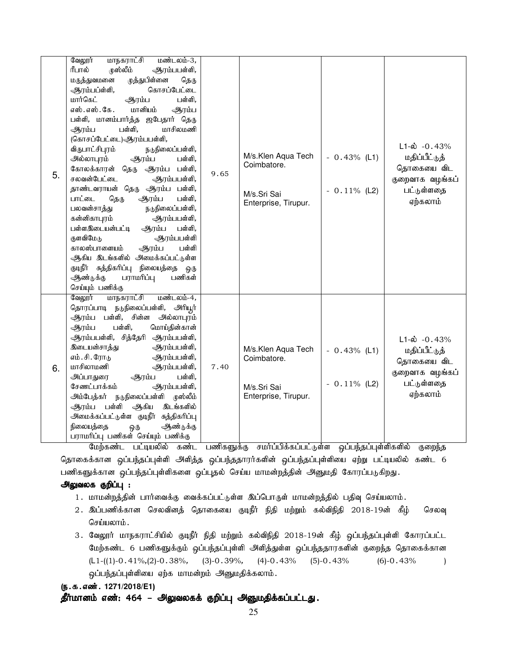| 5. | வேலூர்<br>மாநகராட்சி<br>மண்டலம்-3,<br>ரீபால்<br>முஸ்லீம்<br>ஆரம்பபள்ளி,<br>முத்துபிள்னை<br>மருத்துவமனை<br>தெரு<br>ஆரம்பப்ள்ளி,<br>கொசப்பேட்டை<br>மார்கெட்<br>ஆரம்ப<br>பள்ளி,<br>மானியம்<br>எஸ். எஸ். கே.<br>ஆரம்ப<br>பள்ளி, மானம்பார்த்த ஜபேதார் தெரு<br>மாசிலமணி<br>ஆரம்ப<br>பள்ளி,<br>(கொசப்பேட்டை)-ஆரம்பபள்ளி,<br>விருபாட்சிபுரம்<br>நடுநிலைப்பள்ளி,<br>அல்லாபுரம்<br>ஆரம்ப<br>பள்ளி,<br>கோலக்காரன் தெரு<br>ஆரம்ப பள்ளி,<br>சலவன்பேட்டை<br>ஆரம்பபள்ளி,<br>தாண்டவராயன் தெரு ஆரம்ப பள்ளி,<br>ஆரம்ப<br>பாட்டை<br>தெரு<br>பள்ளி,<br>பலவன்சாத்து<br>நடுநிலைப்பள்ளி,<br>கன்னிகாபுரம்<br>ஆரம்பபள்ளி,<br>பள்ளஇடையன்பட்டி<br>ஆரம்ப<br>பள்ளி,<br>குளவிமேடு<br>ஆரம்பபள்ளி<br>காலஸ்பாளையம்<br>பள்ளி<br>ஆரம்ப<br>ஆகிய இடங்களில் அமைக்கப்பட்டுள்ள<br>குடிநீர் சுத்திகரிப்பு நிலையத்தை<br>ஒரு<br>ஆண்டுக்கு<br>பராமரிப்பு<br>பணிகள் | 9.65 | M/s.Klen Aqua Tech<br>Coimbatore.<br>M/s.Sri Sai<br>Enterprise, Tirupur. | $-0.43\%$ (L1)<br>$-0.11\%$ (L2) | $L1-\omega$ -0.43%<br>மதிப்பீட்டுத்<br>தொகையை விட<br>குறைவாக வழங்கப்<br>பட்டுள்ளதை<br>ஏற்கலாம் |
|----|------------------------------------------------------------------------------------------------------------------------------------------------------------------------------------------------------------------------------------------------------------------------------------------------------------------------------------------------------------------------------------------------------------------------------------------------------------------------------------------------------------------------------------------------------------------------------------------------------------------------------------------------------------------------------------------------------------------------------------------------------------------------------------------------------------------------|------|--------------------------------------------------------------------------|----------------------------------|------------------------------------------------------------------------------------------------|
| 6. | செய்யும் பணிக்கு<br>மாநகராட்சி<br>மண்டலம்-4,<br>வேலூர்<br>தொரப்பாடி நடுநிலைப்பள்ளி, அரியூர்<br>பள்ளி, சின்ன<br>அல்லாபுரம்<br>ஆரம்ப<br>மொய்தின்கான்<br>ஆரம்ப<br>பள்ளி,<br>ஆரம்பபள்ளி, சித்தேரி ஆரம்பபள்ளி,<br>இடையன்சாத்து<br>ஆரம்பபள்ளி,<br>எம். சி. ரோடு<br>ஆரம்பபள்ளி,<br>மாசிலாமணி<br>ஆரம்பபள்ளி,<br>அப்பாதுரை<br>பள்ளி,<br>ஆரம்ப<br>சேணட்பாக்கம்<br>ஆரம்பபள்ளி,<br>நடுநிலைப்பள்ளி முஸ்லீம்<br>அம்பேத்கர்<br>ஆரம்ப பள்ளி ஆகிய<br>இடங்களில்<br>அமைக்கப்பட்டுள்ள குடிநீர் சுத்திகரிப்பு<br>நிலையத்தை<br>ஆண்டுக்கு<br>ஒரு<br>பராமரிப்பு பணிகள் செய்யும் பணிக்கு                                                                                                                                                                                                                                                        | 7.40 | M/s.Klen Aqua Tech<br>Coimbatore.<br>M/s.Sri Sai<br>Enterprise, Tirupur. | $-0.43%$ (L1)<br>$-0.11\%$ (L2)  | $L1-\omega$ -0.43%<br>மதிப்பீட்டுத்<br>தொகையை விட<br>குறைவாக வழங்கப்<br>பட்டுள்ளதை<br>ஏற்கலாம் |

மேற்கண்ட பட்டியலில் கண்ட பணிகளுக்கு சமர்ப்பிக்கப்பட்டுள்ள ஒப்பந்தப்புள்ளிகளில் குறைந்த தொகைக்கான ஒப்பந்தப்புள்ளி அளித்த ஒப்பந்ததாரர்களின் ஒப்பந்தப்புள்ளியை ஏற்று பட்டியலில் கண்ட 6 பணிகளுக்கான ஒப்பந்தப்புள்ளிகளை ஒப்புதல் செய்ய மாமன்றத்தின் அனுமதி கோரப்படுகிறது.

# அலுவலக குறிப்பு :

- 1. மாமன்றத்தின் பார்வைக்கு வைக்கப்பட்டுள்ள இப்பொருள் மாமன்றத்தில் பதிவு செய்யலாம்.
- 2. இப்பணிக்கான செலவினத் தொகையை குடிநீர் நிதி மற்றும் கல்விநிதி 2018-19ன் கீழ் செலவு செய்யலாம்.
- 3. வேலூர் மாநகராட்சியில் குடிநீர் நிதி மற்றும் கல்விநிதி 2018-19ன் கீழ் ஒப்பந்தப்புள்ளி கோரப்பட்ட மேற்கண்ட 6 பணிகளுக்கும் ஒப்பந்தப்புள்ளி அளித்துள்ள ஒப்பந்ததாரகளின் குறைந்த தொகைக்கான  $(L1-((1)-0.41\%,(2)-0.38\%,$  (3)-0.39%, (4)-0.43% (5)-0.43% (6)-0.43% ) ஒப்பந்தப்புள்ளியை ஏற்க மாமன்றம் அனுமதிக்கலாம்.

# (ந.க.எண். 1271/2018/E1)

தீர்மானம் எண்: 464 – அலுவலகக் குறிப்பு அனுமதிக்கப்பட்டது.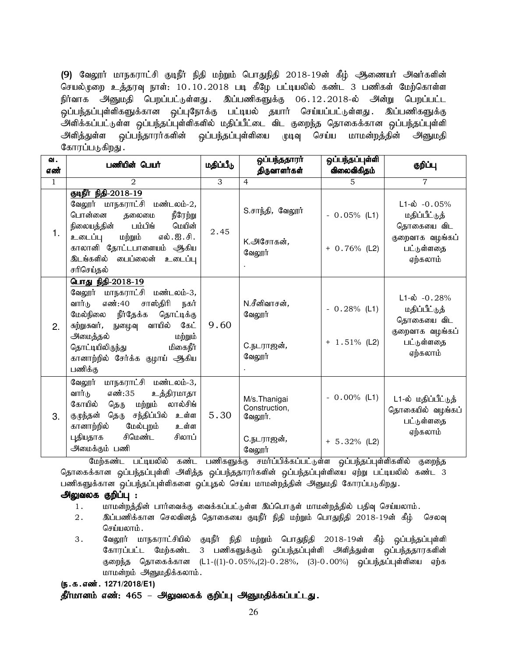(9) வேலூர் மாநகராட்சி குடிநீர் நிதி மற்றும் பொதுநிதி 2018-19ன் கீழ் அணையர் அவர்களின் செயல்முறை உத்தரவு நாள்: 10.10.2018 படி கீழே பட்டியலில் கண்ட 3 பணிகள் மேற்கொள்ள நிர்வாக அனுமதி பெறப்பட்டுள்ளது. இப்பணிகளுக்கு 06.12.2018-ல் அன்று பெறப்பட்ட ஒப்பந்தப்புள்ளிகளுக்கான ஒப்புநோக்கு பட்டியல் தயார் செய்யப்பட்டுள்ளது . இப்பணிகளுக்கு .<br>அளிக்கப்பட்டுள்ள ஒப்பந்தப்புள்ளிகளில் மதிப்பீட்டை விட குறைந்த தொகைக்கான ஒப்பந்தப்புள்ளி அளித்துள்ள ஒப்பந்தாரர்களின் ஒப்பந்தப்புள்ளியை முடிவு செய்ய மாமன்றத்தின் அனுமதி கோரப்படுகி<u>றது</u> .

| வ.<br>எண்    | பணியின் பெயர்                                                                                                                                                                                                                                                                 | மதிப்பீடு | ஒப்பந்ததாரா<br>திருவாளர்கள்                                      | ஒப்பந்தப்புள்ளி<br>விலைவிகிதம்    | குறிப்பு                                                                                             |
|--------------|-------------------------------------------------------------------------------------------------------------------------------------------------------------------------------------------------------------------------------------------------------------------------------|-----------|------------------------------------------------------------------|-----------------------------------|------------------------------------------------------------------------------------------------------|
| $\mathbf{1}$ | $\overline{2}$                                                                                                                                                                                                                                                                | 3         | $\overline{4}$                                                   | 5                                 | $\overline{7}$                                                                                       |
| 1.           | குடிநீர் நிதி-2018-19<br>வேலூர் மாநகராட்சி மண்டலம்-2,<br>பொன்னை<br>நீரேற்று<br>தலைமை<br>நிலையத்தின்<br>பம்பிங்<br>மெயின்<br>எல்.ஐ.சி.<br>உடைப்பு<br>மற்றும்<br>காலானி தோட்டபாளையம் ஆகிய<br>இடங்களில் பைப்லைன் உடைப்பு<br>சரிசெய்தல்                                           | 2.45      | S.சாந்தி, வேலூர்<br>K.அசோகன்,<br>வேலூர்                          | $-0.05\%$ (L1)<br>$+ 0.76\%$ (L2) | $L1-\dot{\omega}$ -0.05%<br>மதிப்பீட்டுத்<br>தொகையை விட<br>குறைவாக வழங்கப்<br>பட்டுள்ளதை<br>ஏற்கலாம் |
| 2.           | பொது நிதி-2018-19<br>வேலூர் மாநகராட்சி<br>மண்டலம்-3,<br>சாஸ்திரி<br>எண்:40<br>வார்டு<br>நகர்<br>நீர்தேக்க<br>மேல்நிலை<br>தொட்டிக்கு<br>சுற்றுசுவர், நுழைவு வாயில்<br>கேட்<br>அமைத்தல்<br>மற்றும்<br>மிகைநீர்<br>தொட்டியிலிருந்து<br>கானாற்றில் சேர்க்க குழாய் ஆகிய<br>பணிக்கு | 9.60      | N.சீனிவாசன்,<br>வேலூர்<br>C.நடராஜன்,<br>வேலூர்                   | $-0.28%$ (L1)<br>$+ 1.51\%$ (L2)  | $L1-\dot{\omega}$ -0.28%<br>மதிப்பீட்டுத்<br>தொகையை விட<br>குறைவாக வழங்கப்<br>பட்டுள்ளதை<br>ஏற்கலாம் |
| 3.           | வேலூர் மாநகராட்சி மண்டலம்-3,<br>வார்டு<br>எண்:35<br>உத்திரமாதா<br>லால்சிங்<br>கோயில்<br>தெரு<br>மற்றும்<br>தெரு சந்திப்பில்<br>உள்ள<br>குழுந்தன்<br>கானாற்றில்<br>மேல்புறம்<br>உள்ள<br>புதியதாக<br>சிமெண்ட<br>சிலாப்<br>அமைக்கும் பணி                                         | 5.30      | M/s.Thanigai<br>Construction,<br>வேலூர்.<br>C.நடராஜன்,<br>வேலூர் | $-0.00\%$ (L1)<br>$+ 5.32%$ (L2)  | L1-ல் மதிப்பீட்டுத்<br>தொகையில் வழங்கப்<br>பட்டுள்ளதை<br>ஏற்கலாம்                                    |

மேற்கண்ட பட்டியலில் கண்ட பணிகளுக்கு சமா்ப்பிக்கப்பட்டுள்ள ஒப்பந்தப்புள்ளிகளில் குறைந்த தொகைக்கான ஒப்பந்தப்புள்ளி அளித்த ஒப்பந்ததாரர்களின் ஒப்பந்தப்புள்ளியை ஏற்று பட்டியலில் கண்ட 3 பணிகளுக்கான ஒப்பந்தப்புள்ளிகளை ஒப்புதல் செய்ய மாமன்றத்தின் அனுமதி கோரப்படுகிறது.

# அலுவலக குறிப்பு :

- 1. மாமன்றத்தின் பார்வைக்கு வைக்கப்பட்டுள்ள இப்பொருள் மாமன்றத்தில் பதிவு செய்யலாம்.
- 2. ng;gzpf;fhd brytpdj; bjhifia FoePh; epjp kw;Wk; bghJepjp 2018-19d; fPH; bryt[ செய்யலாம்.
- 3. வேலூர் மாநகராட்சியில் குடிநீர் நிதி மற்றும் பொதுநிதி 2018-19ன் கீழ் ஒப்பந்தப்புள்ளி கோரப்பட்ட மேற்கண்ட 3 பணிகளுக்கும் ஒப்பந்தப்புள்ளி அளித்துள்ள ஒப்பந்ததாரகளின் குறைந்த தொகைக்கான (L1-((1)-0 $.05\%,(2)$ -0 $.28\%,$  (3)-0 $.00\%$ ) ஒப்பந்தப்புள்ளியை ஏற்க மாமன்றம் அனுமதிக்கலாம்.

#### (ந.க.எண். 1271/2018/E1)

தீர்மானம் எண்: 465 – அலுவலகக் குறிப்பு அனுமதிக்கப்பட்டது.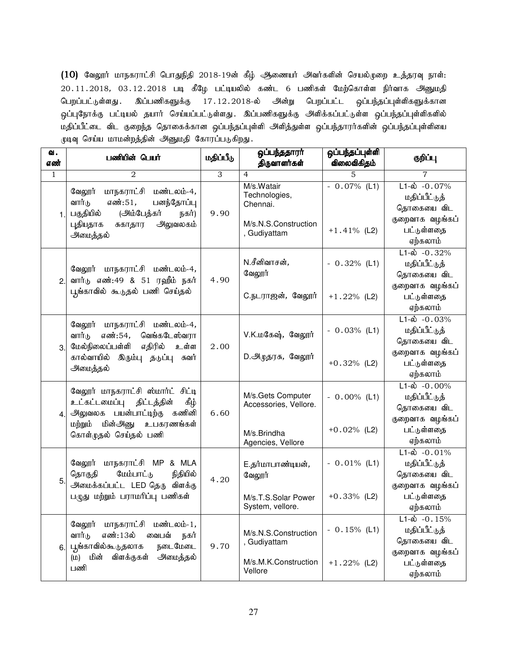$(10)$  வேலூர் மாநகராட்சி பொதுநிதி 2018-19ன் கீழ் ஆணையர் அவர்களின் செயல்முறை உத்தரவு நாள்:  $20.11.2018$ ,  $03.12.2018$  படி கீழே பட்டியலில் கண்ட 6 பணிகள் மேற்கொள்ள நிர்வாக அனுமதி பெறப்பட்டுள்ளது . இப்பணிகளுக்கு 17.12.2018-ல் அன்று பெறப்பட்ட ஒப்பந்தப்புள்ளிகளுக்கான ஒப்புநோக்கு பட்டியல் தயார் செய்யப்பட்டுள்ளது. இப்பணிகளுக்கு அளிக்கப்பட்டுள்ள ஒப்பந்தப்புள்ளிகளில் மதிப்பீட்டை விட குறைந்த தொகைக்கான ஒப்பந்தப்புள்ளி அளித்துள்ள ஒப்பந்தாரர்களின் ஒப்பந்தப்புள்ளியை முடிவு செய்ய மாமன்றத்தின் அனுமதி கோரப்படுகிறது.

| வ.<br>எண்        | பணியின் பெயர்                                                                                                                                                | மதிப்பீடு      | ஒப்பந்ததாரா்<br>திருவாளர்கள்                                                    | ஒப்பந்தப்புள்ளி<br>விலைவிகிதம்   | குறிப்பு                                                                                                  |
|------------------|--------------------------------------------------------------------------------------------------------------------------------------------------------------|----------------|---------------------------------------------------------------------------------|----------------------------------|-----------------------------------------------------------------------------------------------------------|
| $\mathbf{1}$     | $\overline{2}$                                                                                                                                               | $\overline{3}$ | 4                                                                               | 5                                | 7                                                                                                         |
| $\mathbf 1$      | வேலூர்<br>மாநகராட்சி<br>மண்டலம்-4,<br>வார்டு<br>எண்:51,<br>பனந்தோப்பு<br>பகுதியில்<br>(அம்பேத்கர்<br>நகர்)<br>அலுவலகம்<br>புதியதாக<br>சுகாதார<br>அமைத்தல்    | 9.90           | M/s.Watair<br>Technologies,<br>Chennai.<br>M/s.N.S.Construction<br>, Gudiyattam | $-0.07\%$ (L1)<br>$+1.41%$ (L2)  | $L1-\dot{\omega} - 0.07\%$<br>மதிப்பீட்டுத்<br>தொகையை விட<br>குறைவாக வழங்கப்<br>பட்டுள்ளதை<br>ஏற்கலாம்    |
| 2.               | வேலூர் மாநகராட்சி மண்டலம்-4,<br>வார்டு எண்:49 & 51 ரஹீம் நகர்<br>பூங்காவில் கூடுதல் பணி செய்தல்                                                              | 4.90           | N.சீனிவாசன் <i>,</i><br>வேலூர்<br>C.நடராஜன், வேலூர்                             | $-0.32%$ (L1)<br>$+1.22%$ (L2)   | $L1-\dot{\omega}$ -0.32%<br>மதிப்பீட்டுத்<br>தொகையை விட<br>குறைவாக வழங்கப்<br>பட்டுள்ளதை<br>ஏற்கலாம்      |
| 3.               | வேலூர் மாநகராட்சி மண்டலம்-4,<br>வார்டு<br>எண்:54,<br>வெங்கடேஸ்வரா<br>மேல்நிலைப்பள்ளி<br>எதிரில்<br>உள்ள<br>கால்வாயில் இரும்பு தடுப்பு<br>சுவர்<br>அமைத்தல்   | 2.00           | V.K.மகேஷ், வேலூர்<br>D.அருதரசு, வேலூர்                                          | $-0.03\%$ (L1)<br>$+0.32\%$ (L2) | $L1 - \dot{\omega} - 0.03\%$<br>மதிப்பீட்டுத்<br>தொகையை விட<br>குறைவாக வழங்கப்<br>பட்டுள்ளதை<br>ஏற்கலாம்  |
| $\overline{4}$ . | வேலூர் மாநகராட்சி ஸ்மார்ட் சிட்டி<br>உட்கட்டமைப்பு திட்டத்தின்<br>ழிக்<br>அலுவலக பயன்பாட்டிற்கு கணினி<br>மற்றும் மின்அனு உபகரணங்கள்<br>கொள்முதல் செய்தல் பணி | 6.60           | M/s.Gets Computer<br>Accessories, Vellore.<br>M/s.Brindha<br>Agencies, Vellore  | $-0.00\%$ (L1)<br>$+0.02%$ (L2)  | $L1 - \dot{\omega} - 0.00\%$<br>மதிப்பீட்டுத்<br>தொகையை விட<br>குறைவாக வழங்கப்<br>பட்டுள்ளதை<br>ஏற்கலாம்  |
| 5.               | வேலூர் மாநகராட்சி MP & MLA<br>மேம்பாட்டு<br>நிதியில்<br>தொகுதி<br>அமைக்கப்பட்ட LED தெரு விளக்கு<br>பழுது மற்றும் பராமரிப்பு பணிகள்                           | 4.20           | E.தர்மாபாண்டியன்,<br>வேலூர்<br>M/s.T.S.Solar Power<br>System, vellore.          | $-0.01\%$ (L1)<br>$+0.33%$ (L2)  | $L1-\hat{\omega}$ -0.01%<br>மதிப்பீட்டுத்<br>தொகையை விட<br>குறைவாக வழங்கப்<br>பட்டுள்ளதை<br>ஏற்கலாம்      |
| 6.               | மாநகராட்சி<br>மண்டலம்-1,<br>வேலூர்<br>வார்டு<br>எண்:13ல்<br>வைபவ்<br>நகர்<br>நடைமேடை<br>பூங்காவில்கூடுதலாக<br>விளக்குகள்<br>மின்<br>அமைத்தல்<br>(D)<br>பணி   | 9.70           | M/s.N.S.Construction<br>, Gudiyattam<br>M/s.M.K.Construction<br>Vellore         | $-0.15%$ (L1)<br>$+1.22%$ (L2)   | $\overline{L1-\omega}$ -0.15%<br>மதிப்பீட்டுத்<br>தொகையை விட<br>குறைவாக வழங்கப்<br>பட்டுள்ளதை<br>ஏற்கலாம் |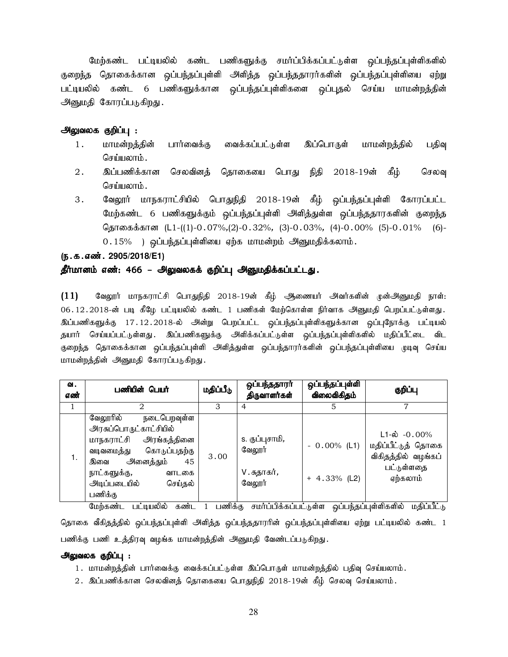மேற்கண்ட பட்டியலில் கண்ட பணிகளுக்கு சமர்ப்பிக்கப்பட்டுள்ள ஒப்பந்தப்புள்ளிகளில் குறைந்த தொகைக்கான ஒப்பந்தப்புள்ளி அளித்த ஒப்பந்ததாரர்களின் ஒப்பந்தப்புள்ளியை ஏற்று பட்டியலில் கண்ட 6 பணிகளுக்கான ஒப்பந்தப்புள்ளிகளை ஒப்புதல் செய்ய மாமன்றத்தின் அனுமதி கோரப்படுகிறது.

#### அலுவலக குறிப்பு :

- 1. மாமன்றத்தின் பார்வைக்கு வைக்கப்பட்டுள்ள இப்பொருள் மாமன்றத்தில் பதிவு செய்யலாம்.
- 2. இப்பணிக்கான செலவினத் தொகையை பொது நிதி 2018-19ன் கீழ் செலவு செய்யலாம்.
- 3. வேலூர் மாநகராட்சியில் பொதுநிதி 2018-19ன் கீழ் ஒப்பந்தப்புள்ளி கோரப்பட்ட மேற்கண்ட 6 பணிகளுக்கும் ஒப்பந்தப்புள்ளி அளித்துள்ள ஒப்பந்ததாரகளின் குறைந்த தொகைக்கான (L1-((1)-0.07%,(2)-0.32%, (3)-0.03%, (4)-0.00% (5)-0.01% (6)-0.15% ) ஒப்பந்தப்புள்ளியை ஏற்க மாமன்றம் அனுமதிக்கலாம்.

#### (ந.க.எண். 2905/2018/E1)

#### தீர்மானம் எண்: 466 – அலுவலகக் குறிப்பு அனுமதிக்கப்பட்டது.

 $(11)$  கேலூர் மாநகராட்சி பொதுநிதி 2018-19ன் கீழ் ஆணையர் அவர்களின் முன்அனுமதி நாள்: 06.12.2018-ன் படி கீழே பட்டியலில் கண்ட 1 பணிகள் மேற்கொள்ள நிர்வாக அனுமதி பெறப்பட்டுள்ளது. .<br>இப்பணிகளுக்கு 17.12.2018-ல் அன்று பெறப்பட்ட ஒப்பந்தப்புள்ளிகளுக்கான ஒப்புநோக்கு பட்டியல் தயார் செய்யப்பட்டுள்ளது. இப்பணிகளுக்கு அளிக்கப்பட்டுள்ள ஒப்பந்தப்புள்ளிகளில் மதிப்பீட்டை விட குறைந்த தொகைக்கான ஒப்பந்தப்புள்ளி அளித்துள்ள ஒப்பந்தாரர்களின் ஒப்பந்தப்புள்ளியை முடிவு செய்ய மாமன்றத்தின் அனுமதி கோரப்படுகிறது.

| வ.<br>எண் | பணியின் பெயர்                                                                                                                                                                                                                     | மதிப்பீடு                        | ஒப்பந்ததாரர்<br>திருவாளர்கள்                                          | <u>ஒப்பந்தப்புள்ளி</u><br>விலைவிகிதம்  | குறிப்பு                                                                                                                                            |
|-----------|-----------------------------------------------------------------------------------------------------------------------------------------------------------------------------------------------------------------------------------|----------------------------------|-----------------------------------------------------------------------|----------------------------------------|-----------------------------------------------------------------------------------------------------------------------------------------------------|
|           | 2                                                                                                                                                                                                                                 | 3                                | 4                                                                     |                                        | 7                                                                                                                                                   |
| 1.        | நடைபெறவுள்ள<br>வேலூரில்<br>அரசுப்பொருட்காட்சியில்<br>அரங்கத்தினை<br>மாநகராட்சி<br>கொடுப்பதற்கு<br>வடிவமைத்து<br>அனைத்தும்<br>45<br>இவை<br>நாட்களுக்கு,<br>வாடகை<br>அடிப்படையில்<br>செய்தல்<br>பணிக்கு<br>$\overline{\phantom{a}}$ | 3.00<br>$\overline{\phantom{a}}$ | s. குப்புசாமி,<br>வேலூர்<br>V. சுதாகர் <i>,</i><br>வேலூர்<br>$\cdots$ | $-0.00\%$ (L1)<br>$+ 4.33\%$ (L2)<br>. | $L1 - \phi$ -0.00%<br>மதிப்பீட்டுத் தொகை<br>விகிதத்தில் வழங்கப்<br>பட்டுள்ளதை<br>ஏற்கலாம்<br>$\overline{\phantom{a}}$<br>$\cdot$ $\sim$<br>$\sim$ . |

மேற்கண்ட பட்டியலில் கண்ட 1 பணிக்கு சமர்ப்பிக்கப்பட்டுள்ள ஒப்பந்தப்புள்ளிகளில் மதிப்பீட்டு தொகை வீகிதத்தில் ஒப்பந்தப்புள்ளி அளித்த ஒப்பந்ததாரரின் ஒப்பந்தப்புள்ளியை ஏற்று பட்டியலில் கண்ட 1 பணிக்கு பணி உத்திரவு வழங்க மாமன்றத்தின் அனுமதி வேண்டப்படுகிறது.

#### அலுவலக குறிப்பு :

- 1. மாமன்றத்தின் பார்வைக்கு வைக்கப்பட்டுள்ள இப்பொருள் மாமன்றத்தில் பதிவு செய்யலாம்.
- $2.$  இப்பணிக்கான செலவினத் தொகையை பொதுநிதி  $2018$ -19ன் கீழ் செலவு செய்யலாம்.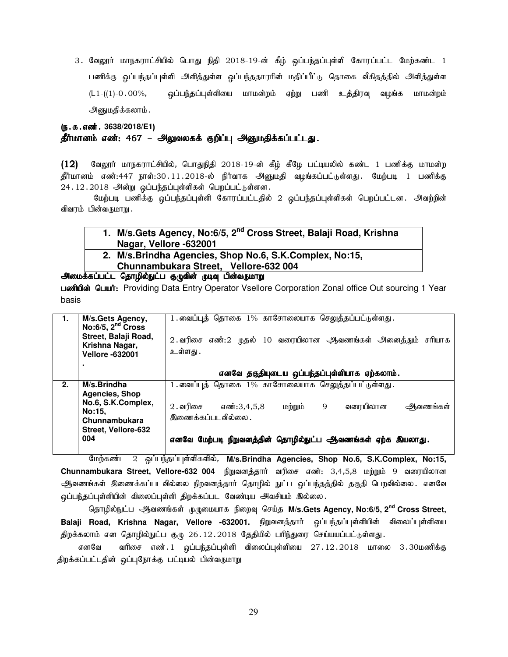3. வேலூர் மாநகராட்சியில் பொது நிதி 2018-19-ன் கீழ் ஒப்பந்தப்புள்ளி கோரப்பட்ட மேற்கண்ட 1 பணிக்கு ஒப்பந்தப்புள்ளி அளித்துள்ள ஒப்பந்ததாரரின் மதிப்பீட்டு தொகை வீகிதத்தில் அளித்துள்ள (L1-((1)-0.00%, xg;ge;jg;g[s;spia khkd;wk; Vw;W gzp cj;jput[ tHA;f khkd;wk; அனுமதிக்கலாம்.

# (**ந.க.எண். 3638/2018/E1**)

#### தீர்மானம் எண்: 467 – அலுவலகக் குறிப்பு அனுமதிக்கப்பட்டது.

 $(12)$  வேலூர் மாநகராட்சியில், பொதுநிதி 2018-19-ன் கீழ் கீழே பட்டியலில் கண்ட 1 பணிக்கு மாமன்ற தீர்மானம் எண்:447 நாள்:30.11.2018-ல் நிர்வாக அனுமதி வழங்கப்பட்டுள்ளது. மேற்படி 1 பணிக்கு  $24.12.2018$  அன்று ஒப்பந்தப்புள்ளிகள் பெறப்பட்டுள்ளன.

மேற்படி பணிக்கு ஒப்பந்தப்புள்ளி கோரப்பட்டதில் 2 ஒப்பந்தப்புள்ளிகள் பெறப்பட்டன. அவற்றின் விவரம் பின்வருமாறு.

# **1. M/s.Gets Agency, No:6/5, 2nd Cross Street, Balaji Road, Krishna Nagar, Vellore -632001**

**2. M/s.Brindha Agencies, Shop No.6, S.K.Complex, No:15, Chunnambukara Street, Vellore-632 004** 

<u>அமைக்கப்பட்ட தொழில்நுட்ப குழுவின் முடிவு பின்வருமாறு</u>

பணியின் பெயர்: Providing Data Entry Operator Vsellore Corporation Zonal office Out sourcing 1 Year basis

| 1. | M/s.Gets Agency,<br>No:6/5, $2nd$ Cross<br>Street, Balaji Road,<br>Krishna Nagar,<br><b>Vellore -632001</b> | 1.வைப்புத் தொகை 1% காசோலையாக செலுத்தப்பட்டுள்ளது.<br>எண்:2 முதல் 10 வரையிலான ஆவணங்கள் அனைத்தும் சரியாக<br>$2.$ வரிசை<br>உள்ளது . |
|----|-------------------------------------------------------------------------------------------------------------|----------------------------------------------------------------------------------------------------------------------------------|
|    | ٠                                                                                                           | எனவே தகுதியுடைய ஒப்பந்தப்புள்ளியாக ஏற்கலாம்.                                                                                     |
| 2. | M/s.Brindha<br>Agencies, Shop<br>No.6, S.K.Complex,                                                         | 1. வைப்புத் தொகை 1% காசோலையாக செலுத்தப்பட்டுள்ளது.                                                                               |
|    | No:15.<br>Chunnambukara                                                                                     | வரையிலான<br>2 . வரிசை<br>மற்றும்<br>9<br>ஆவணங்கள்<br>எண்:3,4,5,8<br>இணைக்கப்படவில்லை .                                           |
|    | Street, Vellore-632<br>004                                                                                  | எனவே மேற்படி நிறுவனத்தின் தொழில்நுட்ப ஆவணங்கள் ஏற்க இயலாது.                                                                      |

Bkw;fz;l 2 xg;ge;jg;g[s;spfspy;, **M/s.Brindha Agencies, Shop No.6, S.K.Complex, No:15,**  Chunnambukara Street, Vellore-632 004 நிறுவனத்தார் வரிசை எண்: 3,4,5,8 மற்றும் 9 வரையிலான ஆவணங்கள் இணைக்கப்படவில்லை நிறவனத்தார் தொழில் நுட்ப <u>ஒ</u>ப்பந்தத்தில் தகுதி பெறவில்லை. எனவே ஒப்பந்தப்புள்ளியின் விலைப்புள்ளி திறக்கப்பட வேண்டிய அவசியம் இல்லை.

 bjhHpy;El;g MtzA;fs; KGikahf epiwt[ bra;j **M/s.Gets Agency, No:6/5, 2nd Cross Street,**  Balaji Road, Krishna Nagar, Vellore -632001. நிறுவனத்தார் ஒப்பந்தப்புள்ளியின் விலைப்புள்ளியை திறக்கலாம் என தொழில்நுட்ப குழு 26.12.2018 தேதியில் பரிந்துரை செய்யயப்பட்டுள்ளது.

எனவே வரிசை எண். 1 ஒப்பந்தப்புள்ளி விலைப்புள்ளியை 27.12.2018 மாலை 3.30மணிக்கு திறக்கப்பட்டதின் ஒப்புநோக்கு பட்டியல் பின்வருமாறு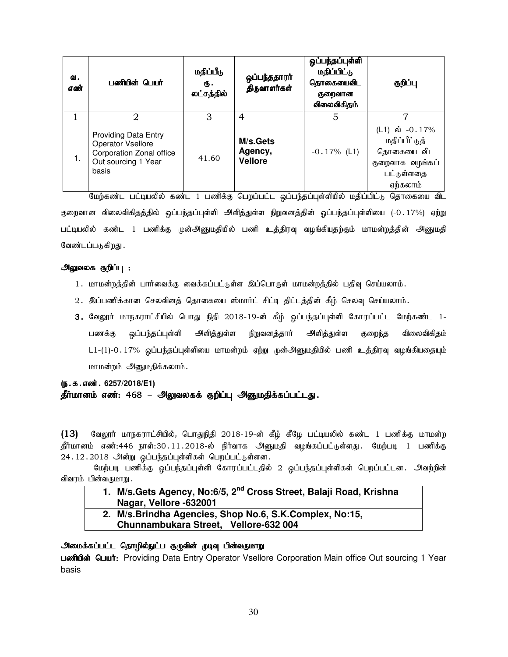| ഖ.<br>எண் | பணியின் பெயர்                                                                                                                                                                                                                                                                                                                                                                                                                                                                   | மதிப்பீடு<br>ரு.<br>லட்சத்தில் | ஒப்பந்ததாரா்<br>திருவாளர்கள்          | ஒப்பந்தப்புள்ளி<br>மதிப்பிட்டு<br>தொகையைவிட<br>குறைவான<br>விலைவிகிதம் | குறிப்பு                                                                                                                                                                                                     |
|-----------|---------------------------------------------------------------------------------------------------------------------------------------------------------------------------------------------------------------------------------------------------------------------------------------------------------------------------------------------------------------------------------------------------------------------------------------------------------------------------------|--------------------------------|---------------------------------------|-----------------------------------------------------------------------|--------------------------------------------------------------------------------------------------------------------------------------------------------------------------------------------------------------|
|           | 2                                                                                                                                                                                                                                                                                                                                                                                                                                                                               | 3                              | 4                                     | 5                                                                     |                                                                                                                                                                                                              |
| 1.        | <b>Providing Data Entry</b><br>Operator Vsellore<br>Corporation Zonal office<br>Out sourcing 1 Year<br>basis<br>$\theta_{11}$ , $\theta_{22}$ , $\theta_{33}$ , $\theta_{41}$ , $\theta_{52}$ , $\theta_{63}$ , $\theta_{73}$ , $\theta_{84}$ , $\theta_{94}$ , $\theta_{10}$ , $\theta_{11}$ , $\theta_{12}$ , $\theta_{13}$ , $\theta_{14}$ , $\theta_{15}$ , $\theta_{16}$ , $\theta_{17}$ , $\theta_{18}$ , $\theta_{19}$ , $\theta_{10}$ , $\theta_{11}$ , $\theta_{12}$ , | 41.60                          | M/s.Gets<br>Agency,<br><b>Vellore</b> | $-0.17\%$ (L1)                                                        | (L1) ல் $-0.17\%$<br>மதிப்பீட்டுத்<br>தொகையை விட<br>குறைவாக வழங்கப்<br>பட்டுள்ளதை<br>ஏற்கலாம்<br>$\ldots$ $\ldots$ $\ldots$ $\ldots$ $\Omega$ $\Omega$ $\ldots$ $\Omega$ $\ldots$ $\Omega$ $\ldots$ $\Omega$ |

மேற்கண்ட பட்டியலில் கண்ட 1 பணிக்கு பெறப்பட்ட ஒப்பந்தப்புள்ளியில் மதிப்பிட்டு தொகையை விட குறைவான விலைவிகிதத்தில் ஒப்பந்தப்புள்ளி அளித்துள்ள நிறுவனத்தின் ஓப்பந்தப்புள்ளியை (-0.17%) ஏற்று பட்டியலில் கண்ட 1 பணிக்கு முன்அனுமதியில் பணி உத்திரவு வழங்கியதற்கும் மாமன்றத்தின் அனுமதி வேண்டப்படுகிறது .

#### அலுவலக குறிப்பு :

- 1. மாமன்றத்தின் பார்வைக்கு வைக்கப்பட்டுள்ள இப்பொருள் மாமன்றத்தில் பதிவு செய்யலாம்.
- 2. இப்பணிக்கான செலவினத் தொகையை ஸ்மார்ட் சிட்டி திட்டத்தின் கீழ் செலவு செய்யலாம்.
- 3. வேலூர் மாநகராட்சியில் பொது நிதி 2018-19-ன் கீழ் ஒப்பந்தப்புள்ளி கோரப்பட்ட மேற்கண்ட 1-பணக்கு ஒப்பந்தப்புள்ளி அளித்துள்ள நிறுவனத்தார் அளித்துள்ள குறைந்த விலைவிகிதம் L1-(1)-0.17% ஒப்பந்தப்புள்ளியை மாமன்றம் ஏற்று முன்அனுமதியில் பணி உத்திரவு வழங்கியதையும் மாமன்றம் அனுமதிக்கலாம்.

# (ந.க.எண். 6257/2018/E1) தீர்மானம் எண்: 468 – அலுவலகக் குறிப்பு அனுமதிக்கப்பட்டது.

 $(13)$  வேலூர் மாநகராட்சியில், பொதுநிதி 2018-19-ன் கீழ் கீழே பட்டியலில் கண்ட 1 பணிக்கு மாமன்ற தீர்மானம் எண்:446 நாள்:30.11.2018-ல் நிர்வாக அனுமதி வழங்கப்பட்டுள்ளது. மேற்படி 1 பணிக்கு  $24.12.2018$  அன்று ஒப்பந்தப்புள்ளிகள் பெறப்பட்டுள்ளன.

மேற்படி பணிக்கு ஒப்பந்தப்புள்ளி கோரப்பட்டதில் 2 ஒப்பந்தப்புள்ளிகள் பெறப்பட்டன. அவற்றின் விவரம் பின்வருமாறு.

# **1. M/s.Gets Agency, No:6/5, 2nd Cross Street, Balaji Road, Krishna Nagar, Vellore -632001**

**2. M/s.Brindha Agencies, Shop No.6, S.K.Complex, No:15, Chunnambukara Street, Vellore-632 004** 

# அமைக்கப்பட்ட தொழில்நுட்ப குழுவின் முடிவு பின்வருமாறு

Le mand in the Spape of the University Operator Vsellore Corporation Main office Out sourcing 1 Year basis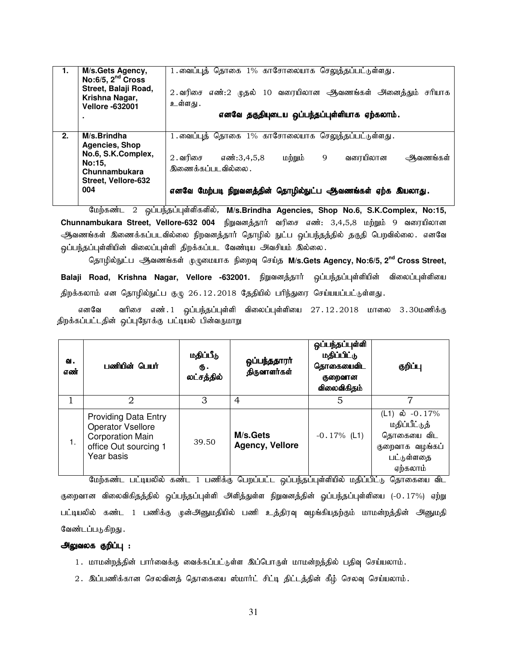| 1. | M/s.Gets Agency,<br>$No:6/5$ , $2nd Cross$<br>Street, Balaji Road,<br>Krishna Nagar,<br><b>Vellore -632001</b><br>٠ | 1.வைப்புத் தொகை 1% காசோலையாக செலுத்தப்பட்டுள்ளது.<br>2. வரிசை எண்:2 முதல் 10 வரையிலான ஆவணங்கள் அனைத்தும் சரியாக<br>உள்ளது .<br>எனவே தகுதியுடைய ஒப்பந்தப்புள்ளியாக ஏற்கலாம்.                                 |
|----|---------------------------------------------------------------------------------------------------------------------|-------------------------------------------------------------------------------------------------------------------------------------------------------------------------------------------------------------|
| 2. | M/s.Brindha<br><b>Agencies, Shop</b><br>No.6, S.K.Complex,<br>No:15.<br>Chunnambukara<br>Street, Vellore-632<br>004 | 1.வைப்புத் தொகை 1% காசோலையாக செலுத்தப்பட்டுள்ளது.<br>$2.$ வரிசை<br>வரையிலான<br>எண்:3,4,5,8<br>மற்றும்<br>9<br>ஆவணங்கள்<br>இணைக்கப்படவில்லை .<br>எனவே மேற்படி நிறுவனத்தின் தொழில்நுட்ப ஆவணங்கள் ஏற்க இயலாது. |

Bkw;fz;l 2 xg;ge;jg;g[s;spfspy;, **M/s.Brindha Agencies, Shop No.6, S.K.Complex, No:15, Chunnambukara Street, Vellore-632 004** நிறுவனத்தார் வரிசை எண்: 3,4,5,8 மற்றும் 9 வரையிலான ஆவணங்கள் இணைக்கப்படவில்லை நிறவனத்தார் தொழில் நுட்ப ஒப்பந்தத்தில் தகுதி பெறவில்லை. எனவே ஒப்பந்தப்புள்ளியின் விலைப்புள்ளி திறக்கப்பட வேண்டிய அவசியம் இல்லை.

 bjhHpy;El;g MtzA;fs; KGikahf epiwt[ bra;j **M/s.Gets Agency, No:6/5, 2nd Cross Street,**  Balaji Road, Krishna Nagar, Vellore -632001. நிறுவனத்தார் ஒப்பந்தப்புள்ளியின் விலைப்புள்ளியை திறக்கலாம் என தொழில்நுட்ப குழு 26.12.2018 தேதியில் பரிந்துரை செய்யயப்பட்டுள்ளது.

எனவே வரிசை எண்.1 ஒப்பந்தப்புள்ளி விலைப்புள்ளியை  $27.12.2018$  மாலை 3.30மணிக்கு திறக்கப்பட்டதின் ஒப்புநோக்கு பட்டியல் பின்வருமாறு

| ഖ.<br>எண் | பணியின் பெயர்                                                                                                             | மதிப்பீடு<br>Ф.<br>லட்சத்தில் | ஒப்பந்ததாரா்<br>திருவாளர்கள்       | ஒப்பந்தப்புள்ளி<br>மதிப்பிட்டு<br>தொகையைவிட<br>குறைவான<br>விலைவிகிதம் | குறிப்பு                                                                                      |
|-----------|---------------------------------------------------------------------------------------------------------------------------|-------------------------------|------------------------------------|-----------------------------------------------------------------------|-----------------------------------------------------------------------------------------------|
|           | 2                                                                                                                         | 3                             | $\overline{4}$                     | 5                                                                     | 7                                                                                             |
| 1.        | <b>Providing Data Entry</b><br><b>Operator Vsellore</b><br><b>Corporation Main</b><br>office Out sourcing 1<br>Year basis | 39.50                         | M/s.Gets<br><b>Agency, Vellore</b> | $-0.17\%$ (L1)                                                        | (L1) ல் $-0.17\%$<br>மதிப்பீட்டுத்<br>தொகையை விட<br>குறைவாக வழங்கப்<br>பட்டுள்ளதை<br>ஏற்கலாம் |

மேற்கண்ட பட்டியலில் கண்ட 1 பணிக்கு பெறப்பட்ட ஒப்பந்தப்புள்ளியில் மதிப்பிட்டு தொகையை விட குறைவான விலைவிகிதத்தில் ஒப்பந்தப்புள்ளி அளித்துள்ள நிறுவனத்தின் ஓப்பந்தப்புள்ளியை (-0.17%) ஏற்று பட்டியலில் கண்ட 1 பணிக்கு முன்அனுமதியில் பணி உத்திரவு வழங்கியதற்கும் மாமன்றத்தின் அனுமதி வேண்டப்படுகிறது .

#### அலுவலக குறிப்பு :

- 1. மாமன்றத்தின் பார்வைக்கு வைக்கப்பட்டுள்ள இப்பொருள் மாமன்றத்தில் பதிவு செய்யலாம்.
- 2. இப்பணிக்கான செலவினத் தொகையை ஸ்மார்ட் சிட்டி திட்டத்தின் கீழ் செலவு செய்யலாம்.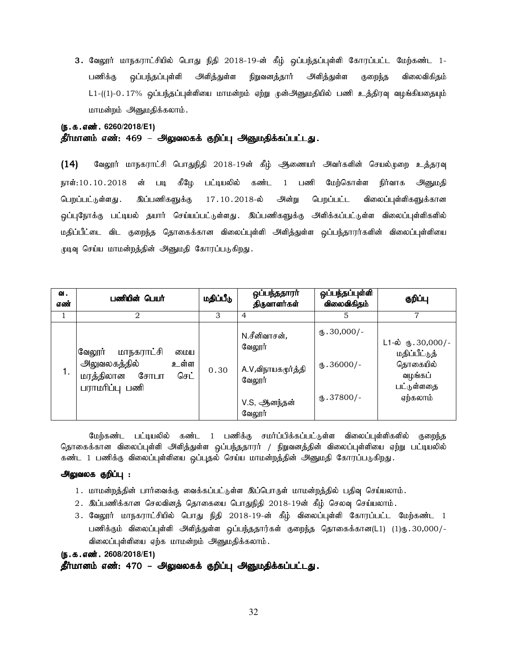3. வேலூர் மாநகராட்சியில் பொது நிதி 2018-19-ன் கீழ் ஒப்பந்தப்புள்ளி கோரப்பட்ட மேற்கண்ட 1-பணிக்கு ஒப்பந்தப்புள்ளி அளித்துள்ள நிறுவனத்தார் அளித்துள்ள குறைந்த விலைவிகிதம் L1-((1)-0 . 17% ஒப்பந்தப்புள்ளியை மாமன்றம் ஏற்று முன்அனுமதியில் பணி உத்திரவு வழங்கியதையும் மாமன்றம் அனுமதிக்கலாம்.

# (**ந.க.எண். 6260/2018/E1**)

# தீர்மானம் எண்: 469 – அலுவலகக் குறிப்பு அனுமதிக்கப்பட்டது.

 $(14)$  Baலூர் மாநகராட்சி பொதுநிதி 2018-19ன் கீழ் ஆணையர் அவர்களின் செயல்முறை உத்தரவு நாள்:10.10.2018 ன் படி கீழே பட்டியலில் கண்ட 1 பணி மேற்கொள்ள நிர்வாக அனுமதி பெறப்பட்டுள்ளது .இப்பணிகளுக்கு 17.10.2018-ல் அன்று பெறப்பட்ட விலைப்புள்ளிகளுக்கான <u>ஒ</u>ப்புநோக்கு பட்டியல் தயார் செய்யப்பட்டுள்ளது. இப்பணிகளுக்கு அளிக்கப்பட்டுள்ள விலைப்புள்ளிகளில் மதிப்பீட்டை விட குறைந்த தொகைக்கான விலைப்புள்ளி அளித்துள்ள ஒப்பந்தாரர்களின் விலைப்புள்ளியை முடிவு செய்ய மாமன்றத்தின் அனுமதி கோரப்படுகிறது.

| ഖ.<br>எண் | பணியின் பெயர்                                                                                   | மதிப்பீடு | ஒப்பந்ததாரா்<br>திருவாளர்கள்                                                     | ஒப்பந்தப்புள்ளி<br>விலைவிகிதம்                               | குறிப்பு                                                                                         |
|-----------|-------------------------------------------------------------------------------------------------|-----------|----------------------------------------------------------------------------------|--------------------------------------------------------------|--------------------------------------------------------------------------------------------------|
|           | $\mathfrak{D}_{\mathfrak{p}}$                                                                   | 3         | 4                                                                                | 5                                                            | 7                                                                                                |
| 1.        | வேலூர்<br>மாநகராட்சி<br>மைய<br>அலுவலகத்தில்<br>உள்ள<br>மரத்திலான சோபா<br>செட்<br>பராமரிப்பு பணி | 0.30      | N.சீனிவாசன்,<br>வேலூர்<br>A.V,விநாயகமூர்த்தி<br>வேலூர்<br>V.S, ஆனந்தன்<br>வேலூர் | $\text{I}$ .30,000/-<br>$\text{I}$ .36000/-<br>$(D.37800)$ - | $L1-\dot{\omega}$ ரு. 30,000/-<br>மதிப்பீட்டுத்<br>தொகையில்<br>வழங்கப்<br>பட்டுள்ளதை<br>ஏற்கலாம் |

மேற்கண்ட பட்டியலில் கண்ட 1 பணிக்கு சமர்ப்பிக்கப்பட்டுள்ள விலைப்புள்ளிகளில் குறைந்த தொகைக்கான விலைப்புள்ளி அளித்துள்ள ஒப்பந்ததாரர் / நிறுவனத்தின் விலைப்புள்ளியை ஏற்று பட்டியலில் கண்ட 1 பணிக்கு விலைப்புள்ளியை ஒப்புதல் செய்ய மாமன்றத்தின் அனுமதி கோரப்படுகிறது.

#### அலுவலக குறிப்பு :

- 1. மாமன்றத்தின் பார்வைக்கு வைக்கப்பட்டுள்ள இப்பொருள் மாமன்றத்தில் பதிவு செய்யலாம்.
- $2.$  இப்பணிக்கான செலவினக் கொகையை பொதுநிதி  $2018$ -19ன் கீம் செலவு செய்யலாம்.
- 3. வேலூர் மாநகராட்சியில் பொது நிதி 2018-19-ன் கீழ் விலைப்புள்ளி கோரப்பட்ட மேற்கண்ட 1 பணிக்கும் விலைப்புள்ளி அளித்துள்ள ஒப்பந்ததார்கள் குறைந்த தொகைக்கான(L1) (1)ரு.30,000/-விலைப்புள்ளியை ஏற்க மாமன்றம் அனுமதிக்கலாம்.

(ந.க.எண். 2608/2018/E1)

தீர்மானம் எண்: 470 – அலுவலகக் குறிப்பு அனுமதிக்கப்பட்டது.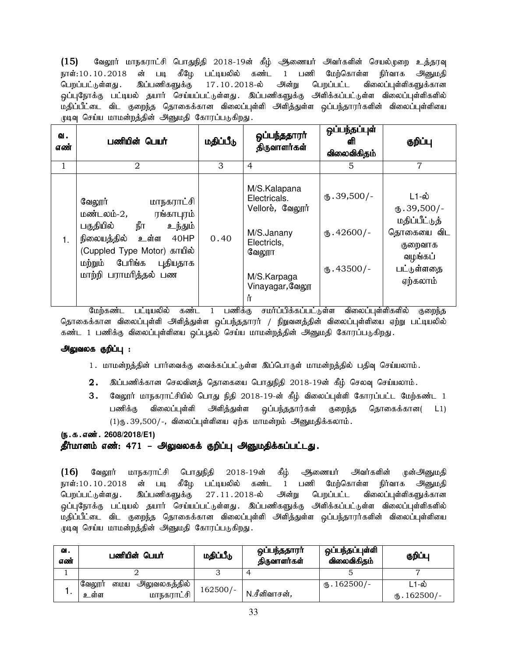$(15)$  வேலூர் மாநகராட்சி பொதுநிதி 2018-19ன் கீழ் ஆணையர் அவர்களின் செயல்முறை உத்தரவு நாள்:10.10.2018 ன் படி கீழே பட்டியலில் கண்ட 1 பணி மேற்கொள்ள நிர்வாக அனுமதி பெறப்பட்டுள்ளது .இப்பணிகளுக்கு 17.10.2018-ல் அன்று பெறப்பட்ட விலைப்புள்ளிகளுக்கான .<br>ஒப்புநோக்கு பட்டியல் தயார் செய்யப்பட்டுள்ளது. இப்பணிகளுக்கு அளிக்கப்பட்டுள்ள விலைப்புள்ளிகளில் மதிப்பீட்டை விட குறைந்த தொகைக்கான விலைப்புள்ளி அளித்துள்ள ஒப்பந்தாரர்களின் விலைப்புள்ளியை முடிவு செய்ய மாமன்றத்தின் அனுமதி கோரப்படுகிறது.

| ഖ.<br>எண் | பணியின் பெயர்                                                                                                                                                                                         | மதிப்பீடு | ஒப்பந்ததாரா்<br>திருவாளர்கள்                                                                                                       | ஒப்பந்தப்புள்<br>ଣୀ<br>விலைவிகிதம்                            | குறிப்பு                                                                                                       |
|-----------|-------------------------------------------------------------------------------------------------------------------------------------------------------------------------------------------------------|-----------|------------------------------------------------------------------------------------------------------------------------------------|---------------------------------------------------------------|----------------------------------------------------------------------------------------------------------------|
|           | 2                                                                                                                                                                                                     | 3         | $\overline{4}$                                                                                                                     | 5                                                             | 7                                                                                                              |
| 1.        | வேலூர்<br>மாநகராட்சி<br>மண்டலம்-2,<br>ரங்காபுரம்<br>நீா<br>பகுதியில்<br>உந்தும்<br>உள்ள<br>நிலையத்தில்<br>40HP<br>(Cuppled Type Motor) காயில்<br>மற்றும் பேரிங்க<br>புதியதாக<br>மாற்றி பராமரித்தல் பண | 0.40      | M/S.Kalapana<br>Electricals.<br>Vellore, வேலூர்<br>M/S.Janany<br>Electricls,<br>வேலூா<br>M/S.Karpaga<br>Vinayagar, வேலூ<br>'n<br>. | $\Phi$ . 39,500/-<br>$\mathbf{0}.42600$ /-<br>$\phi$ .43500/- | L1-ல்<br>$\mathbf{L}$ .39,500/-<br>மதிப்பீட்டுத்<br>தொகையை விட<br>குறைவாக<br>வழங்கப்<br>பட்டுள்ளதை<br>ஏற்கலாம் |

மேற்கண்ட பட்டியலில் கண்ட 1 பணிக்கு சமா்ப்பிக்கப்பட்டுள்ள விலைப்புள்ளிகளில் குறைந்த தொகைக்கான விலைப்புள்ளி அளித்துள்ள ஒப்பந்ததாரர் / நிறுவனத்தின் விலைப்புள்ளியை ஏற்று பட்டியலில் கண்ட 1 பணிக்கு விலைப்புள்ளியை ஒப்புதல் செய்ய மாமன்றத்தின் அனுமதி கோரப்படுகிறது.

#### அலுவலக குறிப்பு :

- 1. மாமன்றத்தின் பார்வைக்கு வைக்கப்பட்டுள்ள இப்பொருள் மாமன்றத்தில் பதிவு செய்யலாம்.
- $2.$  இப்பணிக்கான செலவினத் தொகையை பொதுநிதி  $2018$ -19ன் கீழ் செலவு செய்யலாம்.
- $3.$  Bுலூர் மாநகராட்சியில் பொது நிதி 2018-19-ன் கீழ் விலைப்புள்ளி கோரப்பட்ட மேற்கண்ட 1 பணிக்கு விலைப்புள்ளி அளித்துள்ள ஒப்பந்ததார்கள் குறைந்த தொகைக்கான( L1)  $(1)$ ரு. 39,500/-, விலைப்புள்ளியை ஏற்க மாமன்றம் அனுமதிக்கலாம்.

#### (**ந.க.எண். 2608/2018/E1**)

#### தீர்மானம் எண்: 471 – அலுவலகக் குறிப்பு அனுமதிக்கப்பட்டது.

(16) வேலூர் மாநகராட்சி பொதுநிதி 2018-19ன் கீழ் ஆணையர் அவர்களின் முன்அனுமதி நாள்:10.10.2018 ன் படி கீழே பட்டியலில் கண்ட 1 பணி மேற்கொள்ள நிர்வாக அனுமதி பெறப்பட்டுள்ளது . இப்பணிகளுக்கு 27 .11 . 2018-ல் அன்று பெறப்பட்ட விலைப்புள்ளிகளுக்கான <u>ஒ</u>ப்புநோக்கு பட்டியல் தயார் செய்யப்பட்டுள்ளது. இப்பணிகளுக்கு அளிக்கப்பட்டுள்ள விலைப்புள்ளிகளில் மதிப்பீட்டை விட குறைந்த தொகைக்கான விலைப்புள்ளி அளித்துள்ள ஒப்பந்தாரர்களின் விலைப்புள்ளியை முடிவு செய்ய மாமன்றத்தின் அனுமதி கோரப்படுகிறது.

| வ.<br>எண் | பணியின் பெயர்                                         | மதிப்பீடு  | ஒப்பந்ததாரா்<br>திருவாளர்கள் | ஒப்பந்தப்புள்ளி<br>விலைவிகிதம் | குறிப்பு                    |
|-----------|-------------------------------------------------------|------------|------------------------------|--------------------------------|-----------------------------|
|           |                                                       |            |                              |                                |                             |
|           | அலுவலகத்தில்  <br>வேலூர்<br>மைய<br>மாநகராட்சி<br>உள்ள | $162500/-$ | N.சீனிவாசன்,                 | $M_{\rm b}$ . 162500/-         | L1-ல்<br>$\text{I}62500$ /- |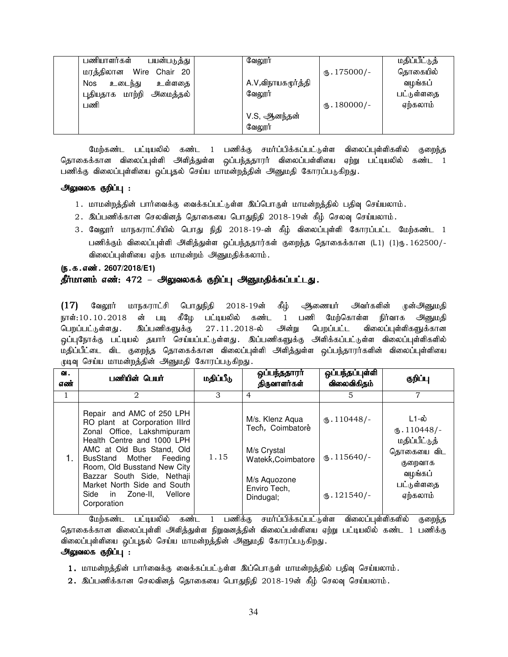| பணியாளர்கள்<br>பயன்படுத்து      | வேலூர்             |                         | மதிப்பீட்டுத் |
|---------------------------------|--------------------|-------------------------|---------------|
| மரத்திலான Wire<br>Chair<br>- 20 |                    | $\mathbf{L}$ . 175000/- | தொகையில்      |
| <b>Nos</b><br>உடைந்து<br>உள்ளதை | A.V,விநாயகமூர்த்தி |                         | வழங்கப்       |
| புதியதாக மாற்றி<br>அமைத்தல்     | வேலூர்             |                         | பட்டுள்ளதை    |
| பணி                             |                    | $\mathbf{L}$ . 180000/- | ஏற்கலாம்      |
|                                 | V.S, ஆனந்தன்       |                         |               |
|                                 | வேலூர்             |                         |               |

மேற்கண்ட பட்டியலில் கண்ட 1 பணிக்கு சமர்ப்பிக்கப்பட்டுள்ள விலைப்புள்ளிகளில் குறைந்த தொகைக்கான விலைப்புள்ளி அி்த்துள்ள <u>ஒ</u>ப்பந்ததாரர் விலைப்பள்ளியை ஏற்று பட்டியலில் கண்ட 1 பணிக்கு விலைப்புள்ளியை ஒப்புதல் செய்ய மாமன்றத்தின் அனுமதி கோரப்படுகிறது.

#### அலுவலக குறிப்பு :

- 1. மாமன்றத்தின் பார்வைக்கு வைக்கப்பட்டுள்ள இப்பொருள் மாமன்றத்தில் பதிவு செய்யலாம்.
- 2. இப்பணிக்கான செலவினத் தொகையை பொதுநிதி 2018-19ன் கீழ் செலவு செய்யலாம்.
- 3. வேலூர் மாநகராட்சியில் பொது நிதி 2018-19-ன் கீம் விலைப்புள்ளி கோரப்பட்ட மேற்கண்ட 1 பணிக்கும் விலைப்புள்ளி அளித்துள்ள ஒப்பந்ததார்கள் குறைந்த தொகைக்கான (L1) (1)ரு. 162500/-விலைப்புள்ளியை ஏற்க மாமன்றம் அனுமதிக்கலாம்.

#### (ந.க.எண். 2607/2018/E1)

# தீர்மானம் எண்: 472 – <mark>அலுவலகக் குறிப்பு அனுமதிக்கப்பட்டது.</mark>

(17) வேலூர் மாநகராட்சி பொதுநிதி 2018-19ன் கீழ் ஆணையர் அவர்களின் முன்அனுமதி நாள்:10.10.2018 ன் படி கீழே பட்டியலில் கண்ட 1 பணி மேற்கொள்ள நிர்வாக அனுமதி<br>பெறப்பட்டுள்ளது. இப்பணிகளுக்கு 27.11.2018-ல் அன்று பெறப்பட்ட விலைப்புள்ளிகளுக்கான பெறப்பட்டுள்ளது .இப்பணிகளுக்கு 27.11.2018-ல் அன்று பெறப்பட்ட விலைப்புள்ளிகளுக்கான <u>ஒ</u>ப்புநோக்கு பட்டியல் தயார் செய்யப்பட்டுள்ளது. இப்பணிகளுக்கு அளிக்கப்பட்டுள்ள விலைப்புள்ளிகளில் மதிப்பீட்டை விட குறைந்த தொகைக்கான விலைப்புள்ளி அளித்துள்ள ஒப்பந்தாரர்களின் விலைப்புள்ளியை முடிவு செய்ய மாமன்றத்தின் அனுமதி கோரப்படுகிறது.

| வ.<br>எண் | பணியின் பெயர்                                                                                                                                                                                                                                                                                                            | மதிப்பீடு | ஒப்பந்ததாரா்<br>திருவாளர்கள்                                                                                          | ஒப்பந்தப்புள்ளி<br>விலைவிகிதம்                                       | குறிப்பு                                                                                               |
|-----------|--------------------------------------------------------------------------------------------------------------------------------------------------------------------------------------------------------------------------------------------------------------------------------------------------------------------------|-----------|-----------------------------------------------------------------------------------------------------------------------|----------------------------------------------------------------------|--------------------------------------------------------------------------------------------------------|
|           | 2                                                                                                                                                                                                                                                                                                                        | 3         | 4                                                                                                                     | 5                                                                    | 7                                                                                                      |
|           | Repair and AMC of 250 LPH<br>RO plant at Corporation IIIrd<br>Zonal Office, Lakshmipuram<br>Health Centre and 1000 LPH<br>AMC at Old Bus Stand, Old<br>BusStand Mother Feeding<br>Room, Old Busstand New City<br>Bazzar South Side, Nethaji<br>Market North Side and South<br>Side in Zone-II,<br>Vellore<br>Corporation | 1.15      | M/s. Klenz Aqua<br>Tech, Coimbatore<br>M/s Crystal<br>Watekk, Coimbatore<br>M/s Aquozone<br>Enviro Tech,<br>Dindugal; | $\mathbf{L}$ . 110448/-<br>$\text{I}15640/-$<br>$\text{I}3.121540/-$ | ⊥1-ல்<br>$(D.110448)$ -<br>மதிப்பீட்டுத்<br>தொகையை விட<br>குறைவாக<br>வழங்கப்<br>பட்டுள்ளதை<br>ஏற்கலாம் |

மேற்கண்ட பட்டியலில் கண்ட 1 பணிக்கு சமா்ப்பிக்கப்பட்டுள்ள விலைப்புள்ளிகளில் குறைந்த தொகைக்கான விலைப்புள்ளி அளித்துள்ள நிறுவனத்தின் விலைப்பள்ளியை ஏற்று பட்டியலில் கண்ட 1 பணிக்கு விலைப்புள்ளியை ஒப்புதல் செய்ய மாமன்றத்தின் அனுமதி கோரப்படுகிறது.

### அலுவலக குறிப்பு :

- 1. மாமன்றத்தின் பார்வைக்கு வைக்கப்பட்டுள்ள இப்பொருள் மாமன்றத்தில் பதிவு செய்யலாம்.
- $2.\;$  இப்பணிக்கான செலவினத் தொகையை பொதுநிதி  $2018$ -19ன் கீழ் செலவு செய்யலாம்.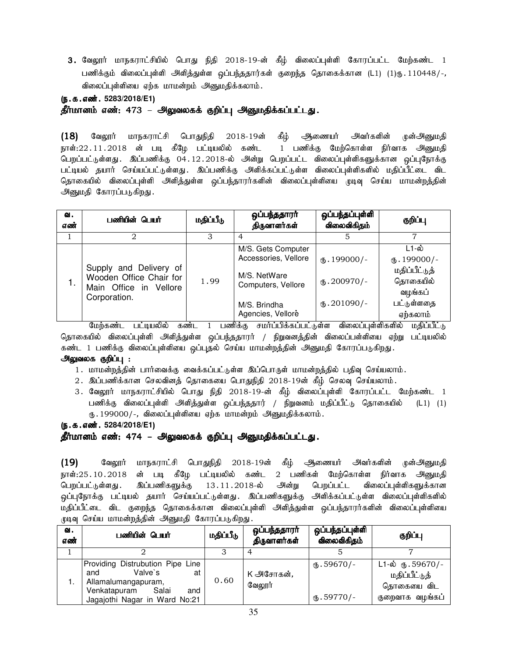3. வேலூர் மாநகராட்சியில் பொது நிதி 2018-19-ன் கீழ் விலைப்புள்ளி கோரப்பட்ட மேற்கண்ட 1 பணிக்கும் விலைப்புள்ளி அளித்துள்ள ஒப்பந்ததார்கள் குறைந்த தொகைக்கான (L1) (1)ரு. 110448/-, விலைப்புள்ளியை ஏற்க மாமன்றம் அனுமதிக்கலாம்.

(**ந.க.எண்.** 5283/2018/E1)

தீர்மானம் எண்: 473 – அலுவலகக் குறிப்பு அனுமதிக்கப்பட்டது.

 $(18)$  வேலூர் மாநகராட்சி பொதுநிதி 2018-19ன் கீழ் ஆணையர் அவர்களின் முன்அனுமதி நாள்:22 11 2018 ன் படி கீழே பட்டியலில் கண்ட 1 பணிக்கு மேற்கொள்ள நிர்வாக அனுமதி பெறப்பட்டுள்ளது. இப்பணிக்கு 04.12.2018-ல் அன்று பெறப்பட்ட விலைப்புள்ளிகளுக்கான ஒப்புநோக்கு பட்டியல் தயார் செய்யப்பட்டுள்ளது. இப்பணிக்கு அளிக்கப்பட்டுள்ள விலைப்புள்ளிகளில் மதிப்பீட்டை விட தொகையில் விலைப்புள்ளி அளித்துள்ள ஒப்பந்தாரர்களின் விலைப்புள்ளியை முடிவு செய்ய மாமன்றத்தின் அனுமதி கோரப்படுகிறது.

| ഖ.<br>எண் | பணியின் பெயர்                                                                               | மதிப்பீடு | ஒப்பந்ததாரா்<br>திருவாளர்கள்                                                                                          | ஒப்பந்தப்புள்ளி<br>விலைவிகிதம்                    | குறிப்பு                                                                                           |
|-----------|---------------------------------------------------------------------------------------------|-----------|-----------------------------------------------------------------------------------------------------------------------|---------------------------------------------------|----------------------------------------------------------------------------------------------------|
|           | 2                                                                                           | 3         | 4                                                                                                                     |                                                   |                                                                                                    |
|           | Supply and Delivery of<br>Wooden Office Chair for<br>Main Office in Vellore<br>Corporation. | 1.99      | M/S. Gets Computer<br>Accessories, Vellore<br>M/S. NetWare<br>Computers, Vellore<br>M/S. Brindha<br>Agencies, Vellore | $(B.199000/-$<br>$(D.200970)$ -<br>$(D.201090)$ - | L1-ல்<br>$\mathbf{L}$ . 199000/-<br>மதிப்பீட்டுத்<br>தொகையில்<br>வழங்கப்<br>பட்டுள்ளதை<br>ஏற்கலாம் |

மேற்கண்ட பட்டியலில் கண்ட 1 பணிக்கு சமா்ப்பிக்கப்பட்டுள்ள விலைப்புள்ளிகளில் மதிப்பீட்டு தொகையில் விலைப்புள்ளி அளித்துள்ள ஒப்பந்ததாரர் / நிறுவனத்தின் விலைப்பள்ளியை ஏற்று பட்டியலில் கண்ட 1 பணிக்கு விலைப்புள்ளியை ஒப்புதல் செய்ய மாமன்றத்தின் அனுமதி கோரப்படுகிறது.

#### அலுவலக குறிப்பு :

- 1. மாமன்றத்தின் பார்வைக்கு வைக்கப்பட்டுள்ள இப்பொருள் மாமன்றத்தில் பதிவு செய்யலாம்.
- $2.$  இப்பணிக்கான செலவினத் தொகையை பொதுநிதி  $2018$ -19ன் கீழ் செலவு செய்யலாம்.
- 3. வேலூர் மாநகராட்சியில் பொது நிதி 2018-19-ன் கீழ் விலைப்புள்ளி கோரப்பட்ட மேற்கண்ட 1 பணிக்கு விலைப்புள்ளி அளித்துள்ள ஒப்பந்ததார் / நிறுவனம் மதிப்பீட்டு தொகையில் (L1) (1) ரு. 199000/-, விலைப்புள்ளியை ஏற்க மாமன்றம் அனுமதிக்கலாம்.

(**ந.க.எண்.** 5284/2018/E1)

#### தீர்மானம் எண்: 474 – அலுவலகக் குறிப்பு அனுமதிக்கப்பட்டது.

(19) வேலூர் மாநகராட்சி பொதுநிதி 2018-19ன் கீழ் அணையர் அவர்களின் ழன்அனுமதி நாள்:25.10.2018 ன் படி கீழே பட்டியலில் கண்ட 2 பணிகள் மேற்கொள்ள நிர்வாக அனுமதி பெறப்பட்டுள்ளது. இப்பணிகளுக்கு 13.11.2018-ல் அன்று பெறப்பட்ட விலைப்புள்ளிகளுக்கான <u>ஒ</u>ப்புநோக்கு பட்டியல் தயார் செய்யப்பட்டுள்ளது. இப்பணிகளுக்கு அளிக்கப்பட்டுள்ள விலைப்புள்ளிகளில் மதிப்பீட்டை விட குறைந்த தொகைக்கான விலைப்புள்ளி அளித்துள்ள ஒப்பந்தாரர்களின் விலைப்புள்ளியை முடிவு செய்ய மாமன்றத்தின் அனுமதி கோரப்படுகிறது.

| வ.<br>எண் | பணியின் பெயர்                                                                                                                                    | மதிப்பீடு | ஒப்பந்ததாரர்<br>திருவாளர்கள் | ஒப்பந்தப்புள்ளி<br>விலைவிகிதம் | குறிப்பு                                                                        |
|-----------|--------------------------------------------------------------------------------------------------------------------------------------------------|-----------|------------------------------|--------------------------------|---------------------------------------------------------------------------------|
|           |                                                                                                                                                  |           |                              |                                |                                                                                 |
|           | Providing Distrubution Pipe Line<br>Valve's<br>and<br>at<br>Allamalumangapuram,<br>Salai<br>Venkatapuram<br>and<br>Jagajothi Nagar in Ward No:21 | 0.60      | K அசோகன்,<br>வேலூர்          | $(B.59670)$ -<br>$(b.59770/-$  | $L1-\dot{\omega}$ ரு. 59670/-<br>மதிப்பீட்டுத்<br>தொகையை விட<br>குறைவாக வழங்கப் |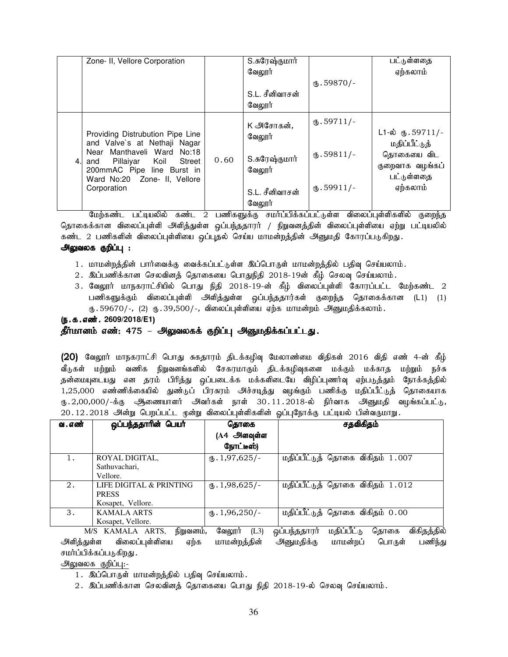|     | Zone- II, Vellore Corporation                                                                                                                                                                               |      | S.சுரேஷ்குமார்<br>வேலூர்<br>S.L. சீனிவாசன்<br>வேலூர்                        | $(D.59870)$ -                                         | பட்டுள்ளதை<br>ஏற்கலாம்                                                                                   |
|-----|-------------------------------------------------------------------------------------------------------------------------------------------------------------------------------------------------------------|------|-----------------------------------------------------------------------------|-------------------------------------------------------|----------------------------------------------------------------------------------------------------------|
| 4.I | Providing Distrubution Pipe Line<br>and Valve's at Nethaji Nagar<br>Near Manthaveli Ward No:18<br>Pillaiyar Koil Street<br>and<br>200mmAC Pipe line Burst in<br>Ward No:20 Zone- II, Vellore<br>Corporation | 0.60 | K அசோகன்.<br>வேலூர்<br>S.சுரேஷ்குமார்<br>வேலூர்<br>S.L. சீனிவாசன்<br>வேலூர் | $(D.59711/-$<br>$\mathbf{L}$ .59811/-<br>$(D.59911/-$ | $L1-\dot{\omega}$ (5.59711/-<br>மதிப்பீட்டுத்<br>தொகையை விட<br>குறைவாக வழங்கப்<br>பட்டுள்ளதை<br>ஏற்கலாம் |

மேற்கண்ட பட்டியலில் கண்ட 2 பணிகளுக்கு சமர்ப்பிக்கப்பட்டுள்ள விலைப்புள்ளிகளில் குறைந்த தொகைக்கான விலைப்புள்ளி அளித்துள்ள ஒப்பந்ததாரர் / நிறுவனத்தின் விலைப்புள்ளியை ஏற்று பட்டியலில் கண்ட 2 பணிகளின் விலைப்புள்ளியை ஒப்புதல் செய்ய மாமன்றத்தின் அனுமதி கோரப்படுகிறது. அலுவலக குறிப்பு :

- 1. மாமன்றத்தின் பார்வைக்கு வைக்கப்பட்டுள்ள இப்பொருள் மாமன்றத்தில் பதிவு செய்யலாம். 2. இப்பணிக்கான செலவினத் தொகையை பொதுநிதி 2018-19ன் கீழ் செலவு செய்யலாம்.
- 3. வேலூர் மாநகராட்சியில் பொது நிதி 2018-19-ன் கீழ் விலைப்புள்ளி கோரப்பட்ட மேற்கண்ட 2 பணிகளுக்கும் விலைப்புள்ளி அளித்துள்ள ஒப்பந்ததார்கள் குறைந்த தொகைக்கான (L1) (1)
- $\langle 0.59670/-, (2)$   $\langle 0.39,500/-,$  விலைப்புள்ளியை ஏற்க மாமன்றம் அனுமதிக்கலாம்.

# (ந.க.எண். 2609/2018/E1)

தீர்மானம் எண்: 475 – அலுவலகக் குறிப்பு அனுமதிக்கப்பட்டது.

 $(20)$  வேலூர் மாநகராட்சி பொது சுகதாரம் திடக்கழிவு மேலாண்மை விதிகள் 2016 விதி எண் 4-ன் கீழ் வீடுகள் மற்றும் வணிக நிறுவனங்களில் சேகரமாகும் திடக்கழிவுகளை மக்கும் மக்காத மற்றும் நச்சு தன்மையுடையது என தரம் பிரித்து ஒப்படைக்க மக்களிடையே விழிப்புணர்வு ஏற்படுத்தும் நோக்கத்தில் 1,25,000 எண்ணிக்கையில் துண்டுப் பிரசுரம் அச்சடித்து வழங்கும் பணிக்கு மதிப்பீட்டுத் தொகையாக ரு.2,00,000/-க்கு ஆணையாளர் அவர்கள் நாள் 30.11.2018-ல் நிர்வாக அனுமதி வழங்கப்பட்டு, 20.12.2018 அன்று பெறப்பட்ட முன்று விலைப்புள்ளிகளின் ஒப்புநோக்கு பட்டியல் பின்வருமாறு.

| வ . எண் | ஒப்பந்ததாரின் பெயர்                                                                                   | தொகை                      | சதவிகிதம்                        |  |  |  |  |  |
|---------|-------------------------------------------------------------------------------------------------------|---------------------------|----------------------------------|--|--|--|--|--|
|         |                                                                                                       | (A4 அளவுள்ள               |                                  |  |  |  |  |  |
|         |                                                                                                       | நோட்டீஸ்)                 |                                  |  |  |  |  |  |
|         | ROYAL DIGITAL,                                                                                        | $\mathbf{t}$ . 1,97,625/- | மதிப்பீட்டுத் தொகை விகிதம் 1.007 |  |  |  |  |  |
|         | Sathuvachari,                                                                                         |                           |                                  |  |  |  |  |  |
|         | Vellore.                                                                                              |                           |                                  |  |  |  |  |  |
| 2.      | LIFE DIGITAL & PRINTING                                                                               | $\text{I}$ , 1,98,625/-   | மதிப்பீட்டுத் தொகை விகிதம் 1.012 |  |  |  |  |  |
|         | <b>PRESS</b>                                                                                          |                           |                                  |  |  |  |  |  |
|         | Kosapet, Vellore.                                                                                     |                           |                                  |  |  |  |  |  |
| 3.      | <b>KAMALA ARTS</b>                                                                                    | $\mathbf{t}$ . 1,96,250/- | மதிப்பீட்டுத் தொகை விகிதம் 0.00  |  |  |  |  |  |
|         | Kosapet, Vellore.                                                                                     |                           |                                  |  |  |  |  |  |
|         | ஒப்பந்ததாரர்<br>மதிப்பீட்டு<br>விகிதத்தில்<br>வேலூர்<br>(L3)<br>கொகை<br>M/S KAMALA ARTS,<br>நிறுவனம், |                           |                                  |  |  |  |  |  |

அளித்துள்ள விலைப்புள்ளியை ஏற்க மாமன்றத்தின் அனுமதிக்கு மாமன்றப் பொருள் பணிந்து சமர்ப்பிக்கப்படுகிறது .

அலுவலக குறிப்பு:-

 $2.$  இப்பணிக்கான செலவினத் தொகையை பொது நிதி  $2018$ -19-ல் செலவு செய்யலாம்.

<sup>1.</sup> இப்பொருள் மாமன்றத்தில் பதிவு செய்யலாம்.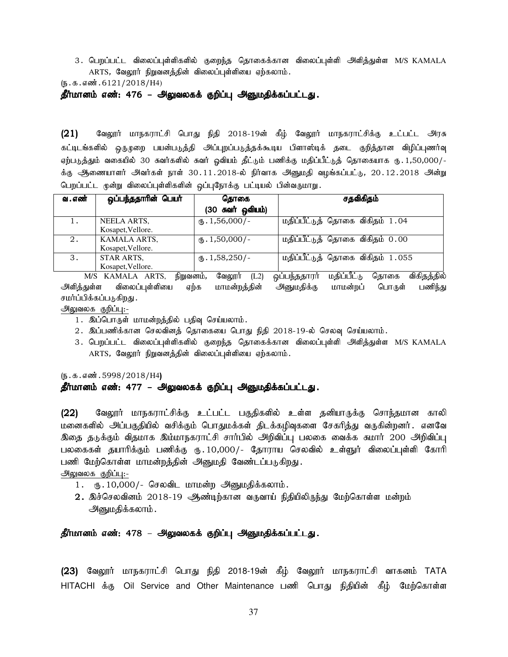3. பெறப்பட்ட விலைப்புள்ளிகளில் குறைந்த தொகைக்கான விலைப்புள்ளி அளித்துள்ள M/S KAMALA ARTS, வேலூர் நிறுவனத்தின் விலைப்புள்ளியை ஏற்கலாம்.

 $(5.5.5.5\text{...}5.6121/2018/H4)$ 

தீர்மானம் எண்: 476 – அலுவலகக் குறிப்பு அனுமதிக்கப்பட்டது.

 $(21)$  Baலூர் மாநகராட்சி பொது நிதி 2018-19ன் கீழ் வேலூர் மாநகராட்சிக்கு உட்பட்ட அரசு கட்டிடங்களில் ஒருமுறை பயன்படுத்தி அப்புறப்படுத்தக்கூடிய பிளாஸ்டிக் தடை குறித்தான விழிப்புணர்வு ஏற்படுத்தும் வகையில் 30 சுவர்களில் சுவர் ஓவியம் தீட்டும் பணிக்கு மதிப்பீட்டுத் தொகையாக ரு. 1,50,000/-க்கு ஆணையாளர் அவர்கள் நாள் 30.11.2018-ல் நிர்வாக அனுமதி வழங்கப்பட்டு, 20.12.2018 அன்று பெறப்பட்ட மூன்று விலைப்புள்ளிகளின் ஒப்புநோக்கு பட்டியல் பின்வருமாறு.

| வ . எண் | ஒப்பந்ததாரின் பெயர் | தொகை                           | சதவிகிதம்                        |
|---------|---------------------|--------------------------------|----------------------------------|
|         |                     | (30 சுவர் ஒவியம்)              |                                  |
|         | NEELA ARTS,         | $\textcircled{t}$ . 1,56,000/- | மதிப்பீட்டுத் தொகை விகிதம் 1.04  |
|         | Kosapet, Vellore.   |                                |                                  |
| 2.      | KAMALA ARTS,        | $_{6}$ . 1,50,000/-            | மதிப்பீட்டுத் தொகை விகிதம் 0.00  |
|         | Kosapet, Vellore.   |                                |                                  |
| 3.      | STAR ARTS,          | $\mathbf{t}$ . 1,58,250/-      | மதிப்பீட்டுத் தொகை விகிதம் 1.055 |
|         | Kosapet, Vellore.   |                                |                                  |

M/S KAMALA ARTS, நிறுவனம், வேலூர் (L2) ஒப்பந்ததாரர் மதிப்பீட்டு தொகை விகிதத்தில் அளித்துள்ள விலைப்புள்ளியை ஏற்க மாமன்றத்தின் அனுமதிக்கு மாமன்றப் பொருள் பணிந்து சமர்ப்பிக்கப்படுகிறது .

#### அலுவலக குறிப்பு:-

- 1. இப்பொருள் மாமன்றத்தில் பதிவு செய்யலாம்.
- $2.$  இப்பணிக்கான செலவினக் தொகையை பொது நிதி  $2018$ -19-ல் செலவு செய்யலாம்.
- 3. பெறப்பட்ட விலைப்புள்ளிகளில் குறைந்த தொகைக்கான விலைப்புள்ளி அளித்துள்ள M/S KAMALA  $ARTS$ , வேலூர் நிறுவனத்தின் விலைப்புள்ளியை ஏற்கலாம்.

 $(5.5.5.5\frac{1}{298}/2018/H4)$ 

# தீர்மானம் எண்: 477 – அலுவலகக் குறிப்பு அனுமதிக்கப்பட்டது.

(22) வேலூர் மாநகராட்சிக்கு உட்பட்ட பகுதிகளில் உள்ள தனியாருக்கு சொந்தமான காலி மனைகளில் அப்பகுதியில் வசிக்கும் பொதுமக்கள் திடக்கழிவுகளை சேகரித்து வருகின்றனர். எனவே இதை தடுக்கும் விதமாக இம்மாநகராட்சி சார்பில் அறிவிப்பு பலகை வைக்க சுமார் 200 அறிவிப்பு பலகைகள் தயாரிக்கும் பணிக்கு ரு. 10,000/- தோராய செலவில் உள்ளுர் விலைப்புள்ளி கோரி பணி மேற்கொள்ள மாமன்றத்தின் அனுமதி வேண்டப்படுகிறது.

அலுவலக குறிப்பு:-

- $1.$  (5.10,000/- செலவிட மாமன்ற அனுமதிக்கலாம்.
- 2. இச்செலவினம் 2018-19 ஆண்டிற்கான வருவாய் நிதியிலிருந்து மேற்கொள்ள மன்றம் <u>அனு</u>மதிக்கலாம்.

தீர்மானம் எண்: 478 – அலுவலகக் குறிப்பு அனுமதிக்கப்பட்டது.

(23) வேலூர் மாநகராட்சி பொது நிதி 2018-19ன் கீழ் வேலூர் மாநகராட்சி வாகனம் TATA HITACHI க்கு Oil Service and Other Maintenance பணி பொது நிதியின் கீழ் மேற்கொள்ள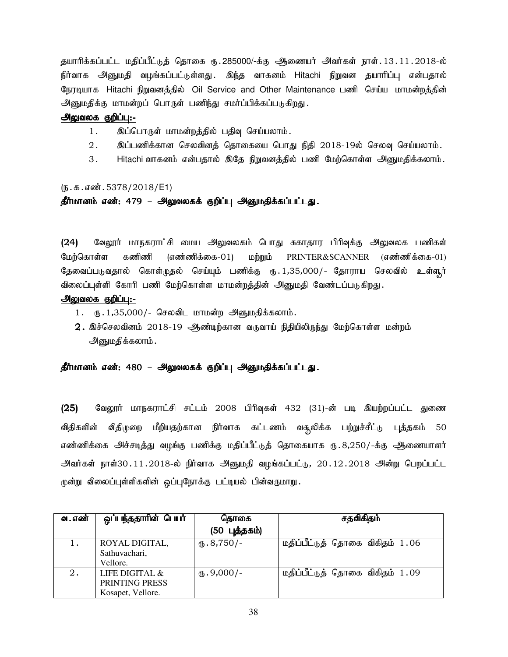தயாரிக்கப்பட்ட மதிப்பீட்டுத் தொகை ரு.285000/-க்கு ஆணையர் அவர்கள் நாள்.13.11.2018-ல் நிர்வாக அனுமதி வழங்கப்பட்டுள்ளது . இந்த வாகனம் Hitachi நிறுவன தயாரிப்பு என்பதால் நேரடியாக Hitachi நிறுவனத்தில் Oil Service and Other Maintenance பணி செய்ய மாமன்றத்தின் அனுமதிக்கு மாமன்றப் பொருள் பணிந்து சமர்ப்பிக்கப்படுகிறது.

#### அலுவலக குறிப்பு:-

- 1. இப்பொருள் மாமன்றத்தில் பதிவு செய்யலாம்.
- $2.$  இப்பணிக்கான செலவினத் தொகையை பொது நிதி  $2018$ -19ல் செலவு செய்யலாம்.
- 3. Hitachi வாகனம் என்பதால் இதே நிறுவனத்தில் பணி மேற்கொள்ள அனுமதிக்கலாம்.

#### $(5.5.5\pi)\$  . 5378/2018/E1)

# தீர்மானம் எண்: 479 – அலுவலகக் குறிப்பு அனுமதிக்கப்பட்டது.

(24) வேலூர் மாநகராட்சி மைய அலுவலகம் பொது சுகாதார பிரிவுக்கு அலுவலக பணிகள் மேற்கொள்ள கணிணி (எண்ணிக்கை-01) மற்றும்  $PRINTER\&SCANNER$  (எண்ணிக்கை-01) கேவைப்படுவதால் கொள்முதல் செய்யும் பணிக்கு ரூ. 1,35,000/- கோராய செலவில் உள்ளூர் விலைப்புள்ளி கோரி பணி மேற்கொள்ள மாமன்றத்தின் அனுமதி வேண்டப்படுகிறது.

#### அலுவலக குறிப்பு:-

- $1.$  ரூ.  $1,35,000/$  செலவிட மாமன்ற அனுமதிக்கலாம்.
- $\,2.\,$  இச்செலவினம்  $\,2018$ -19  $\,$ ஆண்டிற்கான வருவாய் நிதியிலிருந்து மேற்கொள்ள மன்றம் <u>அனு</u>மதிக்கலாம்.

### தீர்மானம் எண்: 480 – அலுவலகக் குறிப்பு அனுமதிக்கப்பட்டது.

 $(25)$  கேலூர் மாநகராட்சி சட்டம் 2008 பிரிவுகள் 432 (31)-ன் படி இயற்றப்பட்ட துணை விதிகளின் விதிமுறை மீறியதற்கான நிர்வாக கட்டணம் வசூலிக்க பற்றுச்சீட்டு புத்தகம் 50 எண்ணிக்கை அச்சடித்து வழங்கு பணிக்கு மதிப்பீட்டுத் தொகையாக ரு.8,250/-க்கு ஆணையாளர் அவர்கள் நாள்30.11.2018-ல் நிர்வாக அனுமதி வழங்கப்பட்டு, 20.12.2018 அன்று பெறப்பட்ட மூன்று விலைப்புள்ளிகளின் ஒப்புநோக்கு பட்டியல் பின்வருமாறு.

| வ . எண் | ஒப்பந்ததாரின் பெயர்                                      | தொகை                  | சதவிகிதம்                       |
|---------|----------------------------------------------------------|-----------------------|---------------------------------|
|         |                                                          | (50 புத்தகம்)         |                                 |
|         | ROYAL DIGITAL,<br>Sathuvachari,<br>Vellore.              | $\mathbf{t}$ .8,750/- | மதிப்பீட்டுத் தொகை விகிதம் 1.06 |
| 2.      | LIFE DIGITAL $\&$<br>PRINTING PRESS<br>Kosapet, Vellore. | $(b.9,000/-$          | மதிப்பீட்டுத் தொகை விகிதம் 1.09 |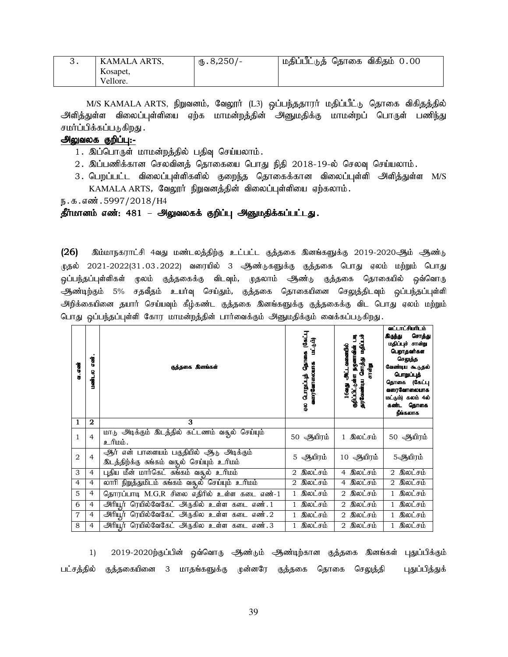| KAMALA ARTS. | $\times$ 8,250/- | மதிப்பீட்டுத் தொகை விகிதம் 0.00 |
|--------------|------------------|---------------------------------|
| Kosapet,     |                  |                                 |
| Vellore.     |                  |                                 |

M/S KAMALA ARTS, நிறுவனம், வேலூர் (L3) ஒப்பந்ததாரர் மதிப்பீட்டு தொகை விகிதத்தில் அளித்துள்ள விலைப்புள்ளியை ஏற்க மாமன்றத்தின் அனுமதிக்கு மாமன்றப் பொருள் பணிந்து சமர்ப்பிக்கப்படுகிறது .

# அலுவலக குறிப்பு:-

- 1. இப்பொருள் மாமன்றத்தில் பதிவு செய்யலாம்.
- $2.$  இப்பணிக்கான செலவினத் தொகையை பொது நிதி  $2018$ -19-ல் செலவு செய்யலாம்.
- 3. பெறப்பட்ட விலைப்புள்ளிகளில் குறைந்த தொகைக்கான விலைப்புள்ளி அளித்துள்ள M/S  $KAMALA$   $ARTS$ , வேலூர் நிறுவனத்தின் விலைப்புள்ளியை ஏற்கலாம்.

ந.க.எண்.5997/2018/H4

#### தீர்மானம் எண்: 481 – அலுவலகக் குறிப்பு அனுமதிக்கப்பட்டது.

 $(26)$  இம்மாநகராட்சி 4வது மண்டலத்திற்கு உட்பட்ட குத்தகை இனங்களுக்கு 2019-2020ஆம் ஆண்டு .<br>முதல் 2021-2022(31.03.2022) வரையில் 3 ஆண்டுகளுக்கு குத்தகை பொது ஏலம் மற்றும் பொது ஒப்பந்தப்புள்ளிகள் மூலம் குத்தகைக்கு விடவும், முதலாம் ஆண்டு குத்தகை தொகையில் ஒவ்வொரு ஆண்டிற்கும் 5% சதவீதம் உயர்வு செய்தும், குத்தகை தொகையினை செலுத்திடவும் ஒப்பந்தப்புள்ளி அிறிக்கையினை தயார் செய்யவும் கீழ்கண்ட குத்தகை இனங்களுக்கு குத்தகைக்கு விட பொது ஏலம் மற்றும் பொது ஒப்பந்தப்புள்ளி கோர மாமன்றத்தின் பார்வைக்கும் அனுமதிக்கும் வைக்கப்படுகிறது.

| வ. எண் | asi<br>8<br>பண்ட | குத்தகை இனங்கள்                                                                       | தொகை (கேட்பு<br>(شرب نهه<br>வரைவோலையாக<br>துப்பூராழ் | க்பட்டிய முக்ராக படிக்கும் நடு<br>E<br>தறிப்பிட்டுள்ள நமூனாவின்<br><u>அட்டவளைவ</u> ில்<br>சான்று<br>16ag | வட்டாட்சியரிடம்<br>சொத்து<br>கிருந்து<br>மதிப்புச் சான்று<br>பெறாதவர்கள<br>செலுத்த<br>வேண்டிய கூடுதல்<br>பொறப்புத்<br>தொகை (கேட்பு<br>வரைவோலையாக<br>மட்டும்) கலம் 4ல்<br>கண்ட தொகை<br>நீங்கலாக |
|--------|------------------|---------------------------------------------------------------------------------------|------------------------------------------------------|----------------------------------------------------------------------------------------------------------|------------------------------------------------------------------------------------------------------------------------------------------------------------------------------------------------|
| 1      | 2                | 3                                                                                     |                                                      |                                                                                                          |                                                                                                                                                                                                |
| 1      | $\overline{4}$   | மாடு அடிக்கும் இடத்தில் கட்டணம் வதுல் செய்யும்<br>உரிமம்.                             | 50 ஆயிரம்                                            | 1 இலட்சம்                                                                                                | ஆயிரம்<br>50                                                                                                                                                                                   |
| 2      | $\overline{4}$   | ஆர் என் பாளையம் பகுதியில் ஆடு அடிக்கும்<br>இடத்திற்க்கு சுங்கம் வதூல் செய்யும் உரிமம் | 5 ஆயிரம்                                             | 10 ஆயிரம்                                                                                                | 5ஆயிரம்                                                                                                                                                                                        |
| 3      | 4                | புதிய மீன் மார்கெட் சுங்கம் வசூல் உரிமம்                                              | 2 இலட்சம்                                            | இலட்சம்<br>4                                                                                             | 2 இலட்சம்                                                                                                                                                                                      |
| 4      | $\overline{4}$   | லாரி நிறுத்துமிடம் சுங்கம் வசூல் செய்யும் உரிமம்                                      | 2 இலட்சம்                                            | 4 இலட்சம்                                                                                                | 2 இலட்சம்                                                                                                                                                                                      |
| 5      | $\overline{4}$   | தொரப்பாடி M.G,R சிலை எதிரில் உள்ள கடை எண்-1                                           | இலட்சம்                                              | 2 இலட்சம்                                                                                                | 1 இலட்சம்                                                                                                                                                                                      |
| 6      | $\overline{4}$   | அரியூர் ரெயில்வேகேட் அருகில் உள்ள கடை எண். 1                                          | இலட்சம்<br>$\mathbf{1}$                              | 2 இலட்சம்                                                                                                | 1 இலட்சம்                                                                                                                                                                                      |
| 7      | $\overline{4}$   | அரியூர் ரெயில்வேகேட் அருகில உள்ள கடை எண்.2                                            | இலட்சம்                                              | 2 இலட்சம்                                                                                                | 1 இலட்சம்                                                                                                                                                                                      |
| 8      | $\overline{4}$   | அிரியூர் ரெயில்வேகேட் அருகில உள்ள கடை எண்.3                                           | இலட்சம்                                              | இலட்சம்<br>2                                                                                             | இலட்சம்<br>$\mathbf{1}$                                                                                                                                                                        |

1) 2019-2020ற்குப்பின் ஒவ்வொரு ஆண்டும் ஆண்டிற்கான குத்தகை இனங்கள் புதுப்பிக்கும் பட்சத்தில் குத்தகையினை 3 மாதங்களுக்கு முன்னரே குத்தகை தொகை செலுத்தி புதுப்பித்துக்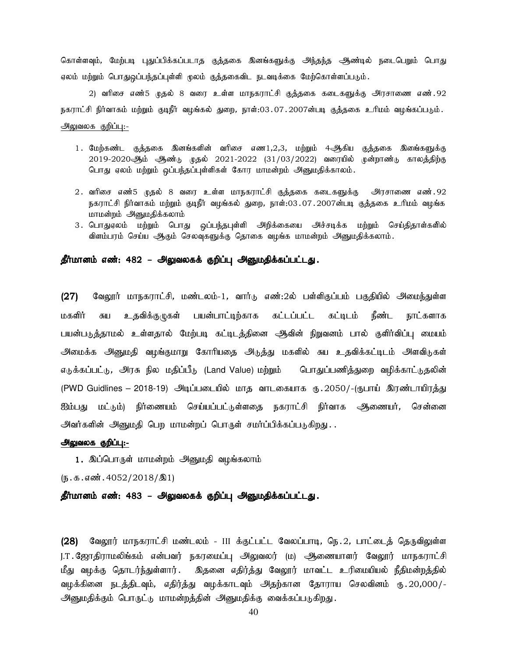கொள்ளவும், மேற்படி புதுப்பிக்கப்படாத குத்தகை இனங்களுக்கு அந்தந்த ஆண்டில் நடைபெறும் பொது ஏலம் மற்றும் பொதுஒப்பந்தப்புள்ளி முலம் குத்தகைவிட நடவடிக்கை மேற்கொள்ளப்படும்.

2) வரிசை எண்5 முதல் 8 வரை உள்ள மாநகராட்சி குத்தகை கடைகளுக்கு அரசாணை எண்.92 நகராட்சி நிர்வாகம் மற்றும் குடிநீர் வழங்கல் துறை, நாள்:03.07.2007ன்படி குத்தகை உரிமம் வழங்கப்படும். அலுவலக குறிப்பு:-

- 1. மேற்கண்ட குத்தகை இனங்களின் வரிசை எண1,2,3, மற்றும் 4ஆகிய குத்தகை இளங்களுக்கு  $2019-2020$ ஆம் ஆண்டு முதல்  $2021-2022$  (31/03/2022) வரையில் முன்றாண்டு காலத்திற்கு பொது ஏலம் மற்றும் ஒப்பந்தப்புள்ளிகள் கோர மாமன்றம் அனுமதிக்காலம்.
- 2. வரிசை எண்5 முதல் 8 வரை உள்ள மாநகராட்சி குத்தகை கடைகளுக்கு அரசாணை எண்.92 நகராட்சி நிர்வாகம் மற்றும் குடிநீர் வழங்கல் துறை, நாள்:03.07.2007ன்படி குத்தகை உரிமம் வழங்க மாமன்றம் அனுமதிக்கலாம்
- 3. பொதுஏலம் மற்றும் பொது ஒப்பந்தபுள்ளி அறிக்கையை அச்சடிக்க மற்றும் செய்திதாள்களில் விளம்பரம் செய்ய ஆகும் செலவுகளுக்கு தொகை வழங்க மாமன்றம் அனுமதிக்கலாம்.

#### தீர்மானம் எண்: 482 – அலுவலகக் குறிப்பு அனுமதிக்கப்பட்டது.

(27) வேலூர் மாநகராட்சி, மண்டலம்-1, வார்டு எண்:2ல் பள்ளிகுப்பம் பகுதியில் அமைந்துள்ள மகளிர் சுய உதவிக்குழுகள் பயன்பாட்டிற்காக கட்டப்பட்ட கட்டிடம் நீண்ட நாட்களாக பயன்படுத்தாமல் உள்ளதால் மேற்படி கட்டிடத்தினை ஆிவின் நிறுவனம் பால் குளிர்விப்பு மையம் அமைக்க அனுமதி வழங்குமாறு கோரியதை அடுத்து மகளில் சுய உதவிக்கட்டிடம் அளவிடுகள் எடுக்கப்பட்டு, அரசு நில மதிப்பீடு (Land Value) மற்றும் பொதுப்பணித்துறை வழிக்காட்டுதலின் (PWD Guidlines – 2018-19) அடிப்படையில் மாக வாடகையாக ரூ. 2050/-(ரூபாய் இரண்டாயிரத்து ஐம்பது மட்டும்) நிர்ணையம் செய்யப்பட்டுள்ளதை நகராட்சி நிர்வாக <del>அ</del>ணையர், சென்னை அவர்களின் அனுமதி பெற மாமன்றப் பொருள் சமர்ப்பிக்கப்படுகிறது...

#### அலுவலக குறிப்பு:-

1. இப்பொருள் மாமன்றம் அனுமதி வழங்கலாம்

 $(n.5.5.5 \text{...})$  . 4052/2018/ $\textcircled{31}$ 

தீர்மானம் எண்: 483 – அலுவலகக் குறிப்பு அனுமதிக்கப்பட்டது.

(28) வேலூர் மாநகராட்சி மண்டலம் - III க்குட்பட்ட வேலப்பாடி, நெ.2, பாட்டைத் தெருவிலுள்ள J.T. ஜோதிராமலிங்கம் என்பவர் நகரமைப்பு அலுவலர் (ம) ஆணையாளர் வேலூர் மாநகராட்சி மீது வழக்கு தொடர்ந்துள்ளார். இதனை எதிர்த்து வேலூர் மாவட்ட உரிமையியல் நீதிமன்றத்தில் வழக்கினை நடத்திடவும், எதிர்த்து வழக்காடவும் அதற்கான தோராய செலவினம் ரு.20,000/-அனுமதிக்கும் பொருட்டு மாமன்றத்தின் அனுமதிக்கு வைக்கப்படுகிறது.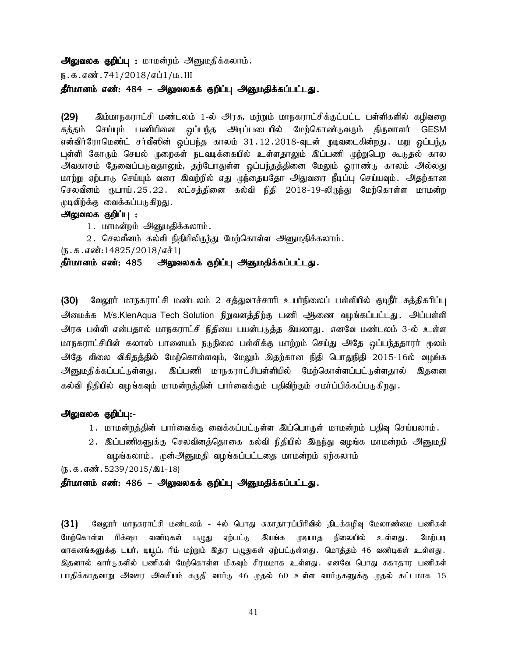அலுவலக குறிப்பு : மாமன்றம் அனுமதிக்கலாம்.

ந.க.எண்.741/2018/எப்1/ம.III

தீர்மானம் எண்: 484 – அலுவலகக் குறிப்பு அனுமதிக்கப்பட்டது.

(29) இம்மாநகராட்சி மண்டலம் 1-ல் அரசு, மற்றும் மாநகராட்சிக்குட்பட்ட பள்ளிகளில் கழிவறை சுத்தம் செய்யும் பணியினை ஒப்பந்த அடிப்படையில் மேற்கொண்டுவரும் திருவாளர் GESM என்விர்ரோமெண்ட் சர்வீஸின் ஒப்பந்த காலம் 31.12.2018-வுடன் முடிவடைகின்றது. மறு ஒப்பந்த புள்ளி கோரும் செயல் முறைகள் நடவடிக்கையில் உள்ளதாலும் இப்பணி முற்றுபெற கூடுதல் கால அவகாசம் தேவைப்படுவதாலும், தற்போதுள்ள ஒப்பந்தத்தினை மேலும் ஓராண்டு காலம் அல்லது மாற்று ஏற்பாடு செய்யும் வரை இவற்றில் எது முந்தையதோ அதுவரை நீடிப்பு செய்யவும். அதற்கான செலவீனம் ரூபாய்.25.22. லட்சத்தினை கல்வி நிதி 2018-19-லிருந்து மேற்கொள்ள மாமன்ற முடிவிற்க்கு வைக்கப்படுகிறது.

- அலுவலக குறிப்பு :
	- 1. மாமன்றம் அனுமதிக்கலாம்.
	- $2$ . செலவீனம் கல்வி நிதியிலிருந்து மேற்கொள்ள அனுமதிக்கலாம்.
- $(\mathbf{b}.\mathbf{\Phi}.\mathbf{\sigma}.\mathbf{\sigma} \cdot \mathbf{\dot{\omega}}:14825/2018/\mathbf{\sigma} \cdot \mathbf{\dot{\phi}}1)$

தீர்மானம் எண்: 485 – அலுவலகக் குறிப்பு அனுமதிக்கப்பட்டது.

(30) வேலூர் மாநகராட்சி மண்டலம் 2 சத்துவாச்சாரி உயர்நிலைப் பள்ளியில் குடிநீர் சுத்திகரிப்பு அமைக்க M/s.KlenAqua Tech Solution நிறுவனத்திற்கு பணி ஆணை வழங்கப்பட்டது. அப்பள்ளி அரசு பள்ளி என்பதால் மாநகராட்சி நிதியை பயன்படுத்த இயலாது . எனவே மண்டலம் 3-ல் உள்ள மாநகராட்சியின் கலாஸ் பாளையம் நடுநிலை பள்ளிக்கு மாற்றம் செய்து அதே ஒப்பந்ததாரர் மூலம் அதே விலை விகிதத்தில் மேற்கொள்ளவும், மேலும் இதற்கான நிதி பொதுநிதி 2015-16ல் வழங்க அனுமதிக்கப்பட்டுள்ளது . இப்பணி மாநகராட்சிபள்ளியில் மேற்கொள்ளப்பட்டுள்ளதால் இதனை கல்வி நிதியில் வழங்கவும் மாமன்றத்தின் பார்வைக்கும் பதிவிற்கும் சமர்ப்பிக்கப்படுகிறது.

#### அலுவலக குறிப்பு:-

- 1. மாமன்றத்தின் பார்வைக்கு வைக்கப்பட்டுள்ள இப்பொருள் மாமன்றம் பதிவு செய்யலாம்.
- 2. இப்பணிகளுக்கு செலவினத்தொகை கல்வி நிதியில் இருந்து வழங்க மாமன்றம் அனுமதி வழங்கலாம். முன்அனுமதி வழங்கப்பட்டதை மாமன்றம் ஏற்கலாம்

 $(D.5.5.50)$   $(5.39/2015)$   $(2015/201)$ 

தீர்மானம் எண்: 486 – அலுவலகக் குறிப்பு அனுமதிக்கப்பட்டது.

(31) மேலூர் மாநகராட்சி மண்டலம் - 4ல் பொது சுகாதாரப்பிரிவில் திடக்கழிவு மேலாண்மை பணிகள் மேற்கொள்ள ரிக்ஷா வண்டிகள் பழுது ஏற்பட்டு இயங்க முடியாத நிலையில் உள்ளது .மேற்படி வாகனங்களுக்கு டயர், டியூட், ரிம் மற்றும் இதர பழுதுகள் ஏற்பட்டுள்ளது. மொத்தம் 46 வண்டிகள் உள்ளது. இதனால் வார்டுகளில் பணிகள் மேற்கொள்ள மிகவும் சிரமமாக உள்ளது. எனவே பொது சுகாதார பணிகள் பாதிக்காதவாறு அவசர அவசியம் கருதி வார்டு 46 முதல் 60 உள்ள வார்டுகளுக்கு முதல் கட்டமாக 15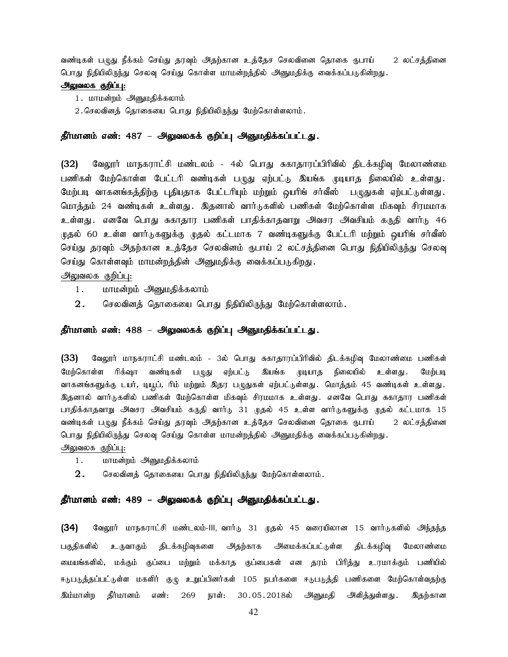வண்டிகள் பழுது நீக்கம் செய்து தரவும் அதற்கான உத்தேச செலவினை தொகை ரூபாய் 2 லட்சத்தினை பொது நிதியிலிருந்து செலவு செய்து கொள்ள மாமன்றத்தில் அனுமதிக்கு வைக்கப்படுகின்றது.

#### அலுவலக குறிப்பு:

- 1. மாமன்றம் அனுமதிக்கலாம்
- $2.$ செலவினத் தொகையை பொது நிதியிலிருந்து மேற்கொள்ளலாம்.

#### தீர்மானம் எண்: 487 – அலுவலகக் குறிப்பு அனுமதிக்கப்பட்டது.

(32) மேலூர் மாநகராட்சி மண்டலம் - 4ல் பொது சுகாதாரப்பிரிவில் திடக்கழிவு மேலாண்மை பணிகள் மேற்கொள்ள பேட்டரி வண்டிகள் பமுது ஏற்பட்டு இயங்க முடியாத நிலையில் உள்ளது. மேற்படி வாகனங்கத்திற்கு புதியதாக பேட்டரியும் மற்றும் ஒயரிங் சர்வீஸ் பழுதுகள் ஏற்பட்டுள்ளது. மொத்தம் 24 வண்டிகள் உள்ளது . இதனால் வார்டுகளில் பணிகள் மேற்கொள்ள மிகவும் சிரமமாக உள்ளது .எனவே பொது சுகாதார பணிகள் பாதிக்காதவாறு அவசர அவசியம் கருதி வார்டு 46 முதல் 60 உள்ள வார்டுகளுக்கு முதல் கட்டமாக 7 வண்டிகளுக்கு பேட்டரி மற்றும் வயரிங் சர்வீஸ் செய்து தரவும் அதற்கான உத்தேச செலவினம் ருபாய் 2 லட்சத்தினை பொது நிதியிலிருந்து செலவு செய்து கொள்ளவும் மாமன்றத்தின் அனுமதிக்கு வைக்கப்படுகிறது.

அலுவலக குறிப்பு:

- 1. மாமன்றம் அனுமதிக்கலாம்
- $\,2.\quad$  செலவினத் தொகையை பொது நிதியிலிருந்து மேற்கொள்ளலாம் $.\quad$

#### தீர்மானம் எண்: 488 – அலுவலகக் குறிப்பு அனுமதிக்கப்பட்டது.

(33) மேலூர் மாநகராட்சி மண்டலம் - 3ல் பொது சுகாதாரப்பிரிவில் திடக்கழிவு மேலாண்மை பணிகள் மேற்கொள்ள ரிக்ஷா வண்டிகள் புழது ஏற்பட்டு இயங்க முடியாத நிலையில் உள்ளது .மேற்படி வாகனங்களுக்கு டயர், டியூட், ரிம் மற்றும் இதர பழுதுகள் ஏற்பட்டுள்ளது. மொத்தம் 45 வண்டிகள் உள்ளது. இதனால் வார்டுகளில் பணிகள் மேற்கொள்ள மிகவும் சிரமமாக உள்ளது. எனவே பொது சுகாதார பணிகள் பாதிக்காதவாறு அவசர அவசியம் கருதி வார்டு 31 முதல் 45 உள்ள வார்டுகளுக்கு முதல் கட்டமாக 15 வண்டிகள் பழுது நீக்கம் செய்து தரவும் அதற்கான உத்தேச செலவினை தொகை ரூபாய் 2 லட்சத்தினை பொது நிதியிலிருந்து செலவு செய்து கொள்ள மாமன்றத்தில் அனுமதிக்கு வைக்கப்படுகின்றது. அலுவலக குறிப்பு:

- 1. மாமன்றம் அனுமதிக்கலாம்
- $2.$  செலவினத் தொகையை பொது நிதியிலிருந்து மேற்கொள்ளலாம்.

#### தீர்மானம் எண்: 489 – அலுவலகக் குறிப்பு அனுமதிக்கப்பட்டது.

 $(34)$  வேலூர் மாநகராட்சி மண்டலம்-III, வார்டு 31 முதல் 45 வரையிலான 15 வார்டுகளில் அந்தந்த பகுதிகளில் உருவாகும் திடக்கழிவுகளை அதற்காக அமைக்கப்பட்டுள்ள திடக்கழிவு மேலாண்மை டையங்களில், மக்கும் குப்பை மற்றும் மக்காத குப்பைகள் என தரம் பிரித்து உரமாக்கும் பணியில் ஈடுபடுத்தப்பட்டுள்ள மகளிர் குழு உறுப்பினர்கள் 105 நபர்களை ஈடுபடுத்தி பணிகளை மேற்கொள்வதற்கு இம்மான்ற தீர்மானம் எண்: 269 நாள்: 30.05.2018ல் அனுமதி அளித்துள்ளது. இதற்கான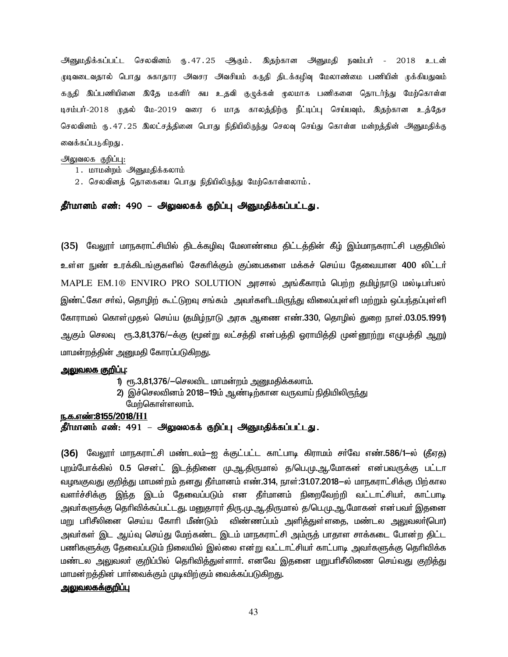.<br>அனுமதிக்கப்பட்ட செலவினம் ரு. 47. 25 அிகும். இதற்கான அனுமதி நவம்பர் - 2018 உடன் முடிவடைவதால் பொது சுகாதார அவசர அவசியம் கருதி திடக்கழிவு மேலாண்மை பணியின் முக்கியதுவம் கருதி இப்பணியினை இதே மகளிர் சுய உதவி குழுக்கள் முலமாக பணிகளை தொடர்ந்து மேற்கொள்ள டிசம்பர்-2018 முதல் மே-2019 வரை 6 மாத காலத்திற்கு நீட்டிப்பு செய்யவும், இதற்கான உத்தேச செலவினம் ரு.47.25 இலட்சத்தினை பொது நிதியிலிருந்து செலவு செய்து கொள்ள மன்றத்தின் அனுமதிக்கு வைக்கப்படுகிறது .

#### அலுவலக குறிப்பு:

- 1. மாமன்றம் அனுமதிக்கலாம்
- $2.$  செலவினத் தொகையை பொது நிதியிலிருந்து மேற்கொள்ளலாம்.

தீர்மானம் எண்: 490 – அலுவலகக் குறிப்பு அனுமதிக்கப்பட்டது.

(35) வேலூா் மாநகராட்சியில் திடக்கழிவு மேலாண்மை திட்டத்தின் கீழ் இம்மாநகராட்சி பகுதியில் உள்ள நுண் உரக்கிடங்குகளில் சேகரிக்கும் குப்பைகளை மக்கச் செய்ய தேவையான 400 லிட்டர் MAPLE EM.1® ENVIRO PRO SOLUTION அரசால் அங்கீகாரம் பெற்ற தமிழ்நாடு மல்டிபர்பஸ் இண்ட்கோ சா்வ், தொழிற் கூட்டுறவு சங்கம் அவா்களிடமிருந்து விலைப்புள்ளி மற்றும் ஒப்பந்தப்புள்ளி கோராமல் கொள்முதல் செய்ய (தமிழ்நாடு அரசு ஆணை எண்.330, தொழில் துறை நாள்.03.05.1991) ஆகும் செலவு ரூ.3,81,376/-க்கு (மூன்று லட்சத்தி என்பத்தி ஒராயித்தி முன்னூற்று எழுபத்தி ஆறு). மாமன்றத்தின் அனுமதி கோரப்படுகிறது.

#### <u>அலுவலக குறிப்பு:</u>

- 1) ரூ.3,81,376/--செலவிட மாமன்றம் அனுமதிக்கலாம்.
- 2) இச்செலவினம் 2018-19ம் ஆண்டிற்கான வருவாய் நிதியிலிருந்து மேற்கொள்ளலாம்.

#### <u>ந.க.எண்:8155/2018/H1</u>

#### தீர்மானம் எண்: 491 – அலுவலகக் குறிப்பு அனுமதிக்கப்பட்டது.

(36) மேலார் மாநகராட்சி மண்டலம்−ஐ க்குட்பட்ட காட்பாடி கிராமம் சர்வே எண்.586/1−ல் (கீஏக) புறம்போக்கில் 0.5 சென்ட் இடத்தினை மு.ஆ.திருமால் த/பெ.மு.ஆ.மோகன் என்பவருக்கு பட்டா வழஙகுவது குறித்து மாமன்றம் தனது தீா்மானம் எண்.314, நாள்:31.07.2018—ல் மாநகராட்சிக்கு பிற்கால வளர்ச்சிக்கு இந்த இடம் தேவைப்படும் என தீர்மானம் நிறைவேற்றி வட்டாட்சியர், காட்பாடி அவா்களுக்கு தெரிவிக்கப்பட்டது. மனுதாரா் திரு.மு.ஆ.திருமால் த/பெ.மு.ஆ.மோகன் என்பவா் இதனை மறு பாிசீலினை செய்ய கோாி மீண்டும் விண்ணப்பம் அளித்துள்ளதை, மண்டல அலுவலா்(பொ) அவா்கள் இட ஆய்வு செய்து மேற்கண்ட இடம் மாநகராட்சி அம்ருத் பாதாள சாக்கடை போன்ற திட்ட பணிகளுக்கு தேவைப்படும் நிலையில் இல்லை என்று வட்டாட்சியர் காட்பாடி அவர்களுக்கு தெரிவிக்க மண்டல அலுவலா் குறிப்பில் தொிவித்துள்ளாா். எனவே இதனை மறுபாிசீலிணை செய்வது குறித்து மாமன்றத்தின் பாா்வைக்கும் முடிவிற்கும் வைக்கப்படுகிறது.

#### <u>அலுவலகக்குறிப்பு</u>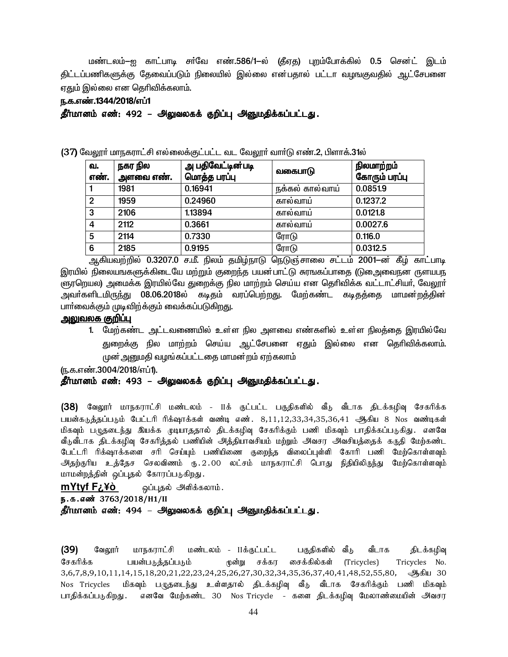டுண்டலம்-ஐ காட்பாடி சா்வே எண்.586/1-ல் (தீஏத) புறம்போக்கில் 0.5 சென்ட் இடம் கிட்டப்பணிகளுக்கு கேவைப்படும் நிலையில் இல்லை என்பகால் பட்டா வமஙகுவகில் ஆட்சேபனை ஏதும் இல்லை என தெரிவிக்கலாம்.

### ந.க.எண்.1344/2018/எப்1

தீர்மானம் எண்: 492 – அலுவலகக் குறிப்பு அனுமதிக்கப்பட்டது.

 $(37)$  வேலூர் மாநகராட்சி எல்லைக்குட்பட்ட வட வேலூர் வார்டு எண்.2, பிளாக். $31$ ல்

| ഖ.             | நகர நில   | அ பதிவேட்டின்படி | வகைபாடு         | நிலமாற்றம்    |
|----------------|-----------|------------------|-----------------|---------------|
| எண்.           | அளவை எண். | மொத்த பரப்பு     |                 | கோரும் பரப்பு |
|                | 1981      | 0.16941          | நக்கல் கால்வாய் | 0.0851.9      |
| $\overline{2}$ | 1959      | 0.24960          | கால்வாய்        | 0.1237.2      |
| $\mathbf{3}$   | 2106      | 1.13894          | கால்வாய்        | 0.0121.8      |
| 4              | 2112      | 0.3661           | கால்வாய்        | 0.0027.6      |
| 5              | 2114      | 0.7330           | ரோடு            | 0.116.0       |
| 6              | 2185      | 0.9195           | ரோடு            | 0.0312.5      |

அகியவற்றில் 0.3207.0 ச.மீ. நிலம் தமிழ்நாடு நெடுஞ்சாலை சட்டம் 2001—ன் கீழ் காட்பாடி இரயில் நிலையஙகளுக்கிடையே மற்றும் குறைந்த பயன்பாட்டு சுரஙகப்பாதை (டுதைுவைநன ருளயபந ளுரறெயல) அமைக்க இரயில்வே துறைக்கு நில மாற்றம் செய்ய என தெரிவிக்க வட்டாட்சியர், வேலூர் அவா்களிடமிரு<u>ந்து</u> 08.06.2018ல் கடிதம் வரப்பெற்றது. மேற்கண்ட கடிதத்தை மாமன்றத்தின் பாா்வைக்கும் முடிவிற்க்கும் வைக்கப்படுகிறது.

#### <u>அலுவலக குறிப்பு</u>

1. மேற்கண்ட அட்டவணையில் உள்ள நில அளவை எண்களில் உள்ள நிலத்தை இரயில்வே துறைக்கு நில மாற்றம் செய்ய ஆட்சேபனை ஏதும் இல்லை என தெரிவிக்கலாம். முன் அனுமதி வழங்கப்பட்டதை மாமன்றம் ஏற்கலாம்

(ந.க.எண்.3004/2018/எப்1).

#### தீர்மானம் எண்: 493 – அலுவலகக் குறிப்பு அனுமதிக்கப்பட்டது.

(38) வேலூர் மாநகராட்சி மண்டலம் - IIக் குட்பட்ட பகுதிகளில் வீடு வீடாக திடக்கழிவு சேகரிக்க பயன்கடுத்தப்படும் பேட்டரி ரிக்ஷாக்கள் வண்டி எண். 8,11,12,33,34,35,36,41 ஆகிய 8 Nos வண்டிகள் மிகவும் பழுதடைந்து இயக்க முடியாததால் திடக்கழிவு சேகரிக்கும் பணி மிகவும் பாதிக்கப்படுகிது. எனவே வீடுவீடாக திடக்கழிவு சேகரித்தல் பணியின் அத்தியாவசியம் மற்றும் அவசர அவசியத்தைக் கருதி மேற்கண்ட பேட்டரி ரிக்ஷாக்களை சரி செய்யும் பணியிணை குறைந்த விலைப்புள்ளி கோரி பணி மேற்கொள்ளவும் அதற்குரிய உத்தேச செலவிணம் ரு.2.00 லட்சம் மாநகராட்சி பொது நிதியிலிருந்து மேற்கொள்ளவும் மாமன்றத்தின் ஒப்புதல் கோரப்படுகிறது.

mYtyf F<sub>¿</sub>¥ò ஒப்புதல் அளிக்கலாம்.

### ந.க.எண் 3763/2018/H1/II

தீர்மானம் எண்: 494 – அலுவலகக் குறிப்பு அனுமதிக்கப்பட்டது.

(39) வேலூர் மாநகராட்சி மண்டலம் - IIக்குட்பட்ட பகுதிகளில் வீடு வீடாக திடக்கழிவ Brfhpf;f gad;gLj;jg;gLk; K}d;W rf;fu irf;fpy;fs; (Tricycles) Tricycles No. 3,6,7,8,9,10,11,14,15,18,20,21,22,23,24,25,26,27,30,32,34,35,36,37,40,41,48,52,55,80, →過السابق 30 Nos Tricycles மிகவும் பழுதடைந்து உள்ளதால் திடக்கழிவு வீடு வீடாக சேகரிக்கும் பணி மிகவும் பாதிக்கப்படுகிறது . எனவே மேற்கண்ட 30 Nos Tricycle - களை திடக்கழிவு மேலாண்மையின் அவசர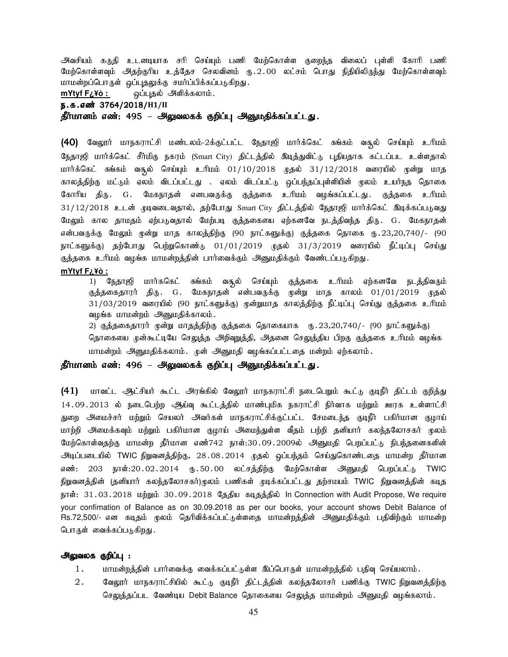அவசியம் கருதி உடனடியாக சரி செய்யும் பணி மேற்கொள்ள குறைந்த விலைப் புள்ளி கோரி பணி மேற்கொள்ளவும் அதற்குரிய உத்தேச செலவினம் ரு.2.00 லட்சம் பொது நிதியிலிருந்து மேற்கொள்ளவும் மாமன்றப்பொருள் ஒப்புதலுக்கு சமர்ப்பிக்கப்படுகிறது.

mYtyf F¿¥ò : ஒப்புதல் அளிக்கலாம்.

e.f.vz; 3764/2018/**H1/II**

தீர்மானம் எண்: 495 – அலுவலகக் குறிப்பு அனுமதிக்கப்பட்டது.

(40) வேலூர் மாநகராட்சி மண்டலம்-2க்குட்பட்ட நேதாஜி மார்க்கெட் சுங்கம் வசூல் செய்யும் உரிமம் நேதாஜி மார்க்கெட் சீர்மிகு நகரம் (Smart City) திட்டத்தில் இடித்துவிட்டு புதியதாக கட்டப்பட உள்ளதால் மார்க்கெட் சுங்கம் வசூல் செய்யும் உரிமம் 01/10/2018 முதல் 31/12/2018 வரையில் மூன்று மாத காலத்திற்கு மட்டும் ஏலம் விடப்பட்டது . ஏலம் விடப்பட்டு ஒப்பந்தப்புள்ளியின் மூலம் உயர்நத தொகை கோரிய திரு. G. மேகநாதன் எனபவருக்கு குத்தகை உரிமம் வழங்கப்பட்டது. குத்தகை உரிமம் 31/12/2018 உடன் முடிவடைவதால், தற்போது Smart City திட்டத்தில் நேதாஜி மார்க்கெட் இடிக்கப்படுவது மேலும் கால தாமதம் ஏற்படுவதால் மேற்படி குத்தகையை ஏற்கனவே நடத்திவந்த திரு. G. மேகநாதன் என்பவருக்கு மேலும் முன்று மாத காலத்திற்கு (90 நாட்களுக்கு) குத்தகை தொகை ரு.23,20,740/- (90 நாட்களுக்கு) தற்போது பெற்றுகொண்டு 01/01/2019 முதல் 31/3/2019 வரையில் நீட்டிப்பு செய்து குத்தகை உரிமம் வழங்க மாமன்றத்தின் பார்வைக்கும் அனுமதிக்கும் வேண்டப்படுகிறது. **mYtyf F¿¥ò :**

1) நேதாஜி மார்ககெட் சுங்கம் வசூல் செய்யும் குத்தகை உரிமம் ஏற்கனவே நடத்திவரும் குத்தகைதாரர் திரு. G. மேகநாதன் என்பவருக்கு முன்று மாத காலம் 01/01/2019 முதல் 31/03/2019 வரையில் (90 நாட்களுக்கு) முன்றுமாத காலத்திற்கு நீட்டிப்பு செய்து குத்தகை உரிமம் வழங்க மாமன்றம் அனுமதிக்காலம்.

2) குத்தகைதாரர் முன்று மாதத்திற்கு குத்தகை தொகையாக ரூ.23,20,740/- (90 நாட்களுக்கு) தொகையை முன்கூட்டியே செலுத்த அறிவுறத்தி, அதனை செலுத்திய பிறகு குத்தகை உரிமம் வழங்க மாமன்றம் அனுமதிக்கலாம். முன் அனுமதி வழங்கப்பட்டதை மன்றம் ஏற்கலாம்.

#### தீர்மானம் எண்: 496 – அலுவலகக் குறிப்பு அனுமதிக்கப்பட்டது.

(41) மாவட்ட ஆட்சியர் கூட்ட அரங்கில் வேலூர் மாநகராட்சி நடைபெறும் கூட்டு குடிநீர் திட்டம் குறித்து 14.09.2013 ல் நடைபெற்ற ஆய்வு கூட்டத்தில் மாண்புமிக நகராட்சி நிர்வாக மற்றும் ஊரக உள்ளாட்சி துறை அமைச்சர் மற்றும் செயலர் அவர்கள் மாநகராட்சிக்குட்பட்ட சேமடைந்த குடிநீர் பகிர்மான குழாய் மாற்றி அமைக்கவும் மற்றும் பகிர்மான குழாய் அமைந்துள்ள வீதம் பற்றி தனியார் கலந்தலோசகர் முலம் மேற்கொள்வதற்கு மாமன்ற தீர்மான எண்742 நாள்:30.09.2009ல் அனுமதி பெறப்பட்டு நிபந்தனைகளின் அடிப்படையில் TWIC நிறுவனத்திற்கு, 28.08.2014 முதல் ஒப்பந்தம் செய்துகொண்டதை மாமன்ற தீர்மான எண்: 203 நாள்:20.02.2014 ரு.50.00 லட்சத்திற்கு மேற்கொள்ள அனுமதி பெறப்பட்டு TWIC நிறுவனத்தின் (தனியார் கலந்தலோசகர்)முலம் பணிகள் முடிக்கப்பட்டது தற்சமயம் TWIC நிறுவனத்தின் கடித நாள்: 31.03.2018 மற்றும் 30.09.2018 தேதிய கடிதத்தில் In Connection with Audit Propose, We require your confimation of Balance as on 30.09.2018 as per our books, your account shows Debit Balance of Rs.72,500/- என கடிதம் மூலம் தெரிவிக்கப்பட்டுள்ளதை மாமன்றத்தின் அனுமதிக்கும் பதிவிற்கும் மாமன்ற பொருள் வைக்கப்படுகிறது.

#### அலுவலக குறிப்பு :

- 1. khr மன்றத்தின் பார்வைக்கு வைக்கப்பட்டுள்ள இப்பொருள் மாமன்றத்தில் பதிவு செய்யலாம்.
- 2. மேலூர் மாநகராட்சியில் கூட்டு குடிநீர் திட்டத்தின் கலந்தலோசர் பணிக்கு TWIC நிறுவனத்திற்கு செலுத்தப்பட வேண்டிய Debit Balance தொகையை செலுத்த மாமன்றம் அனுமதி வழங்கலாம்.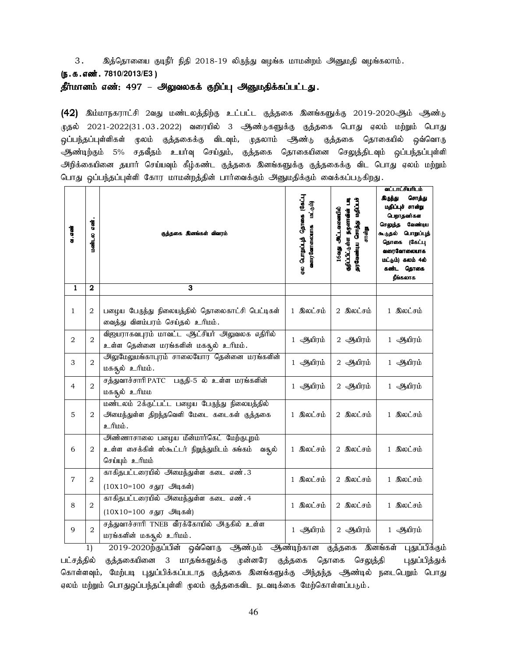3. இத்தொலைய குடிநீர் நிதி 2018-19 லிருந்து வழங்க மாமன்றம் அனுமதி வழங்கலாம்.

#### (e.f.vz;. **7810/2013/E3** )

தீர்மானம் எண்: 497 – அலுவலகக் குறிப்பு அனுமதிக்கப்பட்டது.

(42) இம்மாநகராட்சி 2வது மண்டலத்திற்கு உட்பட்ட குத்தகை இனங்களுக்கு 2019-2020ஆம் ஆண்டு .<br>முதல் 2021-2022(31.03.2022) வரையில் 3 ஆண்டுகளுக்கு குத்தகை பொது ஏலம் மற்றும் பொது <u>ஒ</u>ப்பந்தப்புள்ளிகள் முலம் குத்தகைக்கு விடவும், முதலாம் ஆண்டு குத்தகை தொகையில் ஒவ்வொரு ஆண்டிற்கும் 5% சதவீதம் உயர்வு செய்தும், குத்தகை தொகையினை செலுத்திடவும் ஒப்பந்தப்புள்ளி அிறக்கையினை தயார் செய்யவும் கீழ்கண்ட குத்தகை இனங்களுக்கு குத்தகைக்கு விட பொது ஏலம் மற்றும் பொது ஒப்பந்தப்புள்ளி கோர மாமன்றத்தின் பார்வைக்கும் அனுமதிக்கும் வைக்கப்படுகிறது.

| a. aai         | <b>GOOD</b><br>$\sin \theta$ | குத்தகை இனங்கள் விவரம்                                                                                               | µட்க8) கரைக்டு தீµப்பூராமி முத<br>(شرق شە<br>வரைவோலையாக | குறிப்பிட்டுள்ள நருனாகின் படி<br>தரவேண்டிய சொத்து மதிப்பச்<br>16agy ALLasosade<br>சான்று | வட்டாட்சியாிடம்<br>கிருந்து<br>சொத்து<br>மதிப்புச் சான்று<br>பெறாதவர்கள<br>செலுத்த<br>வேண்டிய<br>கூடுதல் பொறுப்புத்<br>தொகை (கேட்பு<br>வரைவோலையாக<br>மட்டும்) கலம் 4ல்<br>கண்ட தொகை<br>நீங்கலாக |
|----------------|------------------------------|----------------------------------------------------------------------------------------------------------------------|---------------------------------------------------------|------------------------------------------------------------------------------------------|-------------------------------------------------------------------------------------------------------------------------------------------------------------------------------------------------|
| $\mathbf{1}$   | $\overline{2}$               | 3                                                                                                                    |                                                         |                                                                                          |                                                                                                                                                                                                 |
| $\mathbf{1}$   | $\overline{a}$               | பழைய பேருந்து நிலையத்தில் தொலைகாட்சி பெட்டிகள்<br>வைத்து விளம்பரம் செய்தல் உரிமம்.                                   | 1 இலட்சம்                                               | 2 இலட்சம்                                                                                | 1 இலட்சம்                                                                                                                                                                                       |
| $\overline{2}$ | $\overline{2}$               | விஜயராகவபுரம் மாவட்ட ஆட்சியர் அலுவலக எதிரில்<br>உள்ள தென்னை மரங்களின் மகதூல் உரிமம்.                                 | 1 ஆயிரம்                                                | 2 ஆயிரம்                                                                                 | 1 ஆயிரம்                                                                                                                                                                                        |
| З              | $\overline{2}$               | அலுமேலுமங்காபுரம் சாலையோர தென்னை மரங்களின்<br>மகதூல் உரிமம்.                                                         | 1 ஆயிரம்                                                | 2 ஆயிரம்                                                                                 | 1 ஆயிரம்                                                                                                                                                                                        |
| $\overline{4}$ | $\overline{2}$               | சத்துவாச்சாரி PATC பகுதி-5 ல் உள்ள மரங்களின்<br>மகதூல் உரிமம                                                         | 1 ஆயிரம்                                                | 2 ஆயிரம்                                                                                 | 1 ஆயிரம்                                                                                                                                                                                        |
| 5              | 2                            | மண்டலம் 2க்குட்பட்ட பழைய பேருந்து நிலையத்தில்<br>அமைந்துள்ள திறந்தவெளி மேடை கடைகள் குத்தகை<br>உரிமம்.                | 1 இலட்சம்                                               | 2 இலட்சம்                                                                                | 1 இலட்சம்                                                                                                                                                                                       |
| 6              | 2                            | அண்ணாசாலை பழைய மீன்மார்கெட் மேற்குபுறம்<br>உள்ள சைக்கிள் ஸ்கூட்டர் நிறுத்துமிடம் சுங்கம்<br>வசூல்<br>செய்யும் உரிமம் | 1 இலட்சம்                                               | 2 இலட்சம்                                                                                | 1 இலட்சம்                                                                                                                                                                                       |
| $\overline{7}$ | 2                            | காகிதபட்டரையில் அமைந்துள்ள கடை எண். 3<br>$(10X10=100$ சதுர அடிகள்)                                                   | 1 இலட்சம்                                               | 2 இலட்சம்                                                                                | 1 இலட்சம்                                                                                                                                                                                       |
| 8              | 2                            | காகிதபட்டரையில் அமைந்துள்ள கடை எண். 4<br>$(10X10=100$ சதுர அடிகள்)                                                   | 1 இலட்சம்                                               | 2 இலட்சம்                                                                                | 1 இலட்சம்                                                                                                                                                                                       |
| 9              | $\overline{2}$               | சத்துவாச்சாரி TNEB வீரக்கோயில் அருகில் உள்ள<br>மரங்களின் மகதூல் உரிமம்.<br>.∙. പ                                     | 1 ஆயிரம்                                                | 2 ஆயிரம்                                                                                 | 1 ஆயிரம்                                                                                                                                                                                        |

1) 2019-2020ற்குப்பின் ஒவ்வொரு ஆண்டும் ஆண்டிற்கான குத்தகை இனங்கள் புதுப்பிக்கும் பட்சத்தில் குத்தகையினை 3 மாதங்களுக்கு முன்னரே குத்தகை தொகை செலுத்தி புதுப்பித்துக் கொள்ளவும், மேற்படி புதுப்பிக்கப்படாத குத்தகை இனங்களுக்கு அிந்தந்த ஆண்டில் நடைபெறும் பொது ஏலம் மற்றும் பொதுஒப்பந்தப்புள்ளி முலம் குத்தகைவிட நடவடிக்கை மேற்கொள்ளப்படும்.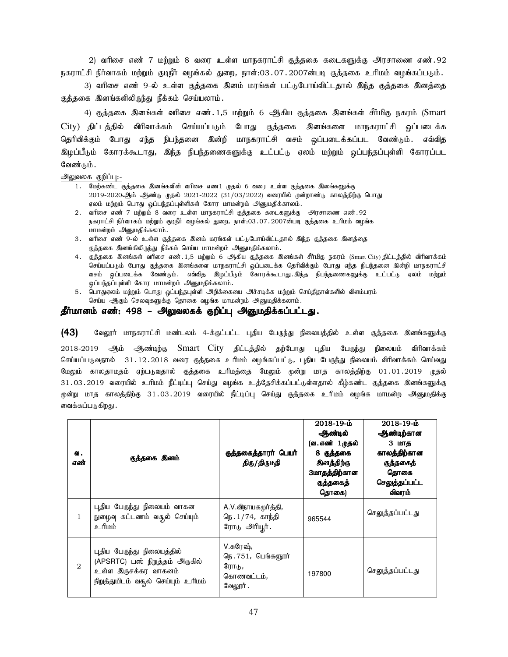2) வரிசை எண் 7 மற்றும் 8 வரை உள்ள மாநகராட்சி குக்ககை கடைகளுக்கு அரசாணை எண்.92 நகராட்சி நிர்வாகம் மற்றும் குடிநீர் வழங்கல் துறை, நாள்:03.07.2007ன்படி குத்தகை உரிமம் வழங்கப்படும்.

3) வரிசை எண் 9-ல் உள்ள குத்தகை இனம் மரங்கள் பட்டுபோய்விட்டதால் இந்த குத்தகை இனத்தை குத்தகை இனங்களிலிருந்து நீக்கம் செய்யலாம்.

4) குத்தகை இனங்கள் வரிசை எண். 1,5 மற்றும் 6 ஆகிய குத்தகை இனங்கள் சீர்மிகு நகரம் (Smart  $\textrm{City)}$  திட்டத்தில் விரிவாக்கம் செய்யப்படும் போது குத்தகை இனங்களை மாநகராட்சி ஒப்படைக்க தெரிவிக்கும் போது எந்த நிபந்தனை இன்றி மாநகராட்சி வசம் ஒப்படைக்கப்பட வேண்டும். எவ்வித இழப்பீடும் கோரக்கூடாது, இந்த நிபந்தணைகளுக்கு உட்பட்டு ஏலம் மற்றும் ஒப்பந்தப்புள்ளி கோரப்பட வேண்டும் .

அலுவலக குறிப்பு:-

- 1. மேற்கண்ட குத்தகை இனங்களின் வரிசை எண1 முதல் 6 வரை உள்ள குத்தகை இஙைகளுக்கு 2019-2020ஆம் ஆண்டு முதல் 2021-2022 (31/03/2022) வரையில் முன்றாண்டு காலத்திற்கு பொது ஏலம் மற்றும் பொது ஒப்பந்தப்புள்ளிகள் கோர மாமன்றம் அனுமதிக்காலம்.
- 2. வரிசை எண் 7 மற்றும் 8 வரை உள்ள மாநகராட்சி குக்ககை கடைகளுக்கு அரசாணை எண்.92 நகராட்சி நிர்வாகம் மற்றும் குடிநீர் வழங்கல் துறை, நாள்:03.07.2007ன்படி குத்தகை உரிமம் வழங்க மாமன்றம் அனுமதிக்கலாம்.
- 3. வரிசை எண் 9-ல் உள்ள குத்தகை இனம் மரங்கள் பட்டுபோய்விட்டதால் இந்த குத்தகை இனத்தை குத்தகை இனங்கிலிருந்து நீக்கம் செய்ய மாமன்றம் அனுமதிக்கலாம்.
- 4. குத்தகை இனங்கள் வரிசை எண். 1,5 மற்றும் 6 ஆகிய குத்தகை இனங்கள் சீர்மிகு நகரம் (Smart City) திட்டத்தில் விரிவாக்கம் செய்யப்படும் போது குத்தகை இனங்களை மாநகராட்சி ஒப்படைக்க தெரிவிக்கும் போது எந்த நிபந்தனை இன்றி மாநகராட்சி வசம் ஒப்படைக்க வேண்டும். எவ்வித இழப்பீடும் கோரக்கூடாது.இந்த நிபந்தணைகளுக்கு உட்பட்டு ஏலம் மற்றும் ஒப்பந்தப்புள்ளி கோர மாமன்றம் அனுமதிக்கலாம்.
- 5. பொதுஏலம் மற்றும் பொது ஒப்பந்தபுள்ளி அறிக்கையை அச்சடிக்க மற்றும் செய்திதாள்களில் விளம்பரம் செய்ய ஆகும் செலவுகளுக்கு தொகை வழங்க மாமன்றம் அனுமதிக்கலாம்.

#### தீர்மானம் எண்: 498 – அலுவலகக் குறிப்பு அனுமதிக்கப்பட்டது.

(43) B்துரா் மாநகராட்சி மண்டலம் 4-க்குட்பட்ட புதிய பேருந்து நிலையத்தில் உள்ள குத்தகை இனங்களுக்கு 2018-2019 ஆம் ஆண்டிற்கு Smart City திட்டத்தில் தற்போது புதிய பேருந்து நிலையம் விரிவாக்கம் செய்யப்படுவதால் 31.12.2018 வரை குத்தகை உரிமம் வழங்கப்பட்டு, புதிய பேருந்து நிலையம் விரிவாக்கம் செய்வது மேலும் காலதாமதம் ஏற்படுவதால் குத்தகை உரிமத்தை மேலும் முன்று மாத காலத்திற்கு 01.01.2019 முதல் 31.03.2019 வரையில் உரிமம் நீட்டிப்பு செய்து வழங்க உத்தேசிக்கப்பட்டுள்ளதால் கீழ்கண்ட குத்தகை இனங்களுக்கு முன்று மாக காலத்திற்கு 31.03.2019 வரையில் நீட்டிப்பு செய்து குத்தகை உரிமம் வழங்க மாமன்ற அனுமதிக்கு வைக்கப்படுகிறது .

| ഖ.<br>எண்          | குத்தகை இனம்                                                                                                                | குத்தகைத்தாரர் பெயர்<br>திரு/திருமதி                               | $2018 - 19 - h$<br>ஆண்டில்<br>(வ. எண் 1 முதல்<br>8 குத்தகை<br>இனத்திற்கு<br>3மாதத்திற்கான<br>குத்தகைத்<br>தொகை) | $2018 - 19 - h$<br>ஆண்டிற்கான<br>3 மாத<br>காலத்திற்கான<br>குத்தகைத்<br>தொகை<br>செலுத்தப்பட்ட<br>விவரம் |
|--------------------|-----------------------------------------------------------------------------------------------------------------------------|--------------------------------------------------------------------|-----------------------------------------------------------------------------------------------------------------|--------------------------------------------------------------------------------------------------------|
| $\mathbf{1}$       | புதிய பேருந்து நிலையம் வாகன<br>நுழைவு கட்டணம் வதூல் செய்யும்<br>ananfi e                                                    | A.V.விநாயகமூர்த்தி,<br>நெ.1/74, காந்தி<br>ரோடு அரியூர்.            | 965544                                                                                                          | செலுத்தப்பட்டது                                                                                        |
| $\mathfrak{D}_{1}$ | புதிய பேருந்து நிலையத்தில்<br>(APSRTC) பஸ் நிறுத்தம் அருகில்<br>உள்ள இருசக்கர வாகனம்<br>நிறுத்துமிடம் வசூல் செய்யும் உரிமம் | V.சுரேஷ்,<br>நெ. 751, பெங்களூர்<br>ரோடு,<br>கொணவட்டம்,<br>வேலூர் . | 197800                                                                                                          | செலுத்தப்பட்டது                                                                                        |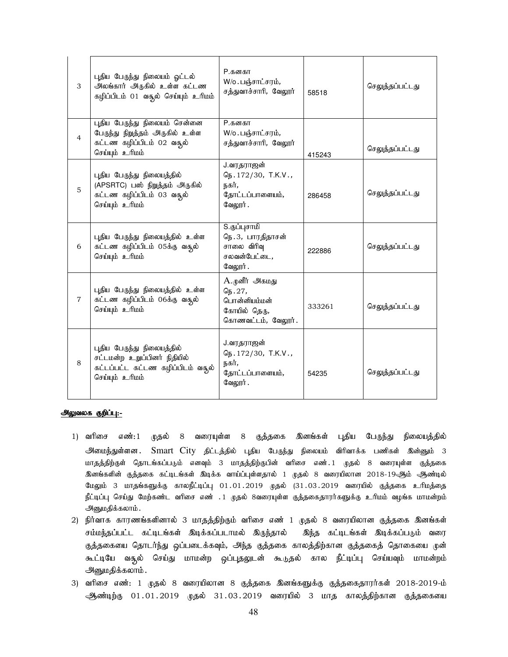| 3              | புதிய பேருந்து நிலையம் ஓட்டல்<br>அலங்கார் அருகில் உள்ள கட்டண<br>கழிப்பிடம் 01 வதூல் செய்யும் உரிமம்                | <b>P.கனகா</b><br>$W$ /о. பஞ்சாட்சரம்,<br>சத்துவாச்சாரி, வேலூர்                         | 58518  | செலுத்தப்பட்டது |
|----------------|--------------------------------------------------------------------------------------------------------------------|----------------------------------------------------------------------------------------|--------|-----------------|
| $\overline{4}$ | புதிய பேருந்து நிலையம் சென்னை<br>பேருந்து நிறுத்தம் அருகில் உள்ள<br>கட்டண கழிப்பிடம் 02 வதல்<br>செய்யும் உரிமம்    | <b>P.கனகா</b><br>$W$ /о. பஞ்சாட்சரம்,<br>சத்துவாச்சாரி, வேலூர்                         | 415243 | செலுத்தப்பட்டது |
| 5              | புதிய பேருந்து நிலையத்தில்<br>(APSRTC) பஸ் நிறுத்தம் அருகில்<br>கட்டண கழிப்பிடம் 03 வதூல்<br>செய்யும் உரிமம்       | J.வரதராஜன்<br>நெ. 172/30, T.K.V.,<br>நகர்,<br>தோட்டப்பாளையம்,<br>வேலூர்.               | 286458 | செலுத்தப்பட்டது |
| 6              | புதிய பேருந்து நிலையத்தில் உள்ள<br>கட்டண கழிப்பிடம் 05க்கு வசூல்<br>செய்யும் உரிமம்                                | S.குப்புசாமி<br>நெ.3, பாரதிதாசன்<br>சாலை விரிவு<br>சலவன்பேட்டை,<br>வேலூர்.             | 222886 | செலுத்தப்பட்டது |
| $\overline{7}$ | புதிய பேருந்து நிலையத்தில் உள்ள<br>கட்டண கழிப்பிடம் 06க்கு வதூல்<br>செய்யும் உரிமம்                                | A.முனீர் அகமது<br>$G_{15}$ . 27,<br>பொன்னியம்மன்<br>கோயில் தெரு,<br>கொணவட்டம், வேலூர். | 333261 | செலுத்தப்பட்டது |
| 8              | புதிய பேருந்து நிலையத்தில்<br>சட்டமன்ற உறுப்பினர் நிதியில்<br>கட்டப்பட்ட கட்டண கழிப்பிடம் வசூல்<br>செய்யும் உரிமம் | J.வரதராஜன்<br>$G_{15}.172/30, T.K.V.,$<br>நகர்,<br>தோட்டப்பாளையம்,<br>வேலூர்.          | 54235  | செலுத்தப்பட்டது |

#### அலுவலக குறிப்பு:-

- 1) வரிசை எண்:1 முதல் 8 வரையுள்ள 8 குத்தகை இனங்கள் புதிய பேருந்து நிலையத்தில் அமைந்துள்ளன. Smart City திட்டத்தில் புதிய பேருந்து நிலையம் விரிவாக்க பணிகள் இன்னும் 3 மாதத்திற்குள் தொடங்கப்படும் எனவும் 3 மாதத்திற்குபின் வரிசை எண். 1 முதல் 8 வரையுள்ள குத்தகை <u>இ</u>னங்களின் குத்தகை கட்டிடங்கள் இடிக்க வாய்ப்புள்ளதால் 1 முதல் 8 வரையிலான 2018-19ஆம் ஆண்டில் மேலும் 3 மாதங்களுக்கு காலநீட்டிப்பு 01.01.2019 முதல் (31.03.2019 வரையில் குத்தகை உரிமத்தை நீட்டிப்பு செய்து மேற்கண்ட வரிசை எண் . 1 முதல் 8வரையுள்ள குத்தகைதாரர்களுக்கு உரிமம் வழங்க மாமன்றம் அனுமதிக்கலாம்.
- 2) நிர்வாக காரணங்களினால் 3 மாதத்திற்கும் வரிசை எண் 1 முதல் 8 வரையிலான குத்தகை இனங்கள் சம்மந்தப்பட்ட கட்டிடங்கள் இடிக்கப்படாமல் இருந்தால் இந்த கட்டிடங்கள் இடிக்கப்படும் வரை குத்தகையை தொடர்ந்து ஒப்படைக்கவும், அந்த குத்தகை காலத்திற்கான குத்தகைத் தொகையை முன் கூட்டியே வசூல் செய்து மாமன்ற ஒப்புதலுடன் கூடுதல் கால நீட்டிப்பு செய்யவும் மாமன்றம் அனுமதிக்கலாம்.
- 3) வரிசை எண்: 1 முதல் 8 வரையிலான 8 குத்தகை இனங்களுக்கு குத்தகைதாரர்கள் 2018-2019-ம் ஆண்டிற்கு 01.01.2019 முதல் 31.03.2019 வரையில் 3 மாத காலத்திற்கான குத்தகையை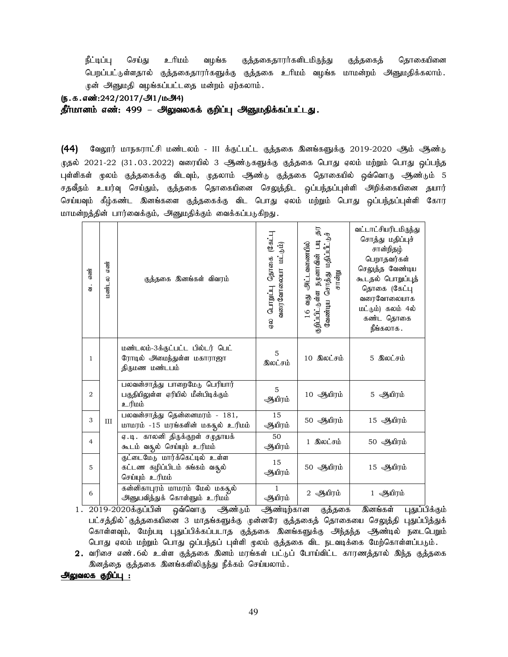நீட்டிப்பு செய்து உரிமம் வழங்க குத்தகைதாரர்களிடமிருந்து குத்தகைத் தொகையினை பெறப்பட்டுள்ளதால் குத்தகைதாரர்களுக்கு குத்தகை உரிமம் வழங்க மாமன்றம் அனுமதிக்கலாம். முன் அனுமதி வழங்கப்பட்டதை மன்றம் ஏற்கலாம்.

#### (ந.க.எண்:242/2017/அ1/மஅ4)

தீர்மானம் எண்: 499 – அலுவலகக் குறிப்பு அனுமதிக்கப்பட்டது.

 $(44)$  B்லுரர் மாநகராட்சி மண்டலம் - III க்குட்பட்ட குத்தகை இனங்களுக்கு 2019-2020 ஆம் ஆண்டு முதல் 2021-22 (31.03.2022) வரையில் 3 ஆண்டுகளுக்கு குத்தகை பொது ஏலம் மற்றும் பொது <u>ஒ</u>ப்பந்த புள்ளிகள் முலம் குத்தகைக்கு விடவும், முதலாம் ஆண்டு குத்தகை தொகையில் ஒவ்வொரு ஆண்டும் 5 சதவீதம் உயர்வு செய்தும், குத்தகை தொகையினை செலுத்திட ஒப்பந்தப்புள்ளி அறிக்கையினை தயார் செய்யவும் கீழ்கண்ட இனங்களை குத்தகைக்கு விட பொது ஏலம் மற்றும் பொது ஒப்பந்தப்புள்ளி கோர மாமன்றத்தின் பார்வைக்கும், அனுமதிக்கும் வைக்கப்படுகிறது.

| எண்<br>$\ddot{a}$ | எண்<br>மண்டல | குத்தகை இனங்கள் விவரம்                                                                 | ⊣-ு\$) கமைதி ⊦⊓நிபாடு<br>வரைவோலையா மட்டும்)<br>ക്ര | 5<br>$\cdot$ b<br>ரிப்பீட்டு<br>தறிப்பிட்டுள்ள நழனாவின் படி<br>வது அட்டவணையில்<br>வேண்டிய சொத்து<br>சான்று<br>16 | வட்டாட்சியரிடமிருந்து<br>சொத்து மதிப்புச்<br>சான்றிதழ்<br>பெறாதவர்கள்<br>செலுத்த வேண்டிய<br>கூடதல் பொறுப்புத்<br>தொகை (கேட்பு<br>வரைவோலையாக<br>மட்டும்) கலம் 4ல்<br>கண்ட தொகை<br>நீங்கலாக . |
|-------------------|--------------|----------------------------------------------------------------------------------------|----------------------------------------------------|------------------------------------------------------------------------------------------------------------------|---------------------------------------------------------------------------------------------------------------------------------------------------------------------------------------------|
| 1                 |              | மண்டலம்-3க்குட்பட்ட பில்டர் பெட்<br>ரோடில் அமைந்துள்ள மகாராஜா<br>திருமண மண்டபம்        | 5<br>இலட்சம்                                       | 10 இலட்சம்                                                                                                       | 5 இலட்சம்                                                                                                                                                                                   |
| $\overline{2}$    |              | பலவன்சாத்து பாறைமேடு பெரியார்<br>பகுதியிலுள்ள ஏரியில் மீன்பிடிக்கும்<br><u>ப்பரிடீ</u> | 5<br>ஆயிரம்                                        | 10 ஆயிரம்                                                                                                        | 5 ஆயிரம்                                                                                                                                                                                    |
| 3                 | ΠT           | பலவன்சாத்து தென்னைமரம் - 181,<br>மாமரம் -15 மரங்களின் மகதூல் உரிமம்                    | 15<br>ஆயிரம்                                       | 50 ஆயிரம்                                                                                                        | 15 ஆயிரம்                                                                                                                                                                                   |
| $\overline{4}$    |              | ஏ.டி. காலனி திருக்குறள் சமுதாயக்<br>கூடம் வதூல் செய்யும் உரிமம்                        | 50<br>ஆயிரம்                                       | 1 இலட்சம்                                                                                                        | 50 ஆயிரம்                                                                                                                                                                                   |
| 5                 |              | குட்டைமேடு மார்க்கெட்டில் உள்ள<br>கட்டண கழிப்பிடம் சுங்கம் வசூல்<br>செய்யும் உரிமம்    | 15<br>ஆயிரம்                                       | 50 ஆயிரம்                                                                                                        | 15 ஆயிரம்                                                                                                                                                                                   |
| 6                 |              | கன்னிகாபுரம் மாமரம் மேல் மகதுல்<br>அனுபவித்துக் கொள்ளும் உரிமம்                        | $\mathbf{1}$<br>ஆயிரம்                             | 2 ஆயிரம்                                                                                                         | 1 ஆயிரம்                                                                                                                                                                                    |

 $1.\ \ 2019$ -2020க்குப்பின் ஒவ்வொரு ஆண்டும் ஆண்டிற்கான குத்தகை இனங்கள் புதுப்பிக்கும் பட்சத்தில் குத்தகையினை 3 மாதங்களுக்கு முன்னரே குத்தகைத் தொகையை செலுத்தி புதுப்பித்துக் கொள்ளவும், மேற்படி புதுப்பிக்கப்படாத குத்தகை இனங்களுக்கு அந்தந்த அூண்டில் நடைபெறும் பொது ஏலம் மற்றும் பொது ஒப்பந்தப் புள்ளி முலம் குத்தகை விட நடவடிக்கை மேற்கொள்ளப்படும்.

2. வரிசை எண்.6ல் உள்ள குத்தகை இனம் மரங்கள் பட்டுப் போய்விட்ட காரணத்தால் இந்த குத்தகை இனத்தை குத்தகை இனங்களிலிருந்து நீக்கம் செய்யலாம்.

அலுவலக குறிப்பு :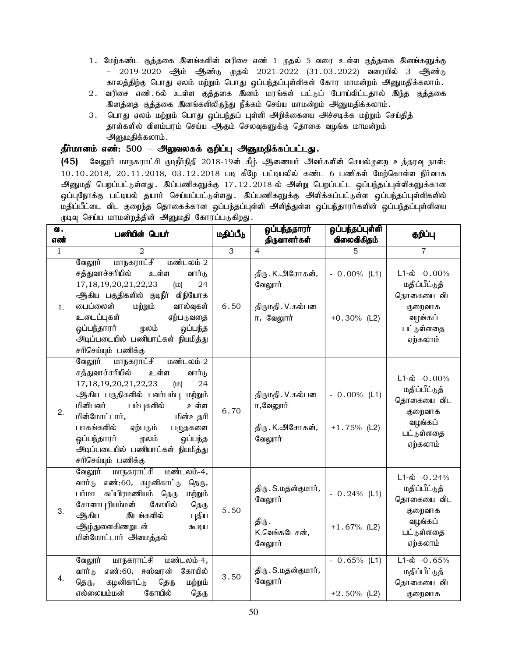- 1. மேற்கண்ட குத்தகை இனங்களின் வரிசை எண் 1 முதல் 5 வரை உள்ள குத்தகை இனங்களுக்கு – 2019-2020 ஆம் ஆண்டு முதல் 2021-2022 (31.03.2022) வரையில் 3 ஆண்டு காலத்திற்கு பொது ஏலம் மற்றும் பொது ஒப்பந்தப்புள்ளிகள் கோர மாமன்றம் அனுமதிக்கலாம்.
- 2. வரிசை எண்.6ல் உள்ள குத்தகை இனம் மரங்கள் பட்டுப் போய்விட்டதால் இந்த குத்தகை இனத்தை குத்தகை இனங்களிலிருந்து நீக்கம் செய்ய மாமன்றம் அனுமதிக்கலாம்.
- 3. பொது ஏலம் மற்றும் பொது ஒப்பந்தப் புள்ளி அறிக்கையை அச்சடிக்க மற்றும் செய்தித் தாள்களில் விளம்பரம் செய்ய ஆகும் செலவுகளுக்கு தொகை வழங்க மாமன்றம் அனுமதிக்கலாம்.

# தீர்மானம் எண்: 500 – அலுவலகக் குறிப்பு அனுமதிக்கப்பட்டது.

(45) மேலூர் மாநகராட்சி குடிநீர்நிதி 2018-19ன் கீழ் அணையர் அவர்களின் செயல்முறை உத்தரவு நாள்: 10.10.2018, 20.11.2018, 03.12.2018 படி கீழே பட்டியலில் கண்ட 6 பணிகள் மேற்கொள்ள நிர்வாக அனுமதி பெறப்பட்டுள்ளது. இப்பணிகளுக்கு 17.12.2018-ல் அன்று பெறப்பட்ட ஒப்பந்தப்புள்ளிகளுக்கான <u>ஒ</u>ப்புநோக்கு பட்டியல் தயார் செய்யப்பட்டுள்ளது. இப்பணிகளுக்கு அளிக்கப்பட்டுள்ள ஒப்பந்தப்புள்ளிகளில் மதிப்பீட்டை விட குறைந்த தொகைக்கான ஒப்பந்தப்புள்ளி அளித்துள்ள ஒப்பந்தாரர்களின் ஒப்பந்தப்புள்ளியை முடிவு செய்ய மாமன்றத்தின் அனுமதி கோரப்படுகிறது.

| ഖ.<br>எண்      | பணியின் பெயர்                                                                                                                                                                                                                                                                                                                                              | மதிப்பீடு      | ஒப்பந்ததாரா்<br>திருவாளர்கள்                                        | ஒப்பந்தப்புள்ளி<br>விலைவிகிதம்   | குறிப்பு                                                                                                |
|----------------|------------------------------------------------------------------------------------------------------------------------------------------------------------------------------------------------------------------------------------------------------------------------------------------------------------------------------------------------------------|----------------|---------------------------------------------------------------------|----------------------------------|---------------------------------------------------------------------------------------------------------|
| 1              | $\overline{2}$                                                                                                                                                                                                                                                                                                                                             | $\overline{3}$ | $\overline{4}$                                                      | 5                                | $\overline{7}$                                                                                          |
| $\mathbf{1}$ . | மாநகராட்சி<br>மண்டலம்-2<br>வேலூர்<br>சத்துவாச்சரியில்<br>உள்ள<br>வார்டு<br>17, 18, 19, 20, 21, 22, 23<br>24<br>(D)<br>ஆகிய பகுதிகளில் குடிநீர் விநியோக<br>பைப்லைன்<br>மற்றும்<br>வால்வுகள்<br>உடைப்புகள்<br>ஏற்படுவதை<br>ஒப்பந்தாரா்<br>மூலம்<br>ஒப்பந்த<br>.<br>அடிப்படையில் பணியாட்கள் நியமித்து<br>சரிசெய்யும் பணிக்கு                                  | 6.50           | திரு . K.அசோகன்,<br>வேலூர்<br>திருமதி . V.கல்பன<br>$\pi$ , வேலூர்   | $-0.00\%$ (L1)<br>$+0.30\%$ (L2) | $L1-\omega$ -0.00%<br>மதிப்பீட்டுத்<br>தொகையை விட<br>குறைவாக<br>வழங்கப்<br>பட்டுள்ளதை<br>ஏற்கலாம்       |
| 2.             | மாநகராட்சி<br>வேலூர்<br>மண்டலம்-2<br>சத்துவாச்சரியில்<br>உள்ள<br>வார்டு<br>17, 18, 19, 20, 21, 22, 23<br>24<br>(D)<br>ஆகிய பகுதிகளில் பவர்பம்பு மற்றும்<br>பம்புகளில்<br>மினிபவர்<br>உள்ள<br>மின்மோட்டார்,<br>மின்உதரி<br>பாகங்களில்<br>ஏற்படும்<br>படுதகளை<br>ஒப்பந்தாரர்<br>மூலம்<br>ஒப்பந்த<br>அடிப்படையில் பணியாட்கள் நியமித்து<br>சரிசெய்யும் பணிக்கு | 6.70           | திருமதி . V.கல்பன<br>ா,வேலூர்<br>திரு. K.அசோகன்,<br>வேலூர்          | $-0.00\%$ (L1)<br>$+1.75\%$ (L2) | $L1-\dot{\omega}$ -0.00%<br>மதிப்பீட்டுத்<br>தொகையை விட<br>குறைவாக<br>வழங்கப்<br>பட்டுள்ளதை<br>ஏற்கலாம் |
| 3.             | மாநகராட்சி மண்டலம்-4,<br>வேலூர்<br>வார்டு எண்:60, கழனிகாட்டு<br>தெரு,<br>சுப்பிரமணியம் தெரு<br>பர்மா<br>மற்றும்<br>சோளாபுரியம்மன்<br>கோயில்<br>தெரு<br>ஆகிய<br>இடங்களில்<br>புதிய<br>ஆழ்துளைகிணறுடன்<br>கூடிய<br>மின்மோட்டார் அமைத்தல்                                                                                                                     | 5.50           | திரு . S.மதன்குமார்,<br>வேலூர்<br>திரு .<br>K.வெங்கடேசன்,<br>வேலூர் | $-0.24\%$ (L1)<br>$+1.67%$ (L2)  | $L1-\dot{\omega}$ -0.24%<br>மதிப்பீட்டுத்<br>தொகையை விட<br>குறைவாக<br>வழங்கப்<br>பட்டுள்ளதை<br>ஏற்கலாம் |
| 4.             | மாநகராட்சி<br>மண்டலம்-4,<br>வேலூர்<br>எண்:60,<br>ஈஸ்வரன்<br>கோயில்<br>வார்டு<br>கழனிகாட்டு<br>தெரு<br>மற்றும்<br>தெரு,<br>எல்லையம்மன்<br>கோயில்<br>தெரு                                                                                                                                                                                                    | 3.50           | திரு. S.மதன்குமார்,<br>வேலூர்                                       | $-0.65%$ (L1)<br>$+2.50\%$ (L2)  | $L1-\dot{\omega}$ -0.65%<br>மதிப்பீட்டுத்<br>தொகையை விட<br>குறைவாக                                      |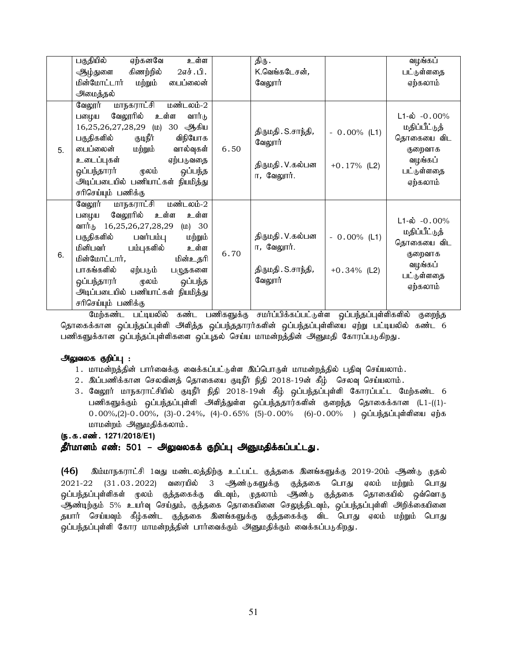|    | உள்ள<br>பகுதியில்<br>ஏற்கனவே             |      | திரு .                          |                | வழங்கப்            |
|----|------------------------------------------|------|---------------------------------|----------------|--------------------|
|    | கிணற்றில்<br>2எச்.பி.<br>ஆழ்துளை         |      | K.வெங்கடேசன்,                   |                | பட்டுள்ளதை         |
|    | மின்மோட்டார்<br>மற்றும்<br>டைப்லைன்      |      | வேலூர்                          |                | ஏற்கலாம்           |
|    | அமைத்தல்                                 |      |                                 |                |                    |
|    | <u>மாநகராட்சி</u><br>மண்டலம்-2<br>வேலூர் |      |                                 |                |                    |
|    | வேலூரில் உள்ள<br>வார்டு<br>பழைய          |      |                                 |                | $L1-\omega$ -0.00% |
|    | 16,25,26,27,28,29 (ம) 30 ஆகிய            | 6.50 | திருமதி . S.சாந்தி,<br>வேலூர்   | $-0.00\%$ (L1) | மதிப்பீட்டுத்      |
|    | குடிநீர்<br>விநியோக<br>பகுதிகளில்        |      |                                 |                | தொகையை விட         |
| 5. | வால்வுகள்<br>பைப்லைன் மற்றும்            |      |                                 |                | குறைவாக            |
|    | உடைப்புகள்<br>ஏற்படுவதை                  |      | திருமதி . V.கல்பன<br>ா, வேலூர். | $+0.17%$ (L2)  | வழங்கப்            |
|    | ஒப்பந்தாரர்<br>மூலம்<br>ஒப்பந்த          |      |                                 |                | பட்டுள்ளதை         |
|    | அடிப்படையில் பணியாட்கள் நியமித்து        |      |                                 |                | ஏற்கலாம்           |
|    | சரிசெய்யும் பணிக்கு                      |      |                                 |                |                    |
|    | வேலூர்<br>மாநகராட்சி மண்டலம்-2           |      |                                 |                |                    |
|    | வேலூரில் உள்ள<br>உள்ள<br>பழைய            |      |                                 |                | $L1-\omega$ -0.00% |
|    | வார்டு 16,25,26,27,28,29<br>$(D)$ 30     |      |                                 |                |                    |
|    | பகுதிகளில்<br>பவர்பம்பு<br>மற்றும்       |      | திருமதி . V.கல்பன               | $-0.00\%$ (L1) | மதிப்பீட்டுத்      |
|    | மினிபவர் பம்புகளில்<br>உள்ள              | 6.70 | ா, வேலூர்.                      |                | தொகையை விட         |
| 6. | மின்மோட்டார்,<br>மின்உதரி                |      |                                 |                | குறைவாக            |
|    | பாகங்களில்<br>ஏற்படும்<br>பழுதகளை        |      | திருமதி . S.சாந்தி,             | $+0.34\%$ (L2) | வழங்கப்            |
|    | ஒப்பந்த<br>ஒப்பந்தாரர்<br>ம் வழ          |      | வேலூர்                          |                | பட்டுள்ளதை         |
|    | அடிப்படையில் பணியாட்கள் நியமித்து        |      |                                 |                | ஏற்கலாம்           |
|    | சரிசெய்யும் பணிக்கு                      |      |                                 |                |                    |

மேற்கண்ட பட்டியலில் கண்ட பணிகளுக்கு சமா்ப்பிக்கப்பட்டுள்ள ஒப்பந்தப்புள்ளிகளில் குறைந்த தொகைக்கான ஒப்பந்தப்புள்ளி அளித்த ஒப்பந்ததாரர்களின் ஒப்பந்தப்புள்ளியை ஏற்று பட்டியலில் கண்ட 6 பணிகளுக்கான ஒப்பந்தப்புள்ளிகளை ஒப்புதல் செய்ய மாமன்றத்தின் அனுமதி கோரப்படுகிறது.

#### அலுவலக குறிப்பு :

- 1. மாமன்றத்தின் பார்வைக்கு வைக்கப்பட்டுள்ள இப்பொருள் மாமன்றத்தில் பதிவு செய்யலாம்.
- 2. இப்பணிக்கான செலவினத் தொகையை குடிநீர் நிதி 2018-19ன் கீழ் செலவு செய்யலாம்.
- 3. வேலூர் மாநகராட்சியில் குடிநீர் நிதி 2018-19ன் கீழ் ஒப்பந்தப்புள்ளி கோரப்பட்ட மேற்கண்ட 6 பணிகளுக்கும் ஒப்பந்தப்புள்ளி அளித்துள்ள ஒப்பந்ததார்களின் குறைந்த தொகைக்கான (L1-((1)- $0.00\%,(2)-0.00\%,(3)-0.24\%,(4)-0.65\%$  (5)- $0.00\%$  (6)- $0.00\%$  ) ஒப்பந்தப்புள்ளியை ஏற்க மாமன்றம் அனுமதிக்கலாம்.

#### (ந.க.எண். 1271/2018/E1)

### தீர்மானம் எண்: 501 – அலுவலகக் குறிப்பு அனுமதிக்கப்பட்டது.

(46) இம்மாநகராட்சி 1வது மண்டலத்திற்கு உட்பட்ட குத்தகை இனங்களுக்கு 2019-20ம் ஆண்டு முதல்  $2021-22$   $(31.03.2022)$  வரையில் 3 ஆண்டுகளுக்கு குத்தகை பொது ஏலம் மற்றும் பொது <u>ஒ</u>ப்பந்தப்புள்ளிகள் மூலம் குத்தகைக்கு விடவும், முதலாம் ஆண்டு குத்தகை தொகையில் ஒவ்வொரு ஆண்டிற்கும் 5% உயர்வு செய்தும், குத்தகை தொகையினை செலுத்திடவும், ஒப்பந்தப்புள்ளி அறிக்கையினை தயார் செய்யவும் கீழ்கண்ட குத்தகை இனங்களுக்கு குத்தகைக்கு விட பொது ஏலம் மற்றும் பொது ஒப்பந்தப்புள்ளி கோர மாமன்றத்தின் பார்வைக்கும் அனுமதிக்கும் வைக்கப்படுகிறது.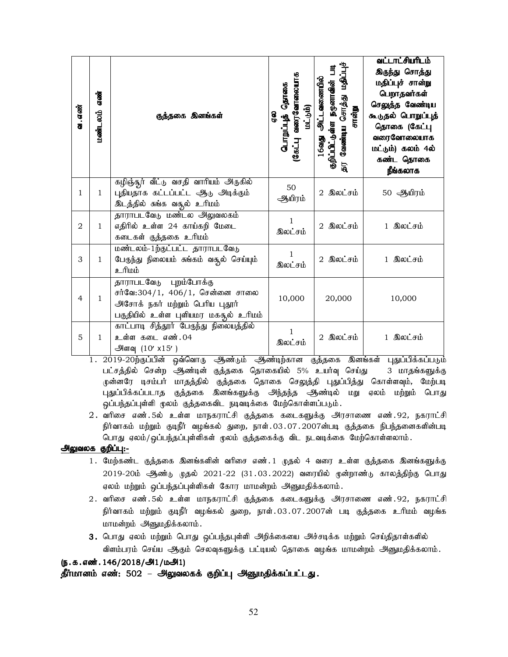| வ . எண்        | என்<br>மண்டலம் | குத்தகை இனங்கள்                                                                                                                      | கொளைப்புத் தொகை<br>வரைவோணை<br>(شى-ئە<br>e<br>G<br>ராஜி | ∃<br>பாழீவ<br><u>அட்டவணையில்</u><br>நமூனாவின்<br>வேண்டிய சொத்து<br>சான்று<br>குறிப்பிட்டுள்ள<br>16வது.<br>氜 | <u>வட்டாட்சியரிடம்</u><br>இருந்து சொத்து<br>மதிப்புச் சான்று<br>பெறாதவர்கள்<br>செலுத்த வேண்டிய<br>கூடுதல் பொறுப்புத்<br>தொகை (கேட்பு<br>வரைவோலையாக<br>மட்டும்) கலம் 4ல்<br>கண்ட தொகை<br>நீங்கலாக |
|----------------|----------------|--------------------------------------------------------------------------------------------------------------------------------------|--------------------------------------------------------|-------------------------------------------------------------------------------------------------------------|--------------------------------------------------------------------------------------------------------------------------------------------------------------------------------------------------|
| 1              | 1              | கழிஞ்துர் வீட்டு வசதி வாரியம் அருகில்<br>புதியதாக கட்டப்பட்ட ஆடு அடிக்கும்<br>இடத்தில் சுங்க வசூல் உரிமம்                            | 50<br>ஆயிரம்                                           | 2 இலட்சம்                                                                                                   | 50 ஆயிரம்                                                                                                                                                                                        |
| $\overline{2}$ | $\mathbf{1}$   | தாராபடவேடு மண்டல அலுவலகம்<br>எதிரில் உள்ள 24 காய்கறி மேடை<br>கடைகள் குத்தகை உரிமம்                                                   | 1<br>இலட்சம்                                           | 2 இலட்சம்                                                                                                   | 1 இலட்சம்                                                                                                                                                                                        |
| 3              | 1              | மண்டலம்-1ற்குட்பட்ட தாராபடவேடு<br>பேருந்து நிலையம் சுங்கம் வசூல் செய்யும்<br><u>ப்பரி உ</u>                                          | 1<br>இலட்சம்                                           | 2 இலட்சம்                                                                                                   | 1 இலட்சம்                                                                                                                                                                                        |
| $\overline{4}$ | $\mathbf{1}$   | தாராபடவேடு புறம்போக்கு<br>சர்வே:304/1, 406/1, சென்னை சாலை<br>அசோக் நகர் மற்றும் பெரிய புதூர்<br>பகுதியில் உள்ள புளியமர மகதூல் உரிமம் | 10,000                                                 | 20,000                                                                                                      | 10,000                                                                                                                                                                                           |
| 5              | 1              | காட்பாடி சித்தூர் பேருந்து நிலையத்தில்<br>உள்ள கடை எண்.04<br>அளவு $(10' \times 15')$                                                 | 1<br>இலட்சம்                                           | 2 இலட்சம்                                                                                                   | 1 இலட்சம்                                                                                                                                                                                        |

1. 2019-20ந்தப்பின் ஒவ்வொரு ஆண்டும் ஆண்டிந்கான குத்தகை இனங்கள் புதுப்பிக்கப்படும் பட்சத்தில் சென்ற ஆண்டின் குத்தகை தொகையில் 5% உயர்வு செய்து 3 மாதங்களுக்கு ருன்னரே டிசம்பர் மாதத்தில் குத்தகை தொகை செலுத்தி புதுப்பித்து கொள்ளவும், மேற்படி புதுப்பிக்கப்படாத குத்தகை இனங்களுக்கு அந்தந்த ஆண்டில் மறு ஏலம் மற்றும் பொது ஒப்பந்தப்புள்ளி மூலம் குத்தகைவிட நடிவடிக்கை மேற்கொள்ளப்படும்.

2. வரிசை எண்.5ல் உள்ள மாநகராட்சி குத்தகை கடைகளுக்கு அரசாணை எண்.92, நகராட்சி நிர்வாகம் மற்றும் குடிநீர் வழங்கல் துறை, நாள்.03.07.2007ன்படி குத்தகை நிபந்தனைகளின்படி பொது ஏலம்/ஒப்பந்தப்புள்ளிகள் முலம் குத்தகைக்கு விட நடவடிக்கை மேற்கொள்ளலாம்.

#### அலுவலக குறிப்பு:-

- 1. மேற்கண்ட குத்தகை இனங்களின் வரிசை எண்.1 முதல் 4 வரை உள்ள குத்தகை இனங்களுக்கு 2019-20ம் ஆண்டு முதல் 2021-22 (31.03.2022) வரையில் முன்றாண்டு காலத்திற்கு பொது ஏலம் மற்றும் ஒப்பந்தப்புள்ளிகள் கோர மாமன்றம் அனுமதிக்கலாம்.
- 2. வரிசை எண்.5ல் உள்ள மாநகராட்சி குத்தகை கடைகளுக்கு அரசாணை எண்.92, நகராட்சி நிர்வாகம் மற்றும் குடிநீர் வழங்கல் துறை, நாள்.03.07.2007ன் படி குத்தகை உரிமம் வழங்க மாமன்றம் அனுமதிக்கலாம்.
- 3. பொது ஏலம் மற்றும் பொது ஒப்பந்தபுள்ளி அறிக்கையை அச்சடிக்க மற்றும் செய்திதாள்களில் விளம்பரம் செய்ய ஆகும் செலவுகளுக்கு பட்டியல் தொகை வழங்க மாமன்றம் அனுமதிக்கலாம்.

```
(ந.க.எண். 146/2018/அ1/மஅி1)
```
தீர்மானம் எண்: 502 – அலுவலகக் குறிப்பு அனுமதிக்கப்பட்டது.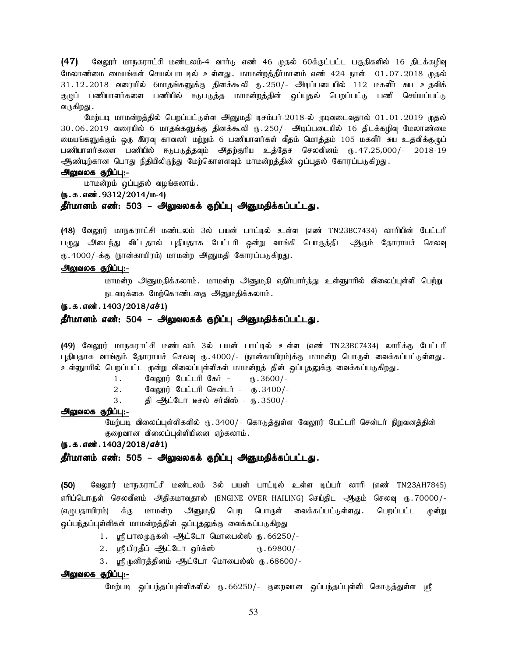$(47)$  Bவலூர் மாநகராட்சி மண்டலம்-4 வார்டு எண் 46 முதல் 60க்குட்பட்ட பகுதிகளில் 16 திடக்கழிவு மேலாண்மை மையங்கள் செயல்பாடடில் உள்ளது. மாமன்றத்தீர்மானம் எண் 424 நாள் 01.07.2018 முதல் 31.12.2018 வரையில் 6மாதங்களுக்கு தினக்கூலி ரு.250/- அடிப்படையில் 112 மகளீர் சுய உதவிக் குழுப் பணியாளர்களை பணியில் ஈடுபடுத்த மாமன்றத்தின் ஒப்புதல் பெறப்பட்டு பணி செய்யப்பட்டு வருகிறது .

மேற்படி மாமன்றத்தில் பெறப்பட்டுள்ள அனுமதி டிசம்பர்-2018-ல் முடிவடைவதால் 01.01.2019 முதல் 30.06.2019 வரையில் 6 மாதங்களுக்கு தினக்கூலி ரு.250/- அடிப்படையில் 16 திடக்கழிவு மேலாண்மை மையங்களுக்கும் ஒரு இரவு காவலர் மற்றும் 6 பணியாளர்கள் வீதம் மொத்தம் 105 மகளீர் சுய உதவிக்குழுப் பணியாளர்களை பணியில் ஈடுபடுத்தவும் அதற்குரிய உத்தேச செலவினம் ரு.47,25,000/- 2018-19 ஆண்டிற்கான பொது நிதியிலிருந்து மேற்கொளளவும் மாமன்றத்தின் ஒப்புதல் கோரப்படுகிறது.

#### அலுவலக குறிப்பு:-

மாமன்றம் ஒப்புதல் வழங்கலாம்.

#### $(5.5.5.00012/2014/\mu-4)$

#### தீர்மானம் எண்: 503 – அலுவலகக் குறிப்பு அனுமதிக்கப்பட்டது.

(48) வேலூர் மாநகராட்சி மண்டலம் 3ல் பயன் பாட்டில் உள்ள (எண் TN23BC7434) லாரியின் பேட்டரி பமுது அடைந்து விட்டதால் புதியதாக பேட்டரி ஒன்று வாங்கி பொருத்திட ஆகும் தோராயச் செலவு ரு.4000/-க்கு (நான்காயிரம்) மாமன்ற அனுமதி கோரப்படுகிறது.

#### அலுவலக குறிப்பு:-

மாமன்ற அனுமதிக்கலாம். மாமன்ற அனுமதி எதிர்பார்த்து உள்ளுாரில் விலைப்புள்ளி பெற்று நடவடிக்கை மேற்கொண்டதை அனுமதிக்கலாம்.

### $(5.5.5.5)$  (5.5.46 $\dot{x}$ .1403/2018/ $\dot{x}$ 1)

#### தீர்மானம் எண்: 504 – அலுவலகக் குறிப்பு அனுமதிக்கப்பட்டது.

(49) வேலூர் மாநகராட்சி மண்டலம் 3ல் பயன் பாட்டில் உள்ள (எண் TN23BC7434) லாரிக்கு பேட்டரி புதியதாக வாங்கும் தோராயச் செலவு ரு. 4000/- (நான்காயிரம்)க்கு மாமன்ற பொருள் வைக்கப்பட்டுள்ளது. உள்ளுாரில் பெறப்பட்ட முன்று விலைப்புள்ளிகள் மாமன்றத் தின் ஒப்புதலுக்கு வைக்கப்படுகிறது.

- $1.$  Calout Click Cost  $(B.3600/-)$
- 2. கேலூர் பேட்டரி சென்டர் ரூ. 3400/-
- 3. தி ஆட்டோ டீசெல் சர்விஸ் ரு.3500/-

#### அலுவலக குறிப்பு:-

மேற்படி விலைப்புள்ளிகளில் ரு.3400/- கொடுத்துள்ள வேலூர் பேட்டரி சென்டர் நிறுவனத்தின் குறைவான விலைப்புள்ளியினை ஏற்கலாம்.

#### (ந.க.எண். 1403/2018/எச்1)

#### தீர்மானம் எண்: 505 – அலுவலகக் குறிப்பு அனுமதிக்கப்பட்டது.

(50) வேலூர் மாநகராட்சி மண்டலம் 3ல் பயன் பாட்டில் உள்ள டிப்பர் லாரி (எண் TN23AH7845) எரிப்பொருள் செலவீனம் அதிகமாவதால் (ENGINE OVER HAILING) செய்திட ஆகும் செலவு ரூ.70000/-(எழுபதாயிரம்) க்கு மாமன்ற அனுமதி பெற பொருள் வைக்கப்பட்டுள்ளது. பெறப்பட்ட முன்று ஒப்பந்தப்புள்ளிகள் மாமன்றத்தின் ஒப்புதலுக்கு வைக்கப்படுகிறது

- 1. ஸ்ரீ பாலமுருகன் ஆட்டோ மொபைல்ஸ் ரு. 66250/-
- $2.$   $\mu$ ரீபிரதீப் ஆட்டோ ஓர்க்ஸ் $\mu$ .69800/-
- 3. ஸ்ரீ முனிரத்தினம் ஆட்டோ மொபைல்ஸ் ரு.68600/-

#### அலுவலக குறிப்பு:-

மேற்படி ஒப்பந்தப்புள்ளிகளில் ரு.66250/- குறைவான ஒப்பந்தப்புள்ளி கொடுத்துள்ள ஸ்ரீ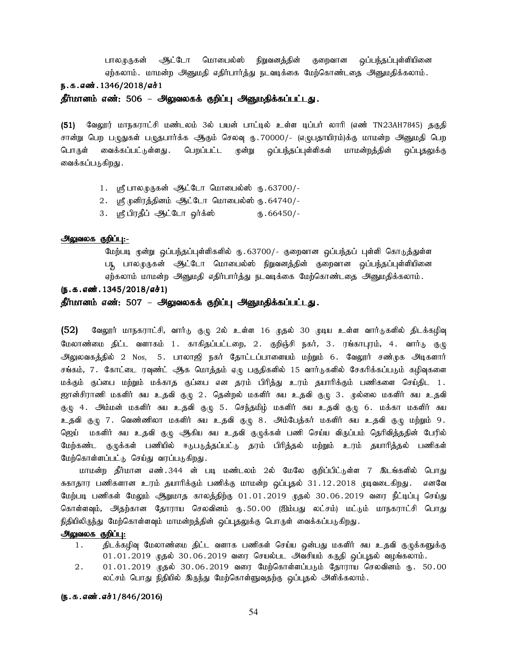பாலமுருகன் அட்டோ மொபைல்ஸ் நிறுவனத்தின் குறைவான ஒப்பந்தப்புள்ளியினை ஏற்கலாம். மாமன்ற அனுமதி எதிர்பார்த்து நடவடிக்கை மேற்கொண்டதை அனுமதிக்கலாம். ந.க.எண்.1346/2018/எச்1

தீர்மானம் எண்: 506 – அலுவலகக் குறிப்பு அனுமதிக்கப்பட்டது.

(51) வேலூர் மாநகராட்சி மண்டலம் 3ல் பயன் பாட்டில் உள்ள டிப்பர் லாரி (எண் TN23AH7845) தகுதி சான்று பெற பழுதுகள் பழுதபார்க்க ஆகும் செலவு ரு.70000/- (எழுபதாயிரம்)க்கு மாமன்ற அனுமதி பெற பொருள் வைக்கப்பட்டுள்ளது .பெறப்பட்ட முன்று ஒப்பந்தப்புள்ளிகள் மாமன்றத்தின் ஒப்புதலுக்கு வைக்கப்படுகிறது .

- 1. பரீபாலமுருகன் ஆட்டோ மொபைல்ஸ் ரு.63700/-
- $2.$  ஸ்ரீ முனிரத்தினம் ஆட்டோ மொபைல்ஸ் ரு. 64740/-
- 3. ஸ்ரீபிரதீப் <u>ஆட்</u>டோ ஓர்க்ஸ் ரூ.66450/-

#### அலுவலக குறிப்பு:-

மேற்படி முன்று ஒப்பந்தப்புள்ளிகளில் ரு.63700/- குறைவான ஒப்பந்தப் புள்ளி கொடுத்துள்ள படி பாலமுருகன் ஆட்டோ மொபைல்ஸ் நிறுவனத்தின் குறைவான ஒப்பந்தப்புள்ளியினை ஏற்கலாம் மாமன்ற அனுமதி எதிர்பார்த்து நடவடிக்கை மேற்கொண்டதை அனுமதிக்கலாம்.

#### $(5.5.5.5)$

தீர்மானம் எண்: 507 – அலுவலகக் குறிப்பு அனுமதிக்கப்பட்டது.

 $(52)$  B்வலூர் மாநகராட்சி, வார்டு குழு 2ல் உள்ள 16 முதல் 30 முடிய உள்ள வார்டுகளில் திடக்கழிவு மேலாண்மை திட்ட வளாகம் 1. காகிதப்பட்டறை, 2. குறிஞ்சி நகர், 3. ரங்காபுரம், 4. வார்டு குழு அலுலவகத்தில் 2 Nos, 5. பாலாஜி நகர் தோட்டப்பாளையம் மற்றும் 6. வேலூர் சண்முக அடிகளார் சங்கம், 7. கோட்டை ரவுண்ட் ஆக மொத்தம் ஏழு பகுதிகளில் 15 வார்டுகளில் சேகரிக்கப்படும் கழிவுகளை மக்கும் குப்பை மற்றும் மக்காத குப்பை என தரம் பிரித்து உரம் தயாரிக்கும் பணிகளை செய்திட 1 . ஜான்சிராணி மகளிர் சுய உதவி குழு 2. தென்றல் மகளிர் சுய உதவி குழு 3. முல்லை மகளிர் சுய உதவி குழு 4. அம்மன் மகளிர் சுய உதவி குழு 5. செந்தமிழ் மகளிர் சுய உதவி குழு 6. மக்கா மகளிர் சுய உதவி குழு 7. வெண்ணிலா மகளிர் சுய உதவி குழு 8. <mark>அம்பேத்கர் மகளிர் சுய உதவி</mark> குழு மற்றும் 9. தெய் மகளிர் சுய உதவி குழு ஆகிய சுய உதவி குழுக்கள் பணி செய்ய விருப்பம் தெரிவித்ததின் பேரில் மேற்கண்ட குழுக்கள் பணியில் ஈடுபடுத்தப்பட்டு தரம் பிரித்தல் மற்றும் உரம் தயாரித்தல் பணிகள் மேற்கொள்ளப்பட்டு செய்து வரப்படுகிறது.

மாமன்ற தீர்மான எண்.344 ன் படி மண்டலம் 2ல் மேலே குறிப்பிட்டுள்ள 7 இடங்களில் பொது சுகாதார பணிகளான உரம் தயாரிக்கும் பணிக்கு மாமன்ற ஒப்புதல் 31.12.2018 முடிவடைகிறது. எனவே மேற்படி பணிகள் மேலும் ஆறுமாத காலத்திற்கு 01.01.2019 முதல் 30.06.2019 வரை நீட்டிப்பு செய்து கொள்ளவும், அதற்கான தோராய செலவினம் ரு.50.00 (ஐம்பது லட்சம்) மட்டும் மாநகராட்சி பொது நிதியிலிருந்து மேற்கொள்ளவும் மாமன்றத்தின் ஒப்புதலுக்கு பொருள் வைக்கப்படுகிறது.

#### அலுவலக குறிப்பு:

- 1. நிடக்கழிவு மேலாண்மை திட்ட வளாக பணிகள் செய்ய ஒன்பது மகளிர் சுய உதவி குழுக்களுக்கு  $01.01.2019$  முதல்  $30.06.2019$  வரை செயல்பட அவசியம் கருதி ஒப்புதல் வழங்கலாம்.
- $2. \qquad 01.01.2019$  முதல்  $30.06.2019$  வரை மேற்கொள்ளப்படும் தோராய செலவினம் ரு. 50.00 லட்சம் பொது நிதியில் இருந்து மேற்கொள்ளுவதற்கு ஒப்புதல் அளிக்கலாம்.

#### (ந.க.எண்.எச்1/846/2016)